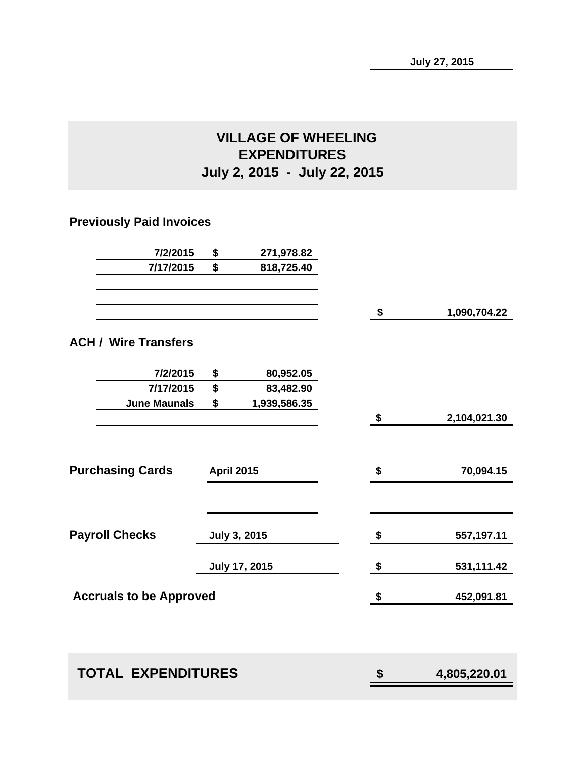### **VILLAGE OF WHEELING EXPENDITURES July 2, 2015 - July 22, 2015**

### **Previously Paid Invoices**

| 7/2/2015                       | \$<br>271,978.82   |                        |              |
|--------------------------------|--------------------|------------------------|--------------|
| 7/17/2015                      | \$<br>818,725.40   |                        |              |
|                                |                    |                        |              |
|                                |                    | $\boldsymbol{\hat{z}}$ | 1,090,704.22 |
| <b>ACH / Wire Transfers</b>    |                    |                        |              |
| 7/2/2015                       | \$<br>80,952.05    |                        |              |
| 7/17/2015                      | \$<br>83,482.90    |                        |              |
| <b>June Maunals</b>            | \$<br>1,939,586.35 |                        |              |
|                                |                    | \$                     | 2,104,021.30 |
| <b>Purchasing Cards</b>        | <b>April 2015</b>  | \$                     | 70,094.15    |
|                                |                    |                        |              |
| <b>Payroll Checks</b>          | July 3, 2015       | \$                     | 557,197.11   |
|                                | July 17, 2015      | \$                     | 531,111.42   |
| <b>Accruals to be Approved</b> |                    | \$                     | 452,091.81   |
|                                |                    |                        |              |

| <b>TOTAL EXPENDITURES</b> | 4,805,220.01 |
|---------------------------|--------------|
|                           |              |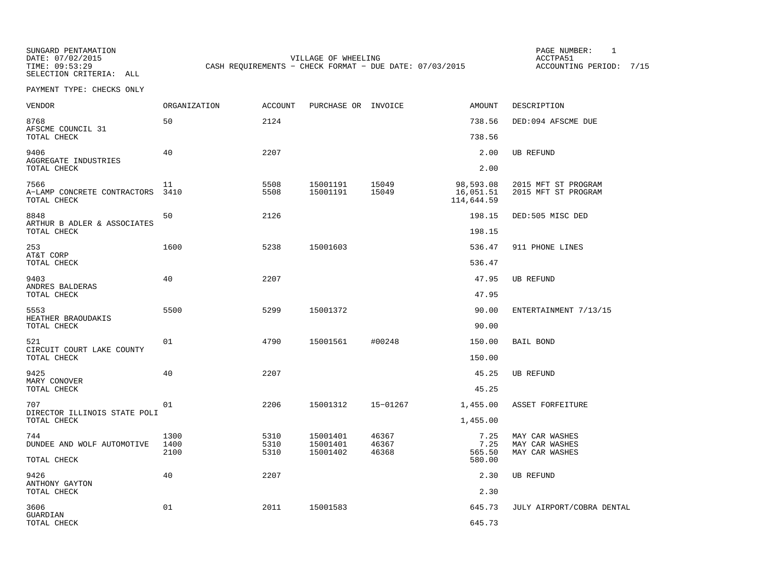SUNGARD PENTAMATION SUNGARD PENTAMATION SUNG PAGE NUMBER: 1 SELECTION CRITERIA: ALL

DATE: 07/02/2015 VILLAGE OF WHEELING ACCTPA51CASH REQUIREMENTS - CHECK FORMAT - DUE DATE: 07/03/2015

ACCOUNTING PERIOD: 7/15

| <b>VENDOR</b>                                      | ORGANIZATION         | <b>ACCOUNT</b>       | PURCHASE OR INVOICE              |                         | AMOUNT                               | DESCRIPTION                                        |
|----------------------------------------------------|----------------------|----------------------|----------------------------------|-------------------------|--------------------------------------|----------------------------------------------------|
| 8768<br>AFSCME COUNCIL 31                          | 50                   | 2124                 |                                  |                         | 738.56                               | DED:094 AFSCME DUE                                 |
| TOTAL CHECK                                        |                      |                      |                                  |                         | 738.56                               |                                                    |
| 9406<br>AGGREGATE INDUSTRIES<br>TOTAL CHECK        | 40                   | 2207                 |                                  |                         | 2.00<br>2.00                         | <b>UB REFUND</b>                                   |
| 7566<br>A-LAMP CONCRETE CONTRACTORS<br>TOTAL CHECK | 11<br>3410           | 5508<br>5508         | 15001191<br>15001191             | 15049<br>15049          | 98,593.08<br>16,051.51<br>114,644.59 | 2015 MFT ST PROGRAM<br>2015 MFT ST PROGRAM         |
| 8848<br>ARTHUR B ADLER & ASSOCIATES                | 50                   | 2126                 |                                  |                         | 198.15                               | DED:505 MISC DED                                   |
| TOTAL CHECK                                        |                      |                      |                                  |                         | 198.15                               |                                                    |
| 253<br>AT&T CORP                                   | 1600                 | 5238                 | 15001603                         |                         | 536.47                               | 911 PHONE LINES                                    |
| TOTAL CHECK                                        |                      |                      |                                  |                         | 536.47                               |                                                    |
| 9403<br>ANDRES BALDERAS                            | 40                   | 2207                 |                                  |                         | 47.95                                | <b>UB REFUND</b>                                   |
| TOTAL CHECK                                        |                      |                      |                                  |                         | 47.95                                |                                                    |
| 5553<br>HEATHER BRAOUDAKIS<br>TOTAL CHECK          | 5500                 | 5299                 | 15001372                         |                         | 90.00<br>90.00                       | ENTERTAINMENT 7/13/15                              |
|                                                    |                      |                      |                                  |                         |                                      |                                                    |
| 521<br>CIRCUIT COURT LAKE COUNTY<br>TOTAL CHECK    | 01                   | 4790                 | 15001561                         | #00248                  | 150.00<br>150.00                     | <b>BAIL BOND</b>                                   |
| 9425                                               | 40                   | 2207                 |                                  |                         | 45.25                                | <b>UB REFUND</b>                                   |
| MARY CONOVER<br>TOTAL CHECK                        |                      |                      |                                  |                         | 45.25                                |                                                    |
| 707<br>DIRECTOR ILLINOIS STATE POLI                | 01                   | 2206                 | 15001312                         | 15-01267                | 1,455.00                             | ASSET FORFEITURE                                   |
| TOTAL CHECK                                        |                      |                      |                                  |                         | 1,455.00                             |                                                    |
| 744<br>DUNDEE AND WOLF AUTOMOTIVE<br>TOTAL CHECK   | 1300<br>1400<br>2100 | 5310<br>5310<br>5310 | 15001401<br>15001401<br>15001402 | 46367<br>46367<br>46368 | 7.25<br>7.25<br>565.50<br>580.00     | MAY CAR WASHES<br>MAY CAR WASHES<br>MAY CAR WASHES |
|                                                    |                      |                      |                                  |                         |                                      |                                                    |
| 9426<br>ANTHONY GAYTON<br>TOTAL CHECK              | 40                   | 2207                 |                                  |                         | 2.30<br>2.30                         | <b>UB REFUND</b>                                   |
|                                                    |                      |                      |                                  |                         |                                      |                                                    |
| 3606<br>GUARDIAN<br>TOTAL CHECK                    | 01                   | 2011                 | 15001583                         |                         | 645.73<br>645.73                     | JULY AIRPORT/COBRA DENTAL                          |
|                                                    |                      |                      |                                  |                         |                                      |                                                    |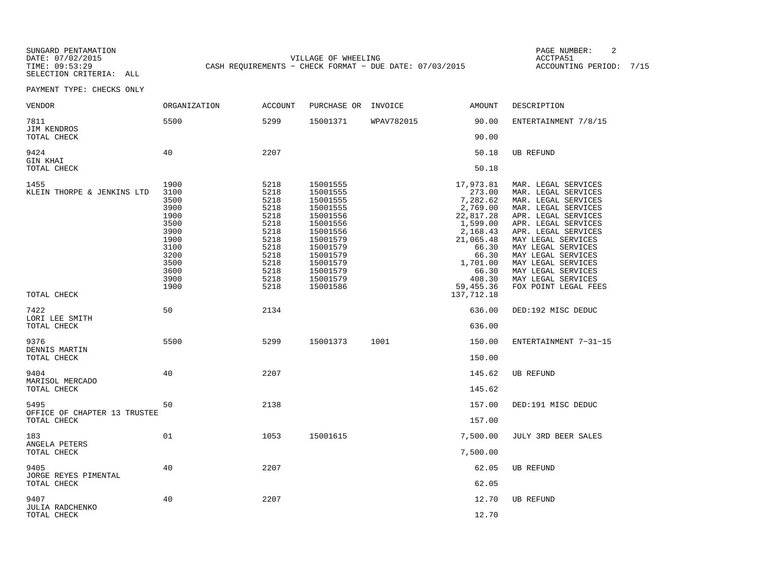SUNGARD PENTAMATION SUNGARD PENTAMATION SUNG PAGE NUMBER: 2 VILLAGE OF WHEELING **ACCTPA51** TIME: 09:53:29 CASH REQUIREMENTS - CHECK FORMAT - DUE DATE: 07/03/2015

ACCOUNTING PERIOD: 7/15

| <b>VENDOR</b>                                       | <b>ORGANIZATION</b>                                                                                          | <b>ACCOUNT</b>                                                                                               | PURCHASE OR                                                                                                                                                          | INVOICE    | <b>AMOUNT</b>                                                                                                                                                             | DESCRIPTION                                                                                                                                                                                                                                                                                                               |
|-----------------------------------------------------|--------------------------------------------------------------------------------------------------------------|--------------------------------------------------------------------------------------------------------------|----------------------------------------------------------------------------------------------------------------------------------------------------------------------|------------|---------------------------------------------------------------------------------------------------------------------------------------------------------------------------|---------------------------------------------------------------------------------------------------------------------------------------------------------------------------------------------------------------------------------------------------------------------------------------------------------------------------|
| 7811<br>JIM KENDROS                                 | 5500                                                                                                         | 5299                                                                                                         | 15001371                                                                                                                                                             | WPAV782015 | 90.00                                                                                                                                                                     | ENTERTAINMENT 7/8/15                                                                                                                                                                                                                                                                                                      |
| TOTAL CHECK                                         |                                                                                                              |                                                                                                              |                                                                                                                                                                      |            | 90.00                                                                                                                                                                     |                                                                                                                                                                                                                                                                                                                           |
| 9424<br>GIN KHAI<br>TOTAL CHECK                     | 40                                                                                                           | 2207                                                                                                         |                                                                                                                                                                      |            | 50.18<br>50.18                                                                                                                                                            | UB REFUND                                                                                                                                                                                                                                                                                                                 |
| 1455<br>KLEIN THORPE & JENKINS LTD<br>TOTAL CHECK   | 1900<br>3100<br>3500<br>3900<br>1900<br>3500<br>3900<br>1900<br>3100<br>3200<br>3500<br>3600<br>3900<br>1900 | 5218<br>5218<br>5218<br>5218<br>5218<br>5218<br>5218<br>5218<br>5218<br>5218<br>5218<br>5218<br>5218<br>5218 | 15001555<br>15001555<br>15001555<br>15001555<br>15001556<br>15001556<br>15001556<br>15001579<br>15001579<br>15001579<br>15001579<br>15001579<br>15001579<br>15001586 |            | 17,973.81<br>273.00<br>7,282.62<br>2,769.00<br>22,817.28<br>1,599.00<br>2,168.43<br>21,065.48<br>66.30<br>66.30<br>1,701.00<br>66.30<br>408.30<br>59,455.36<br>137,712.18 | MAR. LEGAL SERVICES<br>MAR. LEGAL SERVICES<br>MAR. LEGAL SERVICES<br>MAR. LEGAL SERVICES<br>APR. LEGAL SERVICES<br>APR. LEGAL SERVICES<br>APR. LEGAL SERVICES<br>MAY LEGAL SERVICES<br>MAY LEGAL SERVICES<br>MAY LEGAL SERVICES<br>MAY LEGAL SERVICES<br>MAY LEGAL SERVICES<br>MAY LEGAL SERVICES<br>FOX POINT LEGAL FEES |
| 7422<br>LORI LEE SMITH<br>TOTAL CHECK               | 50                                                                                                           | 2134                                                                                                         |                                                                                                                                                                      |            | 636.00<br>636.00                                                                                                                                                          | DED:192 MISC DEDUC                                                                                                                                                                                                                                                                                                        |
| 9376<br>DENNIS MARTIN<br>TOTAL CHECK                | 5500                                                                                                         | 5299                                                                                                         | 15001373                                                                                                                                                             | 1001       | 150.00<br>150.00                                                                                                                                                          | ENTERTAINMENT 7-31-15                                                                                                                                                                                                                                                                                                     |
| 9404<br>MARISOL MERCADO<br>TOTAL CHECK              | 40                                                                                                           | 2207                                                                                                         |                                                                                                                                                                      |            | 145.62<br>145.62                                                                                                                                                          | <b>UB REFUND</b>                                                                                                                                                                                                                                                                                                          |
| 5495<br>OFFICE OF CHAPTER 13 TRUSTEE<br>TOTAL CHECK | 50                                                                                                           | 2138                                                                                                         |                                                                                                                                                                      |            | 157.00<br>157.00                                                                                                                                                          | DED:191 MISC DEDUC                                                                                                                                                                                                                                                                                                        |
| 183<br>ANGELA PETERS<br>TOTAL CHECK                 | 01                                                                                                           | 1053                                                                                                         | 15001615                                                                                                                                                             |            | 7,500.00<br>7,500.00                                                                                                                                                      | JULY 3RD BEER SALES                                                                                                                                                                                                                                                                                                       |
| 9405<br>JORGE REYES PIMENTAL<br>TOTAL CHECK         | 40                                                                                                           | 2207                                                                                                         |                                                                                                                                                                      |            | 62.05<br>62.05                                                                                                                                                            | UB REFUND                                                                                                                                                                                                                                                                                                                 |
| 9407<br><b>JULIA RADCHENKO</b><br>TOTAL CHECK       | 40                                                                                                           | 2207                                                                                                         |                                                                                                                                                                      |            | 12.70<br>12.70                                                                                                                                                            | UB REFUND                                                                                                                                                                                                                                                                                                                 |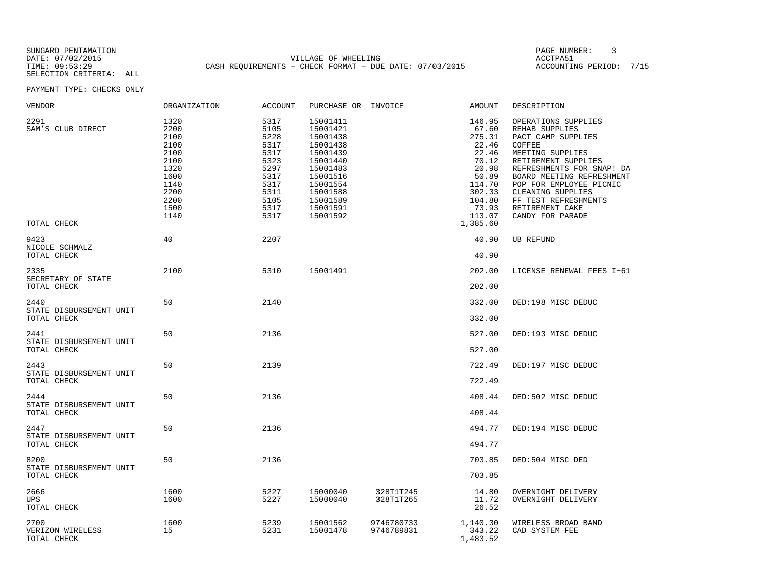SUNGARD PENTAMATION PAGE NUMBER: 3SELECTION CRITERIA: ALL

DATE: 07/02/2015 VILLAGE OF WHEELING ACCTPA51TIME: 09:53:29 CASH REQUIREMENTS − CHECK FORMAT − DUE DATE: 07/03/2015 ACCOUNTING PERIOD: 7/15

| <b>VENDOR</b>                                  | ORGANIZATION                                                                                         | <b>ACCOUNT</b>                                                                                       | PURCHASE OR INVOICE                                                                                                                                      |                          | AMOUNT                                                                                                                              | DESCRIPTION                                                                                                                                                                                                                                                                               |
|------------------------------------------------|------------------------------------------------------------------------------------------------------|------------------------------------------------------------------------------------------------------|----------------------------------------------------------------------------------------------------------------------------------------------------------|--------------------------|-------------------------------------------------------------------------------------------------------------------------------------|-------------------------------------------------------------------------------------------------------------------------------------------------------------------------------------------------------------------------------------------------------------------------------------------|
| 2291<br>SAM'S CLUB DIRECT<br>TOTAL CHECK       | 1320<br>2200<br>2100<br>2100<br>2100<br>2100<br>1320<br>1600<br>1140<br>2200<br>2200<br>1500<br>1140 | 5317<br>5105<br>5228<br>5317<br>5317<br>5323<br>5297<br>5317<br>5317<br>5311<br>5105<br>5317<br>5317 | 15001411<br>15001421<br>15001438<br>15001438<br>15001439<br>15001440<br>15001483<br>15001516<br>15001554<br>15001588<br>15001589<br>15001591<br>15001592 |                          | 146.95<br>67.60<br>275.31<br>22.46<br>22.46<br>70.12<br>20.98<br>50.89<br>114.70<br>302.33<br>104.80<br>73.93<br>113.07<br>1,385.60 | OPERATIONS SUPPLIES<br>REHAB SUPPLIES<br>PACT CAMP SUPPLIES<br>COFFEE<br>MEETING SUPPLIES<br>RETIREMENT SUPPLIES<br>REFRESHMENTS FOR SNAP! DA<br>BOARD MEETING REFRESHMENT<br>POP FOR EMPLOYEE PICNIC<br>CLEANING SUPPLIES<br>FF TEST REFRESHMENTS<br>RETIREMENT CAKE<br>CANDY FOR PARADE |
| 9423                                           | 40                                                                                                   | 2207                                                                                                 |                                                                                                                                                          |                          | 40.90                                                                                                                               | <b>UB REFUND</b>                                                                                                                                                                                                                                                                          |
| NICOLE SCHMALZ<br>TOTAL CHECK                  |                                                                                                      |                                                                                                      |                                                                                                                                                          |                          | 40.90                                                                                                                               |                                                                                                                                                                                                                                                                                           |
| 2335<br>SECRETARY OF STATE                     | 2100                                                                                                 | 5310                                                                                                 | 15001491                                                                                                                                                 |                          | 202.00                                                                                                                              | LICENSE RENEWAL FEES I-61                                                                                                                                                                                                                                                                 |
| TOTAL CHECK                                    |                                                                                                      |                                                                                                      |                                                                                                                                                          |                          | 202.00                                                                                                                              |                                                                                                                                                                                                                                                                                           |
| 2440<br>STATE DISBURSEMENT UNIT<br>TOTAL CHECK | 50                                                                                                   | 2140                                                                                                 |                                                                                                                                                          |                          | 332.00<br>332.00                                                                                                                    | DED:198 MISC DEDUC                                                                                                                                                                                                                                                                        |
| 2441                                           | 50                                                                                                   | 2136                                                                                                 |                                                                                                                                                          |                          | 527.00                                                                                                                              | DED:193 MISC DEDUC                                                                                                                                                                                                                                                                        |
| STATE DISBURSEMENT UNIT<br>TOTAL CHECK         |                                                                                                      |                                                                                                      |                                                                                                                                                          |                          | 527.00                                                                                                                              |                                                                                                                                                                                                                                                                                           |
| 2443<br>STATE DISBURSEMENT UNIT                | 50                                                                                                   | 2139                                                                                                 |                                                                                                                                                          |                          | 722.49                                                                                                                              | DED:197 MISC DEDUC                                                                                                                                                                                                                                                                        |
| TOTAL CHECK                                    |                                                                                                      |                                                                                                      |                                                                                                                                                          |                          | 722.49                                                                                                                              |                                                                                                                                                                                                                                                                                           |
| 2444<br>STATE DISBURSEMENT UNIT                | 50                                                                                                   | 2136                                                                                                 |                                                                                                                                                          |                          | 408.44                                                                                                                              | DED:502 MISC DEDUC                                                                                                                                                                                                                                                                        |
| TOTAL CHECK                                    |                                                                                                      |                                                                                                      |                                                                                                                                                          |                          | 408.44                                                                                                                              |                                                                                                                                                                                                                                                                                           |
| 2447<br>STATE DISBURSEMENT UNIT                | 50                                                                                                   | 2136                                                                                                 |                                                                                                                                                          |                          | 494.77                                                                                                                              | DED:194 MISC DEDUC                                                                                                                                                                                                                                                                        |
| TOTAL CHECK                                    |                                                                                                      |                                                                                                      |                                                                                                                                                          |                          | 494.77                                                                                                                              |                                                                                                                                                                                                                                                                                           |
| 8200<br>STATE DISBURSEMENT UNIT                | 50                                                                                                   | 2136                                                                                                 |                                                                                                                                                          |                          | 703.85                                                                                                                              | DED:504 MISC DED                                                                                                                                                                                                                                                                          |
| TOTAL CHECK                                    |                                                                                                      |                                                                                                      |                                                                                                                                                          |                          | 703.85                                                                                                                              |                                                                                                                                                                                                                                                                                           |
| 2666<br>UPS<br>TOTAL CHECK                     | 1600<br>1600                                                                                         | 5227<br>5227                                                                                         | 15000040<br>15000040                                                                                                                                     | 328T1T245<br>328T1T265   | 14.80<br>11.72<br>26.52                                                                                                             | OVERNIGHT DELIVERY<br>OVERNIGHT DELIVERY                                                                                                                                                                                                                                                  |
| 2700<br>VERIZON WIRELESS<br>TOTAL CHECK        | 1600<br>15                                                                                           | 5239<br>5231                                                                                         | 15001562<br>15001478                                                                                                                                     | 9746780733<br>9746789831 | 1,140.30<br>343.22<br>1,483.52                                                                                                      | WIRELESS BROAD BAND<br>CAD SYSTEM FEE                                                                                                                                                                                                                                                     |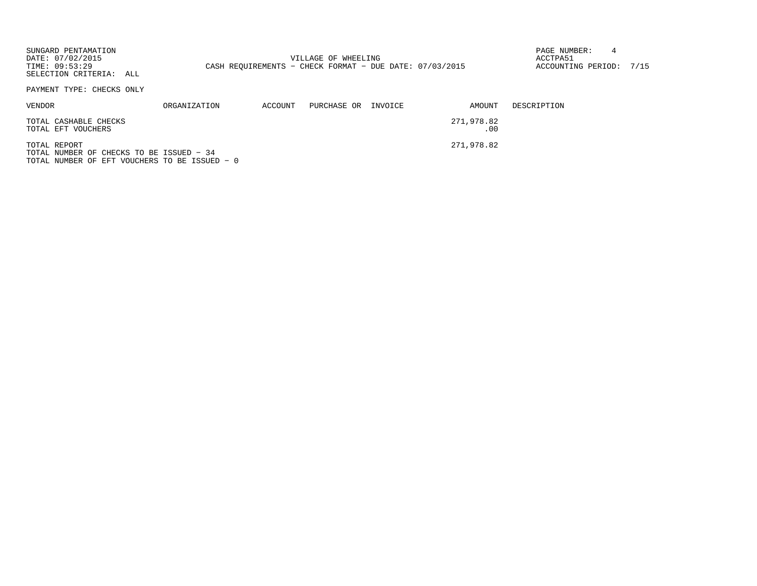| SUNGARD PENTAMATION<br>DATE: 07/02/2015<br>TIME: 09:53:29<br>SELECTION CRITERIA: ALL |              |         | VILLAGE OF WHEELING<br>CASH REOUIREMENTS - CHECK FORMAT - DUE DATE: 07/03/2015 |                   | PAGE NUMBER:<br>ACCTPA51<br>ACCOUNTING PERIOD: 7/15 |  |
|--------------------------------------------------------------------------------------|--------------|---------|--------------------------------------------------------------------------------|-------------------|-----------------------------------------------------|--|
| PAYMENT TYPE: CHECKS ONLY                                                            |              |         |                                                                                |                   |                                                     |  |
| VENDOR                                                                               | ORGANIZATION | ACCOUNT | PURCHASE OR INVOICE                                                            | AMOUNT            | DESCRIPTION                                         |  |
| TOTAL CASHABLE CHECKS<br>TOTAL EFT VOUCHERS                                          |              |         |                                                                                | 271,978.82<br>.00 |                                                     |  |
| TOTAL REPORT                                                                         |              |         |                                                                                | 271,978.82        |                                                     |  |

TOTAL NUMBER OF CHECKS TO BE ISSUED − 34TOTAL NUMBER OF EFT VOUCHERS TO BE ISSUED − 0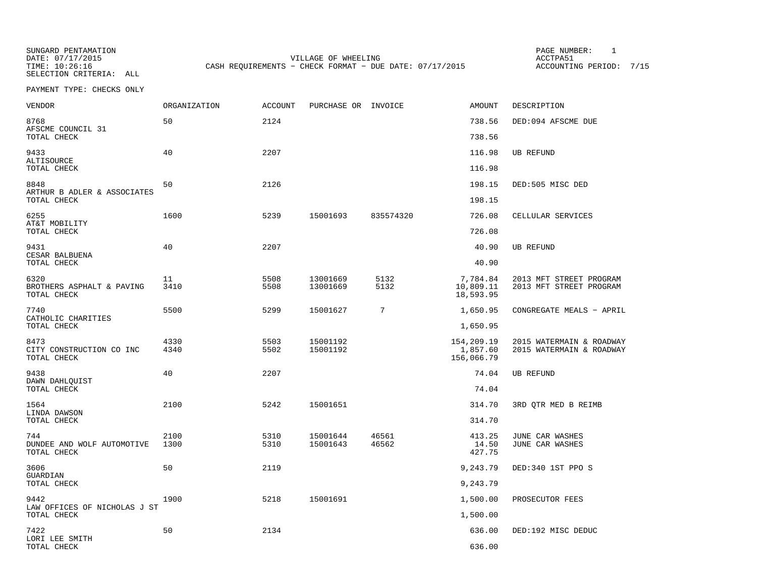SUNGARD PENTAMATION SUNGARD PENTAMATION SUNG PAGE NUMBER: 1 SELECTION CRITERIA: ALL

DATE: 07/17/2015 VILLAGE OF WHEELING ACCTPA51CASH REQUIREMENTS - CHECK FORMAT - DUE DATE: 07/17/2015

ACCOUNTING PERIOD: 7/15

| <b>VENDOR</b>                                    | <b>ORGANIZATION</b> | <b>ACCOUNT</b> | PURCHASE OR INVOICE  |                | <b>AMOUNT</b>                        | DESCRIPTION                                          |
|--------------------------------------------------|---------------------|----------------|----------------------|----------------|--------------------------------------|------------------------------------------------------|
| 8768<br>AFSCME COUNCIL 31                        | 50                  | 2124           |                      |                | 738.56                               | DED:094 AFSCME DUE                                   |
| TOTAL CHECK                                      |                     |                |                      |                | 738.56                               |                                                      |
| 9433<br>ALTISOURCE                               | 40                  | 2207           |                      |                | 116.98                               | <b>UB REFUND</b>                                     |
| TOTAL CHECK                                      |                     |                |                      |                | 116.98                               |                                                      |
| 8848<br>ARTHUR B ADLER & ASSOCIATES              | 50                  | 2126           |                      |                | 198.15                               | DED:505 MISC DED                                     |
| TOTAL CHECK                                      |                     |                |                      |                | 198.15                               |                                                      |
| 6255<br>AT&T MOBILITY                            | 1600                | 5239           | 15001693             | 835574320      | 726.08                               | CELLULAR SERVICES                                    |
| TOTAL CHECK                                      |                     |                |                      |                | 726.08                               |                                                      |
| 9431<br>CESAR BALBUENA                           | 40                  | 2207           |                      |                | 40.90                                | <b>UB REFUND</b>                                     |
| TOTAL CHECK                                      |                     |                |                      |                | 40.90                                |                                                      |
| 6320<br>BROTHERS ASPHALT & PAVING<br>TOTAL CHECK | 11<br>3410          | 5508<br>5508   | 13001669<br>13001669 | 5132<br>5132   | 7,784.84<br>10,809.11<br>18,593.95   | 2013 MFT STREET PROGRAM<br>2013 MFT STREET PROGRAM   |
| 7740                                             | 5500                | 5299           | 15001627             | 7              | 1,650.95                             | CONGREGATE MEALS - APRIL                             |
| CATHOLIC CHARITIES<br>TOTAL CHECK                |                     |                |                      |                | 1,650.95                             |                                                      |
| 8473<br>CITY CONSTRUCTION CO INC<br>TOTAL CHECK  | 4330<br>4340        | 5503<br>5502   | 15001192<br>15001192 |                | 154,209.19<br>1,857.60<br>156,066.79 | 2015 WATERMAIN & ROADWAY<br>2015 WATERMAIN & ROADWAY |
| 9438                                             | 40                  | 2207           |                      |                | 74.04                                | <b>UB REFUND</b>                                     |
| DAWN DAHLQUIST<br>TOTAL CHECK                    |                     |                |                      |                | 74.04                                |                                                      |
| 1564<br>LINDA DAWSON                             | 2100                | 5242           | 15001651             |                | 314.70                               | 3RD OTR MED B REIMB                                  |
| TOTAL CHECK                                      |                     |                |                      |                | 314.70                               |                                                      |
| 744<br>DUNDEE AND WOLF AUTOMOTIVE<br>TOTAL CHECK | 2100<br>1300        | 5310<br>5310   | 15001644<br>15001643 | 46561<br>46562 | 413.25<br>14.50<br>427.75            | JUNE CAR WASHES<br>JUNE CAR WASHES                   |
| 3606                                             | 50                  | 2119           |                      |                | 9,243.79                             | DED:340 1ST PPO S                                    |
| GUARDIAN<br>TOTAL CHECK                          |                     |                |                      |                | 9,243.79                             |                                                      |
| 9442<br>LAW OFFICES OF NICHOLAS J ST             | 1900                | 5218           | 15001691             |                | 1,500.00                             | PROSECUTOR FEES                                      |
| TOTAL CHECK                                      |                     |                |                      |                | 1,500.00                             |                                                      |
| 7422<br>LORI LEE SMITH                           | 50                  | 2134           |                      |                | 636.00                               | DED:192 MISC DEDUC                                   |
| TOTAL CHECK                                      |                     |                |                      |                | 636.00                               |                                                      |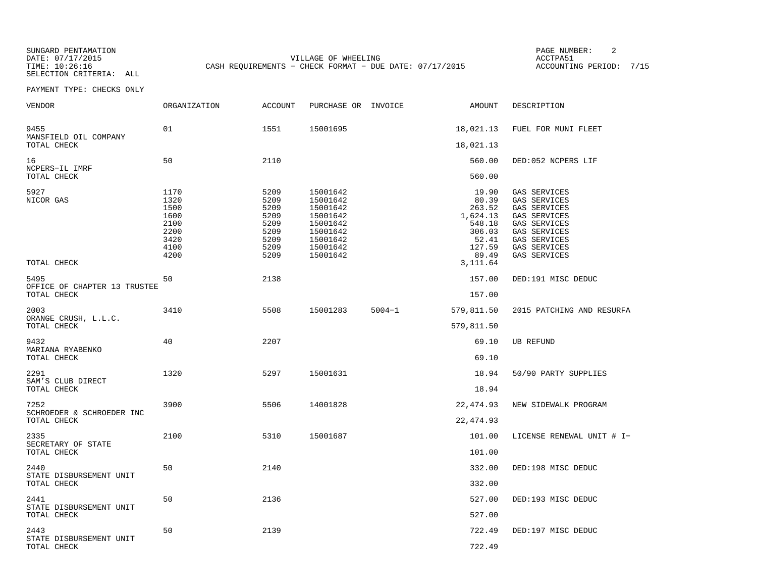SUNGARD PENTAMATION SUNGARD PENTAMATION SUNG PAGE NUMBER: 2 SELECTION CRITERIA: ALL

DATE: 07/17/2015 VILLAGE OF WHEELING ACCTPA51CASH REQUIREMENTS - CHECK FORMAT - DUE DATE: 07/17/2015

ACCOUNTING PERIOD: 7/15

| <b>VENDOR</b>                          | <b>ORGANIZATION</b>                                                  | <b>ACCOUNT</b>                                                       | PURCHASE OR INVOICE                                                                                      |            | AMOUNT                                                                               | DESCRIPTION                                                                                                                                  |
|----------------------------------------|----------------------------------------------------------------------|----------------------------------------------------------------------|----------------------------------------------------------------------------------------------------------|------------|--------------------------------------------------------------------------------------|----------------------------------------------------------------------------------------------------------------------------------------------|
| 9455<br>MANSFIELD OIL COMPANY          | 01                                                                   | 1551                                                                 | 15001695                                                                                                 |            | 18,021.13                                                                            | FUEL FOR MUNI FLEET                                                                                                                          |
| TOTAL CHECK                            |                                                                      |                                                                      |                                                                                                          |            | 18,021.13                                                                            |                                                                                                                                              |
| 16<br>NCPERS-IL IMRF                   | 50                                                                   | 2110                                                                 |                                                                                                          |            | 560.00                                                                               | DED:052 NCPERS LIF                                                                                                                           |
| TOTAL CHECK                            |                                                                      |                                                                      |                                                                                                          |            | 560.00                                                                               |                                                                                                                                              |
| 5927<br>NICOR GAS                      | 1170<br>1320<br>1500<br>1600<br>2100<br>2200<br>3420<br>4100<br>4200 | 5209<br>5209<br>5209<br>5209<br>5209<br>5209<br>5209<br>5209<br>5209 | 15001642<br>15001642<br>15001642<br>15001642<br>15001642<br>15001642<br>15001642<br>15001642<br>15001642 |            | 19.90<br>80.39<br>263.52<br>1,624.13<br>548.18<br>306.03<br>52.41<br>127.59<br>89.49 | GAS SERVICES<br>GAS SERVICES<br>GAS SERVICES<br>GAS SERVICES<br>GAS SERVICES<br>GAS SERVICES<br>GAS SERVICES<br>GAS SERVICES<br>GAS SERVICES |
| TOTAL CHECK                            |                                                                      |                                                                      |                                                                                                          |            | 3,111.64                                                                             |                                                                                                                                              |
| 5495<br>OFFICE OF CHAPTER 13 TRUSTEE   | 50                                                                   | 2138                                                                 |                                                                                                          |            | 157.00                                                                               | DED:191 MISC DEDUC                                                                                                                           |
| TOTAL CHECK                            |                                                                      |                                                                      |                                                                                                          |            | 157.00                                                                               |                                                                                                                                              |
| 2003<br>ORANGE CRUSH, L.L.C.           | 3410                                                                 | 5508                                                                 | 15001283                                                                                                 | $5004 - 1$ | 579,811.50                                                                           | 2015 PATCHING AND RESURFA                                                                                                                    |
| TOTAL CHECK                            |                                                                      |                                                                      |                                                                                                          |            | 579,811.50                                                                           |                                                                                                                                              |
| 9432<br>MARIANA RYABENKO               | 40                                                                   | 2207                                                                 |                                                                                                          |            | 69.10                                                                                | <b>UB REFUND</b>                                                                                                                             |
| TOTAL CHECK                            |                                                                      |                                                                      |                                                                                                          |            | 69.10                                                                                |                                                                                                                                              |
| 2291<br>SAM'S CLUB DIRECT              | 1320                                                                 | 5297                                                                 | 15001631                                                                                                 |            | 18.94                                                                                | 50/90 PARTY SUPPLIES                                                                                                                         |
| TOTAL CHECK                            |                                                                      |                                                                      |                                                                                                          |            | 18.94                                                                                |                                                                                                                                              |
| 7252<br>SCHROEDER & SCHROEDER INC      | 3900                                                                 | 5506                                                                 | 14001828                                                                                                 |            | 22, 474.93                                                                           | NEW SIDEWALK PROGRAM                                                                                                                         |
| TOTAL CHECK                            |                                                                      |                                                                      |                                                                                                          |            | 22, 474.93                                                                           |                                                                                                                                              |
| 2335<br>SECRETARY OF STATE             | 2100                                                                 | 5310                                                                 | 15001687                                                                                                 |            | 101.00                                                                               | LICENSE RENEWAL UNIT # I-                                                                                                                    |
| TOTAL CHECK                            |                                                                      |                                                                      |                                                                                                          |            | 101.00                                                                               |                                                                                                                                              |
| 2440                                   | 50                                                                   | 2140                                                                 |                                                                                                          |            | 332.00                                                                               | DED:198 MISC DEDUC                                                                                                                           |
| STATE DISBURSEMENT UNIT<br>TOTAL CHECK |                                                                      |                                                                      |                                                                                                          |            | 332.00                                                                               |                                                                                                                                              |
| 2441                                   | 50                                                                   | 2136                                                                 |                                                                                                          |            | 527.00                                                                               | DED:193 MISC DEDUC                                                                                                                           |
| STATE DISBURSEMENT UNIT<br>TOTAL CHECK |                                                                      |                                                                      |                                                                                                          |            | 527.00                                                                               |                                                                                                                                              |
| 2443<br>STATE DISBURSEMENT UNIT        | 50                                                                   | 2139                                                                 |                                                                                                          |            | 722.49                                                                               | DED:197 MISC DEDUC                                                                                                                           |
| TOTAL CHECK                            |                                                                      |                                                                      |                                                                                                          |            | 722.49                                                                               |                                                                                                                                              |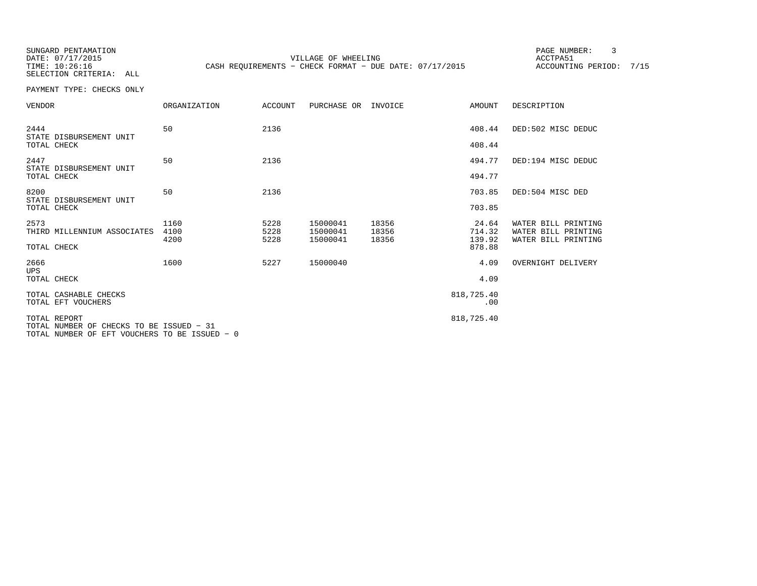SUNGARD PENTAMATION PAGE NUMBER: 3

DATE: 07/17/2015 VILLAGE OF WHEELING ACCTPA51TIME: 10:26:16 CASH REQUIREMENTS - CHECK FORMAT - DUE DATE: 07/17/2015

ACCOUNTING PERIOD: 7/15

SELECTION CRITERIA: ALLPAYMENT TYPE: CHECKS ONLY

| VENDOR                                                                                                    | ORGANIZATION         | ACCOUNT              | PURCHASE OR                      | INVOICE                 | AMOUNT                    | DESCRIPTION                                                       |
|-----------------------------------------------------------------------------------------------------------|----------------------|----------------------|----------------------------------|-------------------------|---------------------------|-------------------------------------------------------------------|
| 2444<br>STATE DISBURSEMENT UNIT<br>TOTAL CHECK                                                            | 50                   | 2136                 |                                  |                         | 408.44<br>408.44          | DED:502 MISC DEDUC                                                |
| 2447<br>STATE DISBURSEMENT UNIT                                                                           | 50                   | 2136                 |                                  |                         | 494.77                    | DED:194 MISC DEDUC                                                |
| TOTAL CHECK                                                                                               |                      |                      |                                  |                         | 494.77                    |                                                                   |
| 8200<br>STATE DISBURSEMENT UNIT                                                                           | 50                   | 2136                 |                                  |                         | 703.85                    | DED:504 MISC DED                                                  |
| TOTAL CHECK                                                                                               |                      |                      |                                  |                         | 703.85                    |                                                                   |
| 2573<br>THIRD MILLENNIUM ASSOCIATES                                                                       | 1160<br>4100<br>4200 | 5228<br>5228<br>5228 | 15000041<br>15000041<br>15000041 | 18356<br>18356<br>18356 | 24.64<br>714.32<br>139.92 | WATER BILL PRINTING<br>WATER BILL PRINTING<br>WATER BILL PRINTING |
| TOTAL CHECK                                                                                               |                      |                      |                                  |                         | 878.88                    |                                                                   |
| 2666<br><b>UPS</b>                                                                                        | 1600                 | 5227                 | 15000040                         |                         | 4.09                      | OVERNIGHT DELIVERY                                                |
| TOTAL CHECK                                                                                               |                      |                      |                                  |                         | 4.09                      |                                                                   |
| TOTAL CASHABLE CHECKS<br>TOTAL EFT VOUCHERS                                                               |                      |                      |                                  |                         | 818,725.40<br>.00         |                                                                   |
| TOTAL REPORT<br>TOTAL NUMBER OF CHECKS TO BE ISSUED - 31<br>TOTAL NUMBER OF EFT VOUCHERS TO BE ISSUED - 0 |                      |                      |                                  |                         | 818,725.40                |                                                                   |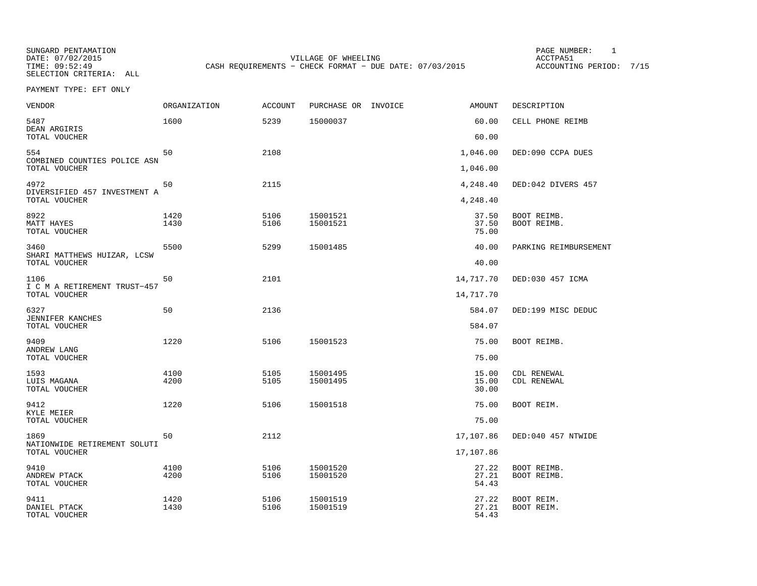SUNGARD PENTAMATION SUNGARD PENTAMATION SUNG PAGE NUMBER: 1 DATE: 07/02/2015 VILLAGE OF WHEELING ACCTPA51CASH REQUIREMENTS - CHECK FORMAT - DUE DATE: 07/03/2015

ACCOUNTING PERIOD: 7/15

PAYMENT TYPE: EFT ONLY

| <b>VENDOR</b>                                         | ORGANIZATION | <b>ACCOUNT</b> | PURCHASE OR INVOICE  | <b>AMOUNT</b>           | DESCRIPTION                |
|-------------------------------------------------------|--------------|----------------|----------------------|-------------------------|----------------------------|
| 5487<br>DEAN ARGIRIS<br>TOTAL VOUCHER                 | 1600         | 5239           | 15000037             | 60.00<br>60.00          | CELL PHONE REIMB           |
|                                                       |              |                |                      |                         |                            |
| 554<br>COMBINED COUNTIES POLICE ASN<br>TOTAL VOUCHER  | 50           | 2108           |                      | 1,046.00<br>1,046.00    | DED:090 CCPA DUES          |
| 4972<br>DIVERSIFIED 457 INVESTMENT A                  | 50           | 2115           |                      | 4,248.40                | DED:042 DIVERS 457         |
| TOTAL VOUCHER                                         |              |                |                      | 4,248.40                |                            |
| 8922<br><b>MATT HAYES</b><br>TOTAL VOUCHER            | 1420<br>1430 | 5106<br>5106   | 15001521<br>15001521 | 37.50<br>37.50<br>75.00 | BOOT REIMB.<br>BOOT REIMB. |
| 3460<br>SHARI MATTHEWS HUIZAR, LCSW                   | 5500         | 5299           | 15001485             | 40.00                   | PARKING REIMBURSEMENT      |
| TOTAL VOUCHER                                         |              |                |                      | 40.00                   |                            |
| 1106<br>I C M A RETIREMENT TRUST-457<br>TOTAL VOUCHER | 50           | 2101           |                      | 14,717.70<br>14,717.70  | DED:030 457 ICMA           |
| 6327<br>JENNIFER KANCHES                              | 50           | 2136           |                      | 584.07                  | DED:199 MISC DEDUC         |
| TOTAL VOUCHER                                         |              |                |                      | 584.07                  |                            |
| 9409<br>ANDREW LANG                                   | 1220         | 5106           | 15001523             | 75.00                   | BOOT REIMB.                |
| TOTAL VOUCHER                                         |              |                |                      | 75.00                   |                            |
| 1593<br>LUIS MAGANA<br>TOTAL VOUCHER                  | 4100<br>4200 | 5105<br>5105   | 15001495<br>15001495 | 15.00<br>15.00<br>30.00 | CDL RENEWAL<br>CDL RENEWAL |
| 9412<br>KYLE MEIER                                    | 1220         | 5106           | 15001518             | 75.00                   | BOOT REIM.                 |
| TOTAL VOUCHER                                         |              |                |                      | 75.00                   |                            |
| 1869<br>NATIONWIDE RETIREMENT SOLUTI                  | 50           | 2112           |                      | 17,107.86               | DED:040 457 NTWIDE         |
| TOTAL VOUCHER                                         |              |                |                      | 17,107.86               |                            |
| 9410<br>ANDREW PTACK<br>TOTAL VOUCHER                 | 4100<br>4200 | 5106<br>5106   | 15001520<br>15001520 | 27.22<br>27.21<br>54.43 | BOOT REIMB.<br>BOOT REIMB. |
| 9411<br>DANIEL PTACK<br>TOTAL VOUCHER                 | 1420<br>1430 | 5106<br>5106   | 15001519<br>15001519 | 27.22<br>27.21<br>54.43 | BOOT REIM.<br>BOOT REIM.   |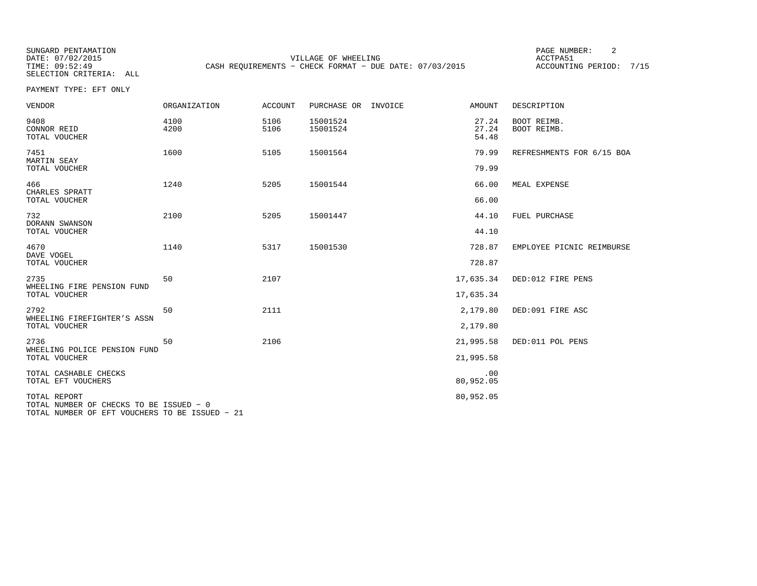SUNGARD PENTAMATION SUNGARD PENTAMATION SUNG PAGE NUMBER: 2 VILLAGE OF WHEELING **ACCTPA51** TIME: 09:52:49 CASH REQUIREMENTS - CHECK FORMAT - DUE DATE: 07/03/2015

ACCOUNTING PERIOD: 7/15

PAYMENT TYPE: EFT ONLY

| <b>VENDOR</b>                                           | <b>ORGANIZATION</b> | <b>ACCOUNT</b> | PURCHASE OR<br>INVOICE | <b>AMOUNT</b>           | DESCRIPTION                |
|---------------------------------------------------------|---------------------|----------------|------------------------|-------------------------|----------------------------|
| 9408<br>CONNOR REID<br>TOTAL VOUCHER                    | 4100<br>4200        | 5106<br>5106   | 15001524<br>15001524   | 27.24<br>27.24<br>54.48 | BOOT REIMB.<br>BOOT REIMB. |
| 7451<br>MARTIN SEAY<br>TOTAL VOUCHER                    | 1600                | 5105           | 15001564               | 79.99<br>79.99          | REFRESHMENTS FOR 6/15 BOA  |
| 466<br>CHARLES SPRATT<br>TOTAL VOUCHER                  | 1240                | 5205           | 15001544               | 66.00<br>66.00          | MEAL EXPENSE               |
| 732<br>DORANN SWANSON<br>TOTAL VOUCHER                  | 2100                | 5205           | 15001447               | 44.10<br>44.10          | FUEL PURCHASE              |
| 4670<br>DAVE VOGEL<br>TOTAL VOUCHER                     | 1140                | 5317           | 15001530               | 728.87<br>728.87        | EMPLOYEE PICNIC REIMBURSE  |
| 2735<br>WHEELING FIRE PENSION FUND<br>TOTAL VOUCHER     | 50                  | 2107           |                        | 17,635.34<br>17,635.34  | DED:012 FIRE PENS          |
| 2792<br>WHEELING FIREFIGHTER'S ASSN<br>TOTAL VOUCHER    | 50                  | 2111           |                        | 2,179.80<br>2,179.80    | DED:091 FIRE ASC           |
| 2736<br>WHEELING POLICE PENSION FUND<br>TOTAL VOUCHER   | 50                  | 2106           |                        | 21,995.58<br>21,995.58  | DED:011 POL PENS           |
| TOTAL CASHABLE CHECKS<br>TOTAL EFT VOUCHERS             |                     |                |                        | .00<br>80,952.05        |                            |
| TOTAL REPORT<br>TOTAL NUMBER OF CHECKS TO BE ISSUED - 0 |                     |                |                        | 80,952.05               |                            |

TOTAL NUMBER OF EFT VOUCHERS TO BE ISSUED − 21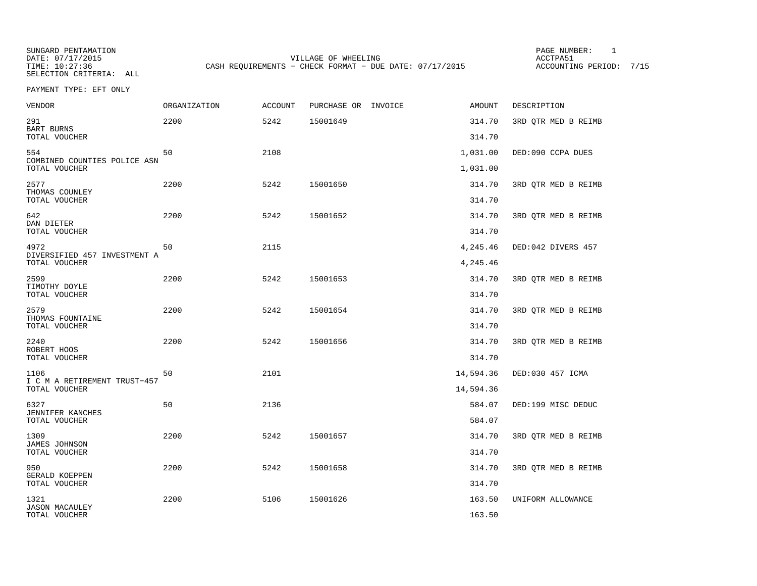SUNGARD PENTAMATION SUNGARD PENTAMATION SUNG PAGE NUMBER: 1 DATE: 07/17/2015 VILLAGE OF WHEELING ACCTPA51CASH REQUIREMENTS - CHECK FORMAT - DUE DATE: 07/17/2015

ACCOUNTING PERIOD: 7/15

PAYMENT TYPE: EFT ONLY

| <b>VENDOR</b>                                 | ORGANIZATION | <b>ACCOUNT</b> | PURCHASE OR INVOICE | AMOUNT           | DESCRIPTION         |
|-----------------------------------------------|--------------|----------------|---------------------|------------------|---------------------|
| 291<br><b>BART BURNS</b>                      | 2200         | 5242           | 15001649            | 314.70           | 3RD QTR MED B REIMB |
| TOTAL VOUCHER                                 |              |                |                     | 314.70           |                     |
| 554<br>COMBINED COUNTIES POLICE ASN           | 50           | 2108           |                     | 1,031.00         | DED:090 CCPA DUES   |
| TOTAL VOUCHER                                 |              |                |                     | 1,031.00         |                     |
| 2577<br>THOMAS COUNLEY<br>TOTAL VOUCHER       | 2200         | 5242           | 15001650            | 314.70<br>314.70 | 3RD QTR MED B REIMB |
| 642                                           | 2200         | 5242           | 15001652            | 314.70           |                     |
| DAN DIETER<br>TOTAL VOUCHER                   |              |                |                     | 314.70           | 3RD QTR MED B REIMB |
| 4972                                          | 50           | 2115           |                     | 4,245.46         | DED:042 DIVERS 457  |
| DIVERSIFIED 457 INVESTMENT A<br>TOTAL VOUCHER |              |                |                     | 4,245.46         |                     |
| 2599                                          | 2200         | 5242           | 15001653            | 314.70           | 3RD QTR MED B REIMB |
| TIMOTHY DOYLE<br>TOTAL VOUCHER                |              |                |                     | 314.70           |                     |
| 2579<br>THOMAS FOUNTAINE                      | 2200         | 5242           | 15001654            | 314.70           | 3RD QTR MED B REIMB |
| TOTAL VOUCHER                                 |              |                |                     | 314.70           |                     |
| 2240<br>ROBERT HOOS                           | 2200         | 5242           | 15001656            | 314.70           | 3RD QTR MED B REIMB |
| TOTAL VOUCHER                                 |              |                |                     | 314.70           |                     |
| 1106<br>I C M A RETIREMENT TRUST-457          | 50           | 2101           |                     | 14,594.36        | DED:030 457 ICMA    |
| TOTAL VOUCHER                                 |              |                |                     | 14,594.36        |                     |
| 6327<br>JENNIFER KANCHES                      | 50           | 2136           |                     | 584.07           | DED:199 MISC DEDUC  |
| TOTAL VOUCHER                                 |              |                |                     | 584.07           |                     |
| 1309<br><b>JAMES JOHNSON</b>                  | 2200         | 5242           | 15001657            | 314.70           | 3RD QTR MED B REIMB |
| TOTAL VOUCHER                                 |              |                |                     | 314.70           |                     |
| 950<br>GERALD KOEPPEN                         | 2200         | 5242           | 15001658            | 314.70           | 3RD OTR MED B REIMB |
| TOTAL VOUCHER                                 |              |                |                     | 314.70           |                     |
| 1321                                          | 2200         | 5106           | 15001626            | 163.50           | UNIFORM ALLOWANCE   |
| <b>JASON MACAULEY</b><br>TOTAL VOUCHER        |              |                |                     | 163.50           |                     |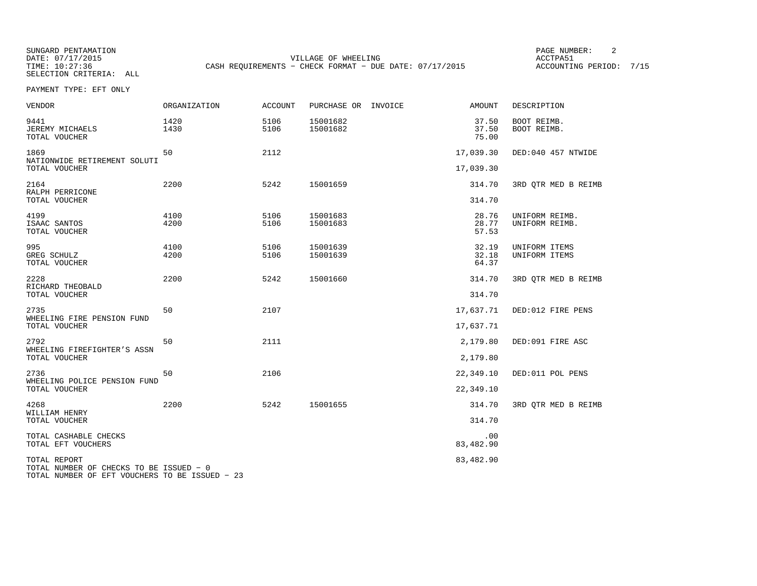SUNGARD PENTAMATION PAGE NUMBER: 2SELECTION CRITERIA: ALL

DATE: 07/17/2015 VILLAGE OF WHEELING ACCTPA51TIME: 10:27:36 CASH REQUIREMENTS - CHECK FORMAT - DUE DATE: 07/17/2015

ACCOUNTING PERIOD: 7/15

PAYMENT TYPE: EFT ONLY

| VENDOR                                                                                                    | ORGANIZATION | ACCOUNT      | PURCHASE OR INVOICE  | AMOUNT                  | DESCRIPTION                      |
|-----------------------------------------------------------------------------------------------------------|--------------|--------------|----------------------|-------------------------|----------------------------------|
| 9441<br>JEREMY MICHAELS<br>TOTAL VOUCHER                                                                  | 1420<br>1430 | 5106<br>5106 | 15001682<br>15001682 | 37.50<br>37.50<br>75.00 | BOOT REIMB.<br>BOOT REIMB.       |
| 1869<br>NATIONWIDE RETIREMENT SOLUTI                                                                      | 50           | 2112         |                      | 17,039.30               | DED:040 457 NTWIDE               |
| TOTAL VOUCHER                                                                                             |              |              |                      | 17,039.30               |                                  |
| 2164<br>RALPH PERRICONE<br>TOTAL VOUCHER                                                                  | 2200         | 5242         | 15001659             | 314.70<br>314.70        | 3RD OTR MED B REIMB              |
|                                                                                                           |              |              |                      |                         |                                  |
| 4199<br>ISAAC SANTOS<br>TOTAL VOUCHER                                                                     | 4100<br>4200 | 5106<br>5106 | 15001683<br>15001683 | 28.76<br>28.77<br>57.53 | UNIFORM REIMB.<br>UNIFORM REIMB. |
| 995<br>GREG SCHULZ<br>TOTAL VOUCHER                                                                       | 4100<br>4200 | 5106<br>5106 | 15001639<br>15001639 | 32.19<br>32.18<br>64.37 | UNIFORM ITEMS<br>UNIFORM ITEMS   |
| 2228<br>RICHARD THEOBALD<br>TOTAL VOUCHER                                                                 | 2200         | 5242         | 15001660             | 314.70<br>314.70        | 3RD QTR MED B REIMB              |
|                                                                                                           | 50           | 2107         |                      |                         |                                  |
| 2735<br>WHEELING FIRE PENSION FUND<br>TOTAL VOUCHER                                                       |              |              |                      | 17,637.71<br>17,637.71  | DED:012 FIRE PENS                |
| 2792                                                                                                      | 50           | 2111         |                      | 2,179.80                | DED:091 FIRE ASC                 |
| WHEELING FIREFIGHTER'S ASSN<br>TOTAL VOUCHER                                                              |              |              |                      | 2,179.80                |                                  |
| 2736                                                                                                      | 50           | 2106         |                      | 22,349.10               | DED:011 POL PENS                 |
| WHEELING POLICE PENSION FUND<br>TOTAL VOUCHER                                                             |              |              |                      | 22,349.10               |                                  |
| 4268<br>WILLIAM HENRY                                                                                     | 2200         | 5242         | 15001655             | 314.70                  | 3RD QTR MED B REIMB              |
| TOTAL VOUCHER                                                                                             |              |              |                      | 314.70                  |                                  |
| TOTAL CASHABLE CHECKS<br>TOTAL EFT VOUCHERS                                                               |              |              |                      | .00<br>83,482.90        |                                  |
| TOTAL REPORT<br>TOTAL NUMBER OF CHECKS TO BE ISSUED - 0<br>TOTAL NUMBER OF EFT VOUCHERS TO BE ISSUED - 23 |              |              |                      | 83,482.90               |                                  |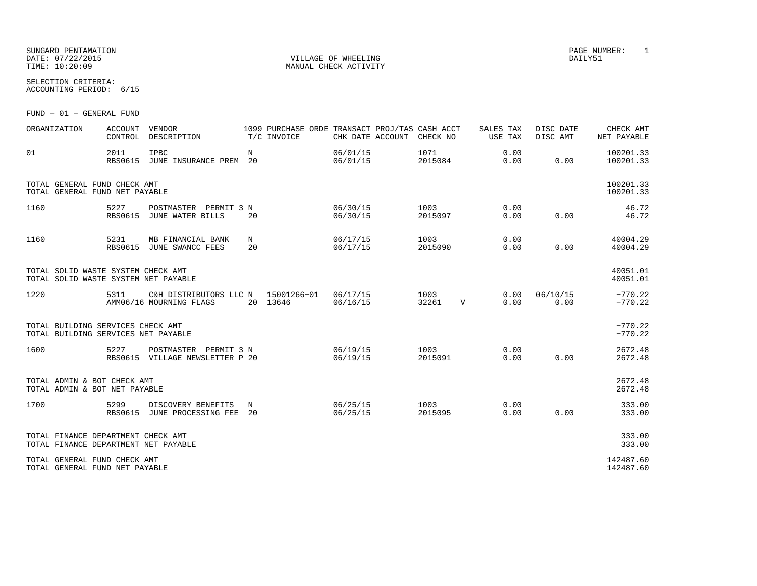SUNGARD PENTAMATION PAGE NUMBER: 1 DATE: 07/22/2015 VILLAGE OF WHEELING DAILY51

SELECTION CRITERIA:ACCOUNTING PERIOD: 6/15

FUND − 01 − GENERAL FUND

| ORGANIZATION                                                               | <b>ACCOUNT</b><br>CONTROL | <b>VENDOR</b><br>DESCRIPTION                                  |         | 1099 PURCHASE ORDE TRANSACT PROJ/TAS CASH ACCT<br>T/C INVOICE | CHK DATE ACCOUNT     | CHECK NO        |              | SALES TAX<br>USE TAX | DISC DATE<br>DISC AMT | CHECK AMT<br>NET PAYABLE |
|----------------------------------------------------------------------------|---------------------------|---------------------------------------------------------------|---------|---------------------------------------------------------------|----------------------|-----------------|--------------|----------------------|-----------------------|--------------------------|
| 01                                                                         | 2011<br><b>RBS0615</b>    | <b>IPBC</b><br>JUNE INSURANCE PREM 20                         | N       |                                                               | 06/01/15<br>06/01/15 | 1071<br>2015084 |              | 0.00<br>0.00         | 0.00                  | 100201.33<br>100201.33   |
| TOTAL GENERAL FUND CHECK AMT<br>TOTAL GENERAL FUND NET PAYABLE             |                           |                                                               |         |                                                               |                      |                 |              |                      |                       | 100201.33<br>100201.33   |
| 1160                                                                       | 5227<br><b>RBS0615</b>    | POSTMASTER PERMIT 3 N<br>JUNE WATER BILLS                     | 20      |                                                               | 06/30/15<br>06/30/15 | 1003<br>2015097 |              | 0.00<br>0.00         | 0.00                  | 46.72<br>46.72           |
| 1160                                                                       | 5231<br><b>RBS0615</b>    | MB FINANCIAL BANK<br>JUNE SWANCC FEES                         | N<br>20 |                                                               | 06/17/15<br>06/17/15 | 1003<br>2015090 |              | 0.00<br>0.00         | 0.00                  | 40004.29<br>40004.29     |
| TOTAL SOLID WASTE SYSTEM CHECK AMT<br>TOTAL SOLID WASTE SYSTEM NET PAYABLE |                           |                                                               |         |                                                               |                      |                 |              |                      |                       | 40051.01<br>40051.01     |
| 1220                                                                       | 5311                      | C&H DISTRIBUTORS LLC N 15001266-01<br>AMM06/16 MOURNING FLAGS |         | 20 13646                                                      | 06/17/15<br>06/16/15 | 1003<br>32261   | $\mathbf{V}$ | 0.00<br>0.00         | 06/10/15<br>0.00      | $-770.22$<br>$-770.22$   |
| TOTAL BUILDING SERVICES CHECK AMT<br>TOTAL BUILDING SERVICES NET PAYABLE   |                           |                                                               |         |                                                               |                      |                 |              |                      |                       | $-770.22$<br>$-770.22$   |
| 1600                                                                       | 5227                      | POSTMASTER PERMIT 3 N<br>RBS0615 VILLAGE NEWSLETTER P 20      |         |                                                               | 06/19/15<br>06/19/15 | 1003<br>2015091 |              | 0.00<br>0.00         | 0.00                  | 2672.48<br>2672.48       |
| TOTAL ADMIN & BOT CHECK AMT<br>TOTAL ADMIN & BOT NET PAYABLE               |                           |                                                               |         |                                                               |                      |                 |              |                      |                       | 2672.48<br>2672.48       |
| 1700                                                                       | 5299                      | DISCOVERY BENEFITS<br>RBS0615 JUNE PROCESSING FEE 20          | N       |                                                               | 06/25/15<br>06/25/15 | 1003<br>2015095 |              | 0.00<br>0.00         | 0.00                  | 333.00<br>333.00         |
| TOTAL FINANCE DEPARTMENT CHECK AMT<br>TOTAL FINANCE DEPARTMENT NET PAYABLE |                           |                                                               |         |                                                               |                      |                 |              |                      |                       | 333.00<br>333.00         |
| TOTAL GENERAL FUND CHECK AMT<br>TOTAL GENERAL FUND NET PAYABLE             |                           |                                                               |         |                                                               |                      |                 |              |                      |                       | 142487.60<br>142487.60   |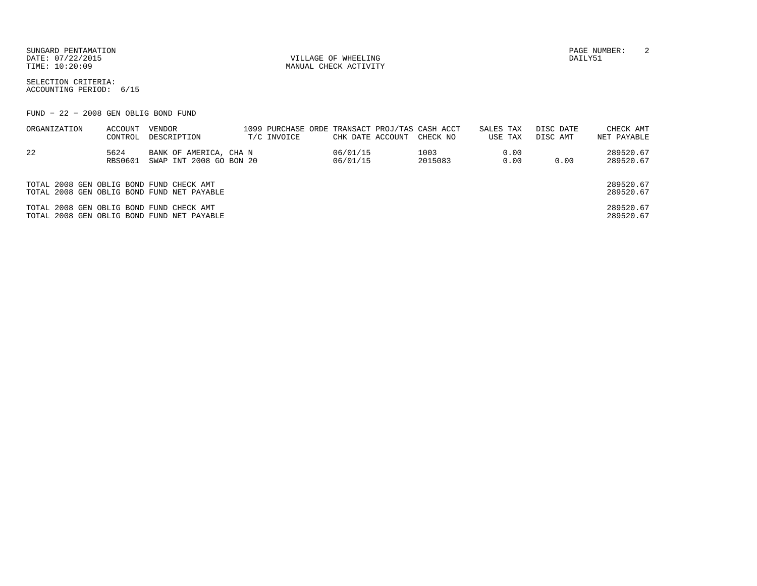DATE: 07/22/2015 VILLAGE OF WHEELING DAILY51

MANUAL CHECK ACTIVITY

SUNGARD PENTAMATION PAGE NUMBER: 2

SELECTION CRITERIA:ACCOUNTING PERIOD: 6/15

FUND − 22 − 2008 GEN OBLIG BOND FUND

| ORGANIZATION                             | ACCOUNT<br>CONTROL | VENDOR<br>DESCRIPTION                             | T/C INVOICE | CHK DATE ACCOUNT     | 1099 PURCHASE ORDE TRANSACT PROJ/TAS CASH ACCT<br>CHECK NO | SALES TAX<br>USE TAX | DISC DATE<br>DISC AMT | CHECK AMT<br>NET PAYABLE |
|------------------------------------------|--------------------|---------------------------------------------------|-------------|----------------------|------------------------------------------------------------|----------------------|-----------------------|--------------------------|
| 22                                       | 5624<br>RBS0601    | BANK OF AMERICA, CHA N<br>SWAP INT 2008 GO BON 20 |             | 06/01/15<br>06/01/15 | 1003<br>2015083                                            | 0.00<br>0.00         | 0.00                  | 289520.67<br>289520.67   |
| TOTAL 2008 GEN OBLIG BOND FUND CHECK AMT |                    | TOTAL 2008 GEN OBLIG BOND FUND NET PAYABLE        |             |                      |                                                            |                      |                       | 289520.67<br>289520.67   |
| TOTAL 2008 GEN OBLIG BOND FUND CHECK AMT |                    | TOTAL 2008 GEN OBLIG BOND FUND NET PAYABLE        |             |                      |                                                            |                      |                       | 289520.67<br>289520.67   |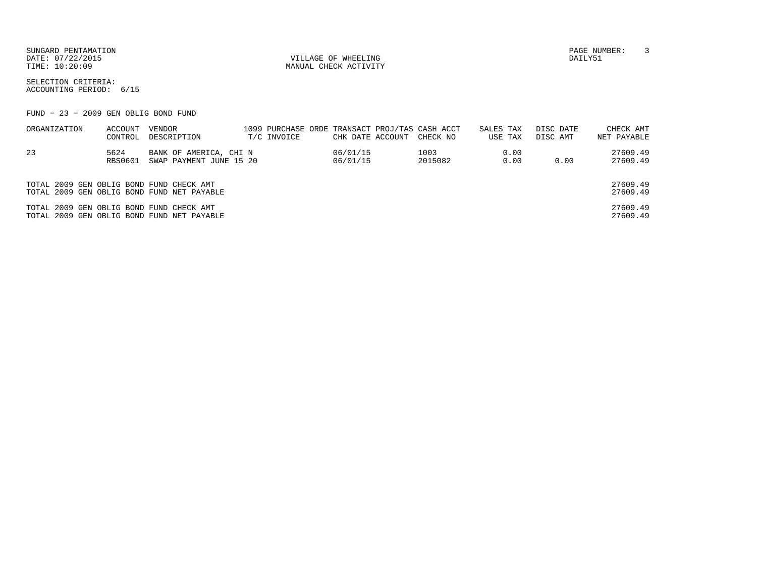SUNGARD PENTAMATION PAGE NUMBER: 3DATE:  $07/22/2015$  DAILY51

TIME:  $10:20:09$  MANUAL CHECK ACTIVITY

SELECTION CRITERIA:ACCOUNTING PERIOD: 6/15

FUND − 23 − 2009 GEN OBLIG BOND FUND

| ORGANIZATION                             | ACCOUNT | VENDOR                                     | 1099 PURCHASE ORDE TRANSACT PROJ/TAS CASH ACCT |                  |          | SALES TAX | DISC DATE | CHECK AMT   |
|------------------------------------------|---------|--------------------------------------------|------------------------------------------------|------------------|----------|-----------|-----------|-------------|
|                                          | CONTROL | DESCRIPTION                                | T/C INVOICE                                    | CHK DATE ACCOUNT | CHECK NO | USE TAX   | DISC AMT  | NET PAYABLE |
| -23                                      | 5624    | BANK OF AMERICA, CHI N                     |                                                | 06/01/15         | 1003     | 0.00      |           | 27609.49    |
|                                          | RBS0601 | SWAP PAYMENT JUNE 15 20                    |                                                | 06/01/15         | 2015082  | 0.00      | 0.00      | 27609.49    |
|                                          |         |                                            |                                                |                  |          |           |           |             |
| TOTAL 2009 GEN OBLIG BOND FUND CHECK AMT |         |                                            |                                                |                  |          |           |           | 27609.49    |
|                                          |         | TOTAL 2009 GEN OBLIG BOND FUND NET PAYABLE |                                                |                  |          |           |           | 27609.49    |
| TOTAL 2009 GEN OBLIG BOND FUND CHECK AMT |         |                                            |                                                |                  |          |           |           | 27609.49    |
|                                          |         | TOTAL 2009 GEN OBLIG BOND FUND NET PAYABLE |                                                |                  |          |           |           | 27609.49    |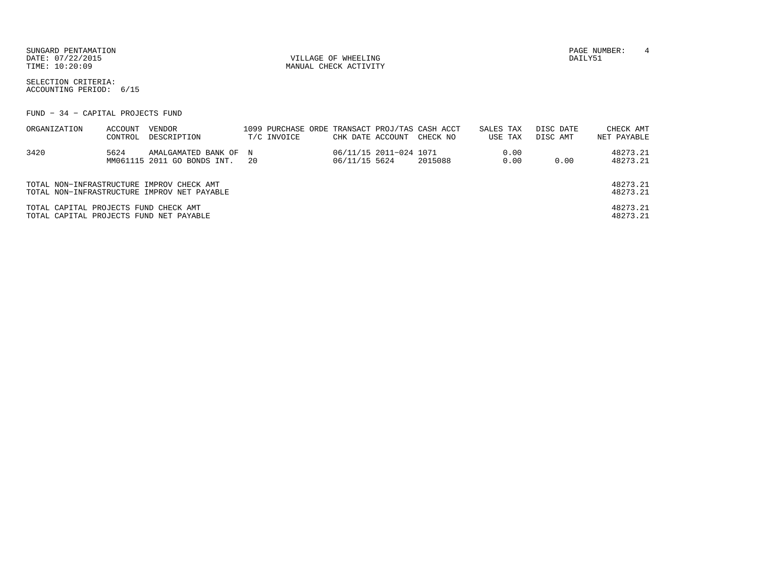SUNGARD PENTAMATION PAGE NUMBER: 4 DATE: 07/22/2015 VILLAGE OF WHEELING DAILY51

MANUAL CHECK ACTIVITY

SELECTION CRITERIA:ACCOUNTING PERIOD: 6/15

FUND − 34 − CAPITAL PROJECTS FUND

| ORGANIZATION                                                                     | ACCOUNT<br>CONTROL | VENDOR<br>DESCRIPTION                                                                    |      | T/C INVOICE | CHK DATE ACCOUNT |                        | 1099 PURCHASE ORDE TRANSACT PROJ/TAS CASH ACCT<br>CHECK NO | SALES TAX | USE TAX      | DISC DATE<br>DISC AMT |      | CHECK AMT<br>NET PAYABLE |
|----------------------------------------------------------------------------------|--------------------|------------------------------------------------------------------------------------------|------|-------------|------------------|------------------------|------------------------------------------------------------|-----------|--------------|-----------------------|------|--------------------------|
| 3420                                                                             | 5624               | AMALGAMATED BANK OF N<br>MM061115 2011 GO BONDS INT.                                     | - 20 |             | 06/11/15 5624    | 06/11/15 2011-024 1071 | 2015088                                                    |           | 0.00<br>0.00 |                       | 0.00 | 48273.21<br>48273.21     |
|                                                                                  |                    | TOTAL NON-INFRASTRUCTURE IMPROV CHECK AMT<br>TOTAL NON-INFRASTRUCTURE IMPROV NET PAYABLE |      |             |                  |                        |                                                            |           |              |                       |      | 48273.21<br>48273.21     |
| TOTAL CAPITAL PROJECTS FUND CHECK AMT<br>TOTAL CAPITAL PROJECTS FUND NET PAYABLE |                    |                                                                                          |      |             |                  |                        |                                                            |           |              |                       |      | 48273.21<br>48273.21     |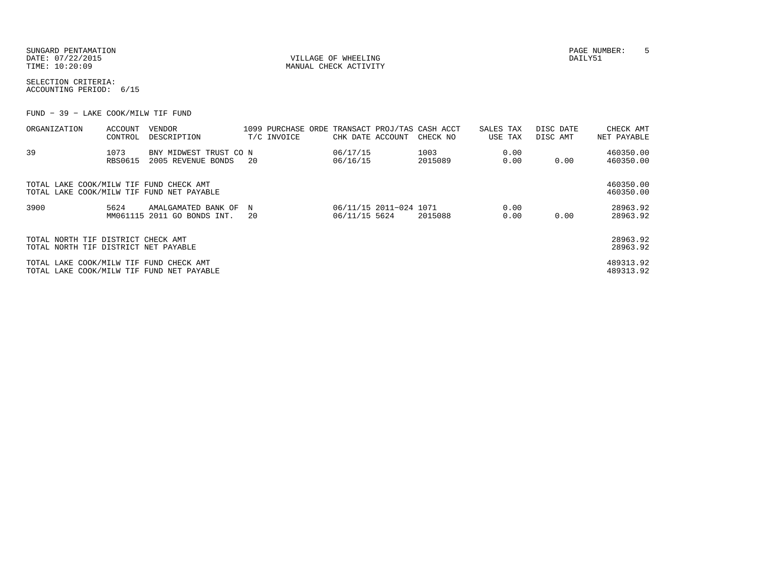| SUNGARD PENTAMATION |
|---------------------|
| DATE: 07/22/2015    |
| TIME: 10:20:09      |

VILLAGE OF WHEELING **DAILY51** MANUAL CHECK ACTIVITY

SELECTION CRITERIA:ACCOUNTING PERIOD: 6/15

FUND − 39 − LAKE COOK/MILW TIF FUND

| ORGANIZATION                                                                         | ACCOUNT<br>CONTROL | VENDOR<br>DESCRIPTION                              |         | T/C INVOICE | CHK DATE ACCOUNT                        | 1099 PURCHASE ORDE TRANSACT PROJ/TAS CASH ACCT<br>CHECK NO | SALES TAX<br>USE TAX | DISC DATE<br>DISC AMT | CHECK AMT<br>NET PAYABLE |
|--------------------------------------------------------------------------------------|--------------------|----------------------------------------------------|---------|-------------|-----------------------------------------|------------------------------------------------------------|----------------------|-----------------------|--------------------------|
| 39                                                                                   | 1073<br>RBS0615    | BNY MIDWEST TRUST CO N<br>2005 REVENUE BONDS       | 20      |             | 06/17/15<br>06/16/15                    | 1003<br>2015089                                            | 0.00<br>0.00         | 0.00                  | 460350.00<br>460350.00   |
| TOTAL LAKE COOK/MILW TIF FUND CHECK AMT<br>TOTAL LAKE COOK/MILW TIF FUND NET PAYABLE |                    |                                                    |         |             |                                         |                                                            |                      |                       | 460350.00<br>460350.00   |
| 3900                                                                                 | 5624               | AMALGAMATED BANK OF<br>MM061115 2011 GO BONDS INT. | N<br>20 |             | 06/11/15 2011-024 1071<br>06/11/15 5624 | 2015088                                                    | 0.00<br>0.00         | 0.00                  | 28963.92<br>28963.92     |
| TOTAL NORTH TIF DISTRICT CHECK AMT<br>TOTAL NORTH TIF DISTRICT NET PAYABLE           |                    |                                                    |         |             |                                         |                                                            |                      |                       | 28963.92<br>28963.92     |
| TOTAL LAKE COOK/MILW TIF FUND CHECK AMT<br>TOTAL LAKE COOK/MILW TIF FUND NET PAYABLE |                    |                                                    |         |             |                                         |                                                            |                      |                       | 489313.92<br>489313.92   |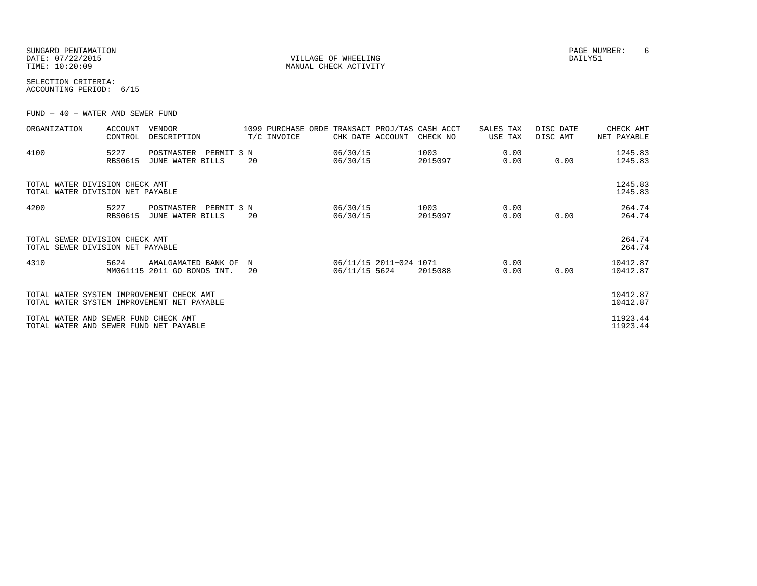| SUNGARD PENTAMATION |
|---------------------|
| DATE: 07/22/2015    |
| TIME: 10:20:09      |

VILLAGE OF WHEELING **DAILY51** MANUAL CHECK ACTIVITY

SELECTION CRITERIA:ACCOUNTING PERIOD: 6/15

FUND − 40 − WATER AND SEWER FUND

| ORGANIZATION                                                                           | <b>ACCOUNT</b><br>CONTROL | VENDOR<br>DESCRIPTION                              |            |         | 1099 PURCHASE ORDE<br>T/C INVOICE | CHK DATE ACCOUNT     |                        | TRANSACT PROJ/TAS CASH ACCT<br>CHECK NO | SALES TAX<br>USE TAX | DISC DATE<br>DISC AMT | CHECK AMT<br>NET PAYABLE |
|----------------------------------------------------------------------------------------|---------------------------|----------------------------------------------------|------------|---------|-----------------------------------|----------------------|------------------------|-----------------------------------------|----------------------|-----------------------|--------------------------|
| 4100                                                                                   | 5227<br><b>RBS0615</b>    | POSTMASTER<br>JUNE WATER BILLS                     | PERMIT 3 N | 20      |                                   | 06/30/15<br>06/30/15 |                        | 1003<br>2015097                         | 0.00<br>0.00         | 0.00                  | 1245.83<br>1245.83       |
| TOTAL WATER DIVISION CHECK AMT<br>TOTAL WATER DIVISION NET PAYABLE                     |                           |                                                    |            |         |                                   |                      |                        |                                         |                      |                       | 1245.83<br>1245.83       |
| 4200                                                                                   | 5227<br><b>RBS0615</b>    | POSTMASTER<br>JUNE WATER BILLS                     | PERMIT 3 N | 20      |                                   | 06/30/15<br>06/30/15 |                        | 1003<br>2015097                         | 0.00<br>0.00         | 0.00                  | 264.74<br>264.74         |
| TOTAL SEWER DIVISION CHECK AMT<br>TOTAL SEWER DIVISION NET PAYABLE                     |                           |                                                    |            |         |                                   |                      |                        |                                         |                      |                       | 264.74<br>264.74         |
| 4310                                                                                   | 5624                      | AMALGAMATED BANK OF<br>MM061115 2011 GO BONDS INT. |            | N<br>20 |                                   | 06/11/15 5624        | 06/11/15 2011-024 1071 | 2015088                                 | 0.00<br>0.00         | 0.00                  | 10412.87<br>10412.87     |
| TOTAL WATER SYSTEM IMPROVEMENT CHECK AMT<br>TOTAL WATER SYSTEM IMPROVEMENT NET PAYABLE |                           |                                                    |            |         |                                   |                      |                        |                                         |                      |                       | 10412.87<br>10412.87     |
| TOTAL WATER AND SEWER FUND CHECK AMT<br>TOTAL WATER AND SEWER FUND NET PAYABLE         |                           |                                                    |            |         |                                   |                      |                        |                                         |                      |                       | 11923.44<br>11923.44     |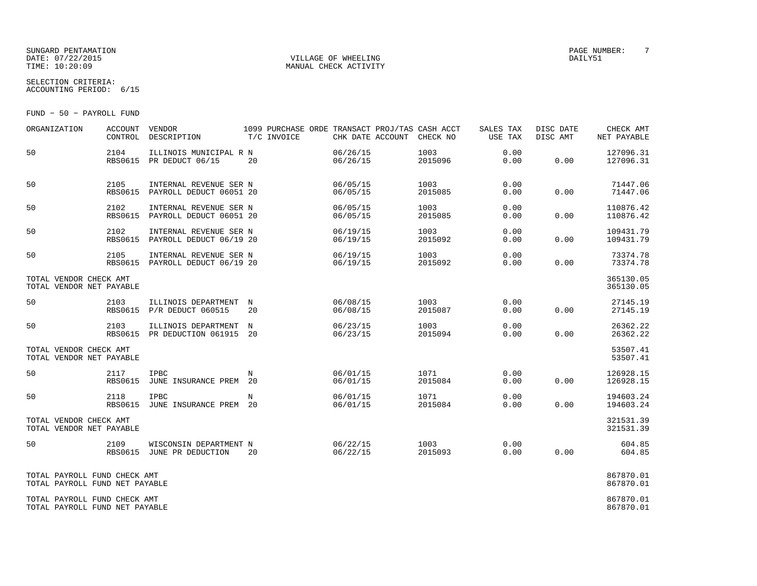#### SUNGARD PENTAMATION<br>
SUNGARD PENTAMATION<br>
DATE: 07/22/2015 DATE: 07/22/2015 VILLAGE OF WHEELING DAILY51

MANUAL CHECK ACTIVITY

SELECTION CRITERIA:ACCOUNTING PERIOD: 6/15

FUND − 50 − PAYROLL FUND

| ORGANIZATION                                                   | ACCOUNT<br>CONTROL     | VENDOR<br>DESCRIPTION                                     | 1099 PURCHASE ORDE TRANSACT PROJ/TAS CASH ACCT<br>T/C INVOICE | CHK DATE ACCOUNT     | CHECK NO        | SALES TAX<br>USE TAX | DISC DATE<br>DISC AMT | CHECK AMT<br>NET PAYABLE |
|----------------------------------------------------------------|------------------------|-----------------------------------------------------------|---------------------------------------------------------------|----------------------|-----------------|----------------------|-----------------------|--------------------------|
| 50                                                             | 2104                   | ILLINOIS MUNICIPAL R N<br>RBS0615 PR DEDUCT 06/15         | 20                                                            | 06/26/15<br>06/26/15 | 1003<br>2015096 | 0.00<br>0.00         | 0.00                  | 127096.31<br>127096.31   |
| 50                                                             | 2105<br>RBS0615        | INTERNAL REVENUE SER N<br>PAYROLL DEDUCT 06051 20         |                                                               | 06/05/15<br>06/05/15 | 1003<br>2015085 | 0.00<br>0.00         | 0.00                  | 71447.06<br>71447.06     |
| 50                                                             | 2102<br><b>RBS0615</b> | INTERNAL REVENUE SER N<br>PAYROLL DEDUCT 06051 20         |                                                               | 06/05/15<br>06/05/15 | 1003<br>2015085 | 0.00<br>0.00         | 0.00                  | 110876.42<br>110876.42   |
| 50                                                             | 2102<br><b>RBS0615</b> | INTERNAL REVENUE SER N<br>PAYROLL DEDUCT 06/19 20         |                                                               | 06/19/15<br>06/19/15 | 1003<br>2015092 | 0.00<br>0.00         | 0.00                  | 109431.79<br>109431.79   |
| 50                                                             | 2105                   | INTERNAL REVENUE SER N<br>RBS0615 PAYROLL DEDUCT 06/19 20 |                                                               | 06/19/15<br>06/19/15 | 1003<br>2015092 | 0.00<br>0.00         | 0.00                  | 73374.78<br>73374.78     |
| TOTAL VENDOR CHECK AMT<br>TOTAL VENDOR NET PAYABLE             |                        |                                                           |                                                               |                      |                 |                      |                       | 365130.05<br>365130.05   |
| 50                                                             | 2103                   | ILLINOIS DEPARTMENT N<br>RBS0615 P/R DEDUCT 060515        | 20                                                            | 06/08/15<br>06/08/15 | 1003<br>2015087 | 0.00<br>0.00         | 0.00                  | 27145.19<br>27145.19     |
| 50                                                             | 2103<br>RBS0615        | ILLINOIS DEPARTMENT<br>PR DEDUCTION 061915 20             | $_{\rm N}$                                                    | 06/23/15<br>06/23/15 | 1003<br>2015094 | 0.00<br>0.00         | 0.00                  | 26362.22<br>26362.22     |
| TOTAL VENDOR CHECK AMT<br>TOTAL VENDOR NET PAYABLE             |                        |                                                           |                                                               |                      |                 |                      |                       | 53507.41<br>53507.41     |
| 50                                                             | 2117<br><b>RBS0615</b> | <b>IPBC</b><br>JUNE INSURANCE PREM 20                     | N                                                             | 06/01/15<br>06/01/15 | 1071<br>2015084 | 0.00<br>0.00         | 0.00                  | 126928.15<br>126928.15   |
| 50                                                             | 2118<br>RBS0615        | <b>IPBC</b><br>JUNE INSURANCE PREM 20                     | N                                                             | 06/01/15<br>06/01/15 | 1071<br>2015084 | 0.00<br>0.00         | 0.00                  | 194603.24<br>194603.24   |
| TOTAL VENDOR CHECK AMT<br>TOTAL VENDOR NET PAYABLE             |                        |                                                           |                                                               |                      |                 |                      |                       | 321531.39<br>321531.39   |
| 50                                                             | 2109                   | WISCONSIN DEPARTMENT N<br>RBS0615 JUNE PR DEDUCTION       | 20                                                            | 06/22/15<br>06/22/15 | 1003<br>2015093 | 0.00<br>0.00         | 0.00                  | 604.85<br>604.85         |
| TOTAL PAYROLL FUND CHECK AMT<br>TOTAL PAYROLL FUND NET PAYABLE |                        |                                                           |                                                               |                      |                 |                      |                       | 867870.01<br>867870.01   |
| TOTAL PAYROLL FUND CHECK AMT<br>TOTAL PAYROLL FUND NET PAYABLE |                        |                                                           |                                                               |                      |                 |                      |                       | 867870.01<br>867870.01   |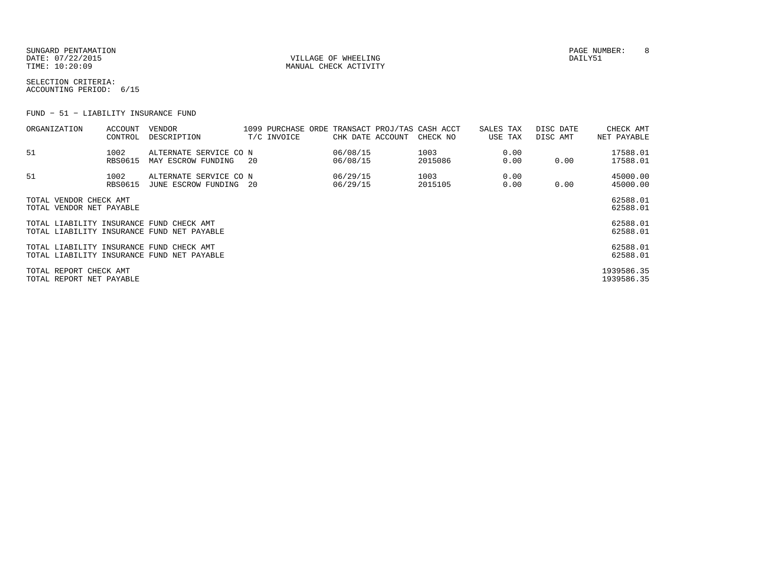SUNGARD PENTAMATION PAGE NUMBER: 8DATE: 07/22/2015 VILLAGE OF WHEELING DAILY51

MANUAL CHECK ACTIVITY

SELECTION CRITERIA:ACCOUNTING PERIOD: 6/15

FUND − 51 − LIABILITY INSURANCE FUND

| ORGANIZATION                                       | ACCOUNT<br>CONTROL     | VENDOR<br>DESCRIPTION                            |     | T/C INVOICE | CHK DATE ACCOUNT     | 1099 PURCHASE ORDE TRANSACT PROJ/TAS CASH ACCT<br>CHECK NO | SALES TAX<br>USE TAX | DISC DATE<br>DISC AMT | CHECK AMT<br>NET PAYABLE |
|----------------------------------------------------|------------------------|--------------------------------------------------|-----|-------------|----------------------|------------------------------------------------------------|----------------------|-----------------------|--------------------------|
| 51                                                 | 1002<br><b>RBS0615</b> | ALTERNATE SERVICE CO N<br>MAY ESCROW FUNDING     | -20 |             | 06/08/15<br>06/08/15 | 1003<br>2015086                                            | 0.00<br>0.00         | 0.00                  | 17588.01<br>17588.01     |
| 51                                                 | 1002<br><b>RBS0615</b> | ALTERNATE SERVICE CO N<br>JUNE ESCROW FUNDING 20 |     |             | 06/29/15<br>06/29/15 | 1003<br>2015105                                            | 0.00<br>0.00         | 0.00                  | 45000.00<br>45000.00     |
| TOTAL VENDOR CHECK AMT<br>TOTAL VENDOR NET PAYABLE |                        |                                                  |     |             |                      |                                                            |                      |                       | 62588.01<br>62588.01     |
| TOTAL LIABILITY INSURANCE FUND CHECK AMT           |                        | TOTAL LIABILITY INSURANCE FUND NET PAYABLE       |     |             |                      |                                                            |                      |                       | 62588.01<br>62588.01     |
| TOTAL LIABILITY INSURANCE FUND CHECK AMT           |                        | TOTAL LIABILITY INSURANCE FUND NET PAYABLE       |     |             |                      |                                                            |                      |                       | 62588.01<br>62588.01     |
| TOTAL REPORT CHECK AMT<br>TOTAL REPORT NET PAYABLE |                        |                                                  |     |             |                      |                                                            |                      |                       | 1939586.35<br>1939586.35 |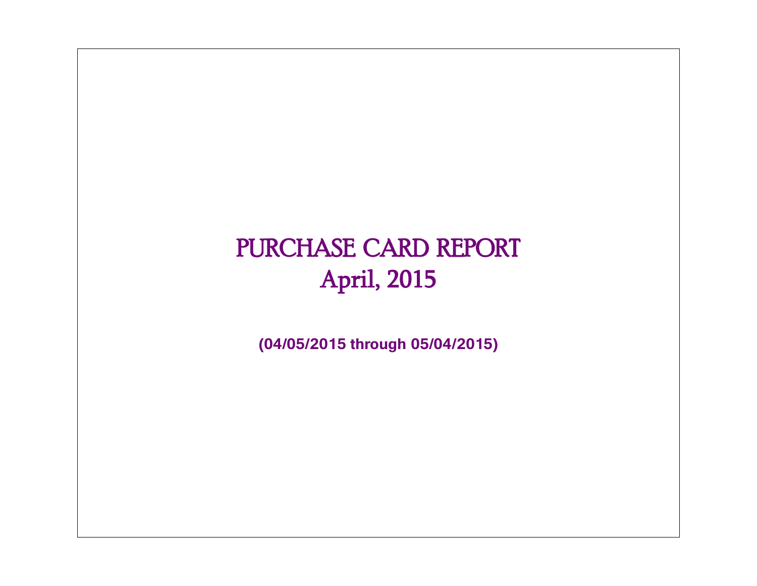# PURCHASE CARD REPORT April, 2015

**(04/05/2015 through 05/04/2015)**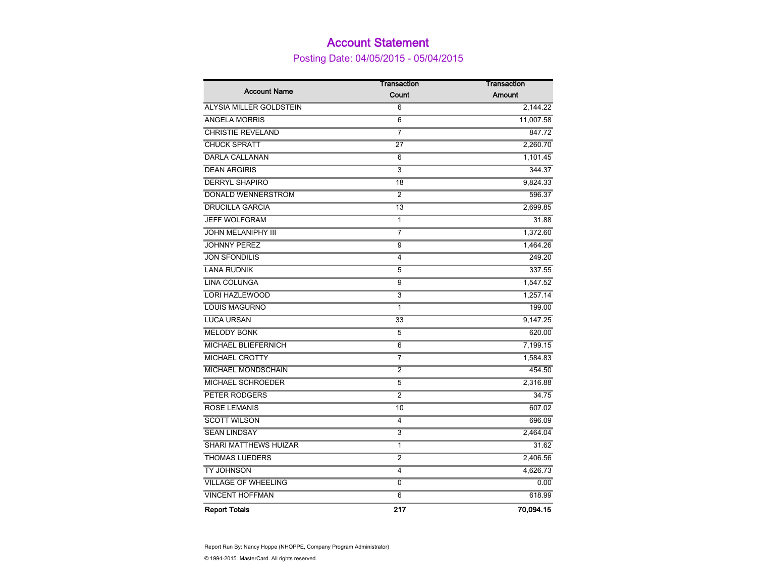### Account Statement

Posting Date: 04/05/2015 - 05/04/2015

|                            | <b>Transaction</b> | <b>Transaction</b> |
|----------------------------|--------------------|--------------------|
| <b>Account Name</b>        | Count              | <b>Amount</b>      |
| ALYSIA MILLER GOLDSTEIN    | 6                  | 2,144.22           |
| <b>ANGELA MORRIS</b>       | $\overline{6}$     | 11,007.58          |
| <b>CHRISTIE REVELAND</b>   | $\overline{7}$     | 847.72             |
| <b>CHUCK SPRATT</b>        | 27                 | 2,260.70           |
| <b>DARLA CALLANAN</b>      | 6                  | 1,101.45           |
| <b>DEAN ARGIRIS</b>        | 3                  | 344.37             |
| <b>DERRYL SHAPIRO</b>      | 18                 | 9,824.33           |
| DONALD WENNERSTROM         | $\overline{2}$     | 596.37             |
| <b>DRUCILLA GARCIA</b>     | 13                 | 2,699.85           |
| <b>JEFF WOLFGRAM</b>       | $\overline{1}$     | 31.88              |
| <b>JOHN MELANIPHY III</b>  | $\overline{7}$     | 1,372.60           |
| <b>JOHNNY PEREZ</b>        | $\overline{9}$     | 1,464.26           |
| <b>JON SFONDILIS</b>       | $\overline{4}$     | 249.20             |
| <b>LANA RUDNIK</b>         | 5                  | 337.55             |
| <b>LINA COLUNGA</b>        | $\overline{9}$     | 1,547.52           |
| <b>LORI HAZLEWOOD</b>      | $\overline{3}$     | 1,257.14           |
| <b>LOUIS MAGURNO</b>       | 1                  | 199.00             |
| <b>LUCA URSAN</b>          | $\overline{33}$    | 9,147.25           |
| <b>MELODY BONK</b>         | 5                  | 620.00             |
| MICHAEL BLIEFERNICH        | 6                  | 7,199.15           |
| <b>MICHAEL CROTTY</b>      | 7                  | 1,584.83           |
| MICHAEL MONDSCHAIN         | $\overline{2}$     | 454.50             |
| <b>MICHAEL SCHROEDER</b>   | $\overline{5}$     | 2,316.88           |
| PETER RODGERS              | $\overline{2}$     | 34.75              |
| <b>ROSE LEMANIS</b>        | 10                 | 607.02             |
| <b>SCOTT WILSON</b>        | 4                  | 696.09             |
| <b>SEAN LINDSAY</b>        | $\overline{3}$     | 2,464.04           |
| SHARI MATTHEWS HUIZAR      | 1                  | 31.62              |
| <b>THOMAS LUEDERS</b>      | $\overline{2}$     | 2,406.56           |
| <b>TY JOHNSON</b>          | $\overline{4}$     | 4,626.73           |
| <b>VILLAGE OF WHEELING</b> | 0                  | 0.00               |
| <b>VINCENT HOFFMAN</b>     | $\overline{6}$     | 618.99             |
| <b>Report Totals</b>       | 217                | 70.094.15          |

Report Run By: Nancy Hoppe (NHOPPE, Company Program Administrator) © 1994-2015. MasterCard. All rights reserved.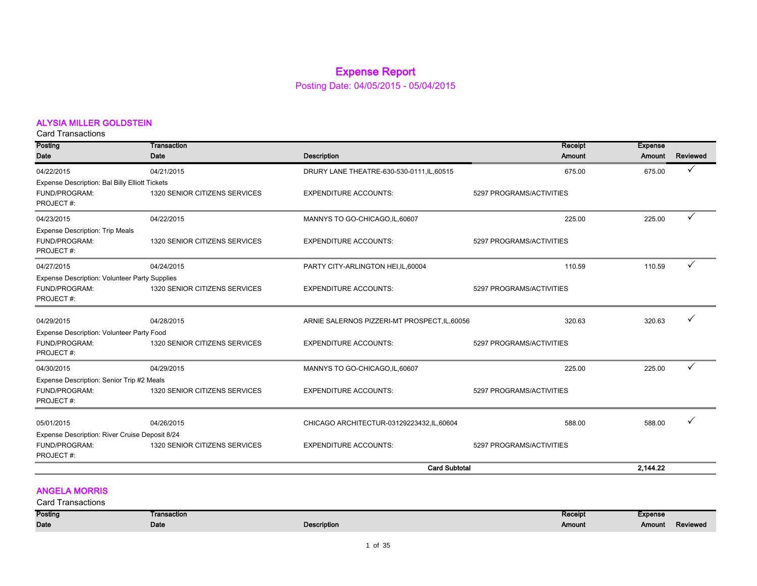### Expense Report

Posting Date: 04/05/2015 - 05/04/2015

#### ALYSIA MILLER GOLDSTEIN

Card Transactions

| Posting                                                    | <b>Transaction</b>            |                                               | Receipt                  | <b>Expense</b> |          |
|------------------------------------------------------------|-------------------------------|-----------------------------------------------|--------------------------|----------------|----------|
| <b>Date</b>                                                | Date                          | <b>Description</b>                            | Amount                   | Amount         | Reviewed |
| 04/22/2015                                                 | 04/21/2015                    | DRURY LANE THEATRE-630-530-0111, IL, 60515    | 675.00                   | 675.00         | ✓        |
| Expense Description: Bal Billy Elliott Tickets             |                               |                                               |                          |                |          |
| FUND/PROGRAM:                                              | 1320 SENIOR CITIZENS SERVICES | <b>EXPENDITURE ACCOUNTS:</b>                  | 5297 PROGRAMS/ACTIVITIES |                |          |
| PROJECT#:                                                  |                               |                                               |                          |                |          |
| 04/23/2015                                                 | 04/22/2015                    | MANNYS TO GO-CHICAGO, IL, 60607               | 225.00                   | 225.00         | ✓        |
| <b>Expense Description: Trip Meals</b>                     |                               |                                               |                          |                |          |
| FUND/PROGRAM:                                              | 1320 SENIOR CITIZENS SERVICES | <b>EXPENDITURE ACCOUNTS:</b>                  | 5297 PROGRAMS/ACTIVITIES |                |          |
| PROJECT#:                                                  |                               |                                               |                          |                |          |
| 04/27/2015                                                 | 04/24/2015                    | PARTY CITY-ARLINGTON HEI, IL, 60004           | 110.59                   | 110.59         | ✓        |
| <b>Expense Description: Volunteer Party Supplies</b>       |                               |                                               |                          |                |          |
| FUND/PROGRAM:                                              | 1320 SENIOR CITIZENS SERVICES | <b>EXPENDITURE ACCOUNTS:</b>                  | 5297 PROGRAMS/ACTIVITIES |                |          |
| PROJECT#:                                                  |                               |                                               |                          |                |          |
| 04/29/2015                                                 | 04/28/2015                    | ARNIE SALERNOS PIZZERI-MT PROSPECT, IL, 60056 | 320.63                   | 320.63         |          |
|                                                            |                               |                                               |                          |                |          |
| Expense Description: Volunteer Party Food<br>FUND/PROGRAM: | 1320 SENIOR CITIZENS SERVICES | <b>EXPENDITURE ACCOUNTS:</b>                  | 5297 PROGRAMS/ACTIVITIES |                |          |
| PROJECT#:                                                  |                               |                                               |                          |                |          |
| 04/30/2015                                                 | 04/29/2015                    | MANNYS TO GO-CHICAGO, IL, 60607               | 225.00                   | 225.00         | ✓        |
| Expense Description: Senior Trip #2 Meals                  |                               |                                               |                          |                |          |
| FUND/PROGRAM:                                              | 1320 SENIOR CITIZENS SERVICES | <b>EXPENDITURE ACCOUNTS:</b>                  | 5297 PROGRAMS/ACTIVITIES |                |          |
| PROJECT#:                                                  |                               |                                               |                          |                |          |
|                                                            |                               |                                               |                          |                |          |
| 05/01/2015                                                 | 04/26/2015                    | CHICAGO ARCHITECTUR-03129223432, IL, 60604    | 588.00                   | 588.00         |          |
| Expense Description: River Cruise Deposit 8/24             |                               |                                               |                          |                |          |
| FUND/PROGRAM:                                              | 1320 SENIOR CITIZENS SERVICES | <b>EXPENDITURE ACCOUNTS:</b>                  | 5297 PROGRAMS/ACTIVITIES |                |          |
| PROJECT#:                                                  |                               |                                               |                          |                |          |
|                                                            |                               | <b>Card Subtotal</b>                          |                          | 2.144.22       |          |

#### ANGELA MORRIS

| Card T<br><u>I</u> ransactions |                                        |             |         |                |          |
|--------------------------------|----------------------------------------|-------------|---------|----------------|----------|
| Posting                        | Transaction<br>. . <del></del> <b></b> |             | Receipt | <b>Expense</b> |          |
| Date                           | Date                                   | Description | Amount  | Amount         | Reviewed |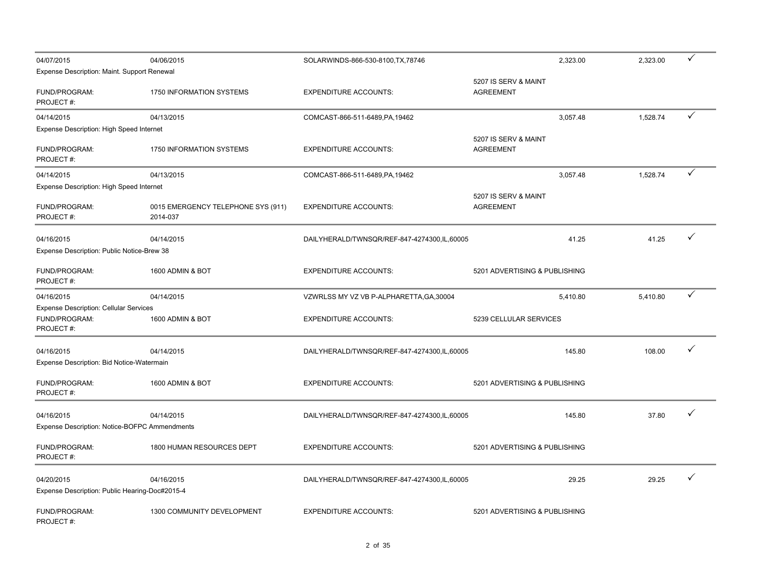| 04/07/2015                                                                  | 04/06/2015                                     | SOLARWINDS-866-530-8100, TX, 78746          | 2,323.00                                 | 2,323.00 | $\checkmark$ |
|-----------------------------------------------------------------------------|------------------------------------------------|---------------------------------------------|------------------------------------------|----------|--------------|
| Expense Description: Maint. Support Renewal                                 |                                                |                                             |                                          |          |              |
| FUND/PROGRAM:<br>PROJECT#:                                                  | 1750 INFORMATION SYSTEMS                       | <b>EXPENDITURE ACCOUNTS:</b>                | 5207 IS SERV & MAINT<br><b>AGREEMENT</b> |          |              |
| 04/14/2015                                                                  | 04/13/2015                                     | COMCAST-866-511-6489, PA, 19462             | 3.057.48                                 | 1,528.74 | ✓            |
| Expense Description: High Speed Internet                                    |                                                |                                             |                                          |          |              |
| FUND/PROGRAM:<br>PROJECT#:                                                  | <b>1750 INFORMATION SYSTEMS</b>                | <b>EXPENDITURE ACCOUNTS:</b>                | 5207 IS SERV & MAINT<br><b>AGREEMENT</b> |          |              |
| 04/14/2015                                                                  | 04/13/2015                                     | COMCAST-866-511-6489, PA, 19462             | 3,057.48                                 | 1,528.74 | ✓            |
| Expense Description: High Speed Internet                                    |                                                |                                             |                                          |          |              |
| FUND/PROGRAM:<br>PROJECT#:                                                  | 0015 EMERGENCY TELEPHONE SYS (911)<br>2014-037 | <b>EXPENDITURE ACCOUNTS:</b>                | 5207 IS SERV & MAINT<br><b>AGREEMENT</b> |          |              |
| 04/16/2015<br>Expense Description: Public Notice-Brew 38                    | 04/14/2015                                     | DAILYHERALD/TWNSQR/REF-847-4274300,IL,60005 | 41.25                                    | 41.25    | ✓            |
| FUND/PROGRAM:<br>PROJECT#:                                                  | 1600 ADMIN & BOT                               | <b>EXPENDITURE ACCOUNTS:</b>                | 5201 ADVERTISING & PUBLISHING            |          |              |
| 04/16/2015                                                                  | 04/14/2015                                     | VZWRLSS MY VZ VB P-ALPHARETTA, GA, 30004    | 5,410.80                                 | 5,410.80 | ✓            |
| <b>Expense Description: Cellular Services</b><br>FUND/PROGRAM:<br>PROJECT#: | 1600 ADMIN & BOT                               | <b>EXPENDITURE ACCOUNTS:</b>                | 5239 CELLULAR SERVICES                   |          |              |
| 04/16/2015<br>Expense Description: Bid Notice-Watermain                     | 04/14/2015                                     | DAILYHERALD/TWNSQR/REF-847-4274300,IL,60005 | 145.80                                   | 108.00   | ✓            |
| FUND/PROGRAM:<br>PROJECT#:                                                  | 1600 ADMIN & BOT                               | <b>EXPENDITURE ACCOUNTS:</b>                | 5201 ADVERTISING & PUBLISHING            |          |              |
| 04/16/2015<br>Expense Description: Notice-BOFPC Ammendments                 | 04/14/2015                                     | DAILYHERALD/TWNSQR/REF-847-4274300,IL,60005 | 145.80                                   | 37.80    |              |
| FUND/PROGRAM:<br>PROJECT#:                                                  | 1800 HUMAN RESOURCES DEPT                      | <b>EXPENDITURE ACCOUNTS:</b>                | 5201 ADVERTISING & PUBLISHING            |          |              |
| 04/20/2015<br>Expense Description: Public Hearing-Doc#2015-4                | 04/16/2015                                     | DAILYHERALD/TWNSQR/REF-847-4274300,IL,60005 | 29.25                                    | 29.25    |              |
| FUND/PROGRAM:<br>PROJECT#:                                                  | 1300 COMMUNITY DEVELOPMENT                     | <b>EXPENDITURE ACCOUNTS:</b>                | 5201 ADVERTISING & PUBLISHING            |          |              |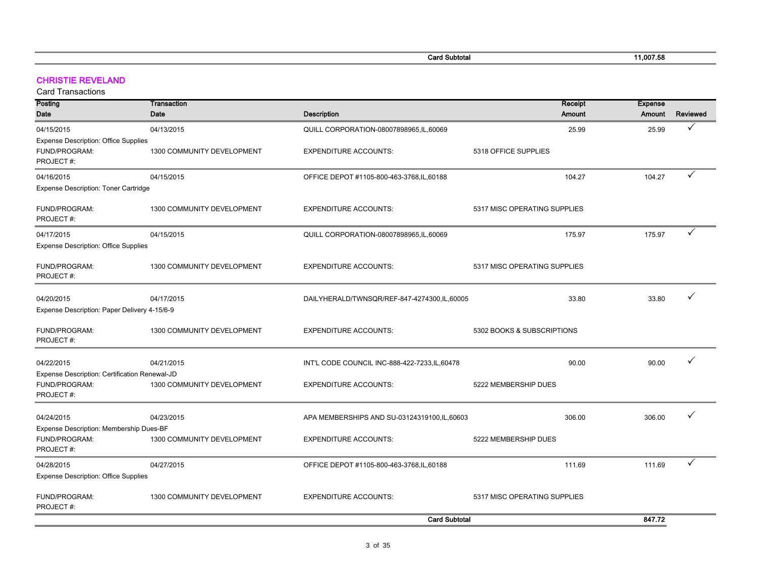| <b>Card Subtotal</b> | 11,007.58 |
|----------------------|-----------|
|                      |           |

#### CHRISTIE REVELAND

Card Transactions

**College** 

| Posting                                                    | Transaction                |                                                | Receipt                      | <b>Expense</b> |                 |
|------------------------------------------------------------|----------------------------|------------------------------------------------|------------------------------|----------------|-----------------|
| <b>Date</b>                                                | Date                       | <b>Description</b>                             | <b>Amount</b>                | Amount         | <b>Reviewed</b> |
| 04/15/2015                                                 | 04/13/2015                 | QUILL CORPORATION-08007898965.IL,60069         | 25.99                        | 25.99          | ✓               |
| <b>Expense Description: Office Supplies</b>                |                            |                                                |                              |                |                 |
| FUND/PROGRAM:                                              | 1300 COMMUNITY DEVELOPMENT | <b>EXPENDITURE ACCOUNTS:</b>                   | 5318 OFFICE SUPPLIES         |                |                 |
| PROJECT#:                                                  |                            |                                                |                              |                |                 |
| 04/16/2015                                                 | 04/15/2015                 | OFFICE DEPOT #1105-800-463-3768, IL, 60188     | 104.27                       | 104.27         | ✓               |
| Expense Description: Toner Cartridge                       |                            |                                                |                              |                |                 |
| FUND/PROGRAM:                                              | 1300 COMMUNITY DEVELOPMENT | <b>EXPENDITURE ACCOUNTS:</b>                   | 5317 MISC OPERATING SUPPLIES |                |                 |
| PROJECT#:                                                  |                            |                                                |                              |                |                 |
| 04/17/2015                                                 | 04/15/2015                 | QUILL CORPORATION-08007898965,IL,60069         | 175.97                       | 175.97         | ✓               |
| <b>Expense Description: Office Supplies</b>                |                            |                                                |                              |                |                 |
| FUND/PROGRAM:                                              | 1300 COMMUNITY DEVELOPMENT | <b>EXPENDITURE ACCOUNTS:</b>                   | 5317 MISC OPERATING SUPPLIES |                |                 |
| PROJECT#:                                                  |                            |                                                |                              |                |                 |
|                                                            |                            |                                                |                              | 33.80          |                 |
| 04/20/2015<br>Expense Description: Paper Delivery 4-15/6-9 | 04/17/2015                 | DAILYHERALD/TWNSQR/REF-847-4274300,IL,60005    | 33.80                        |                |                 |
|                                                            |                            |                                                |                              |                |                 |
| FUND/PROGRAM:                                              | 1300 COMMUNITY DEVELOPMENT | <b>EXPENDITURE ACCOUNTS:</b>                   | 5302 BOOKS & SUBSCRIPTIONS   |                |                 |
| PROJECT#:                                                  |                            |                                                |                              |                |                 |
| 04/22/2015                                                 | 04/21/2015                 | INT'L CODE COUNCIL INC-888-422-7233, IL, 60478 | 90.00                        | 90.00          | ✓               |
| Expense Description: Certification Renewal-JD              |                            |                                                |                              |                |                 |
| FUND/PROGRAM:                                              | 1300 COMMUNITY DEVELOPMENT | <b>EXPENDITURE ACCOUNTS:</b>                   | 5222 MEMBERSHIP DUES         |                |                 |
| PROJECT#:                                                  |                            |                                                |                              |                |                 |
| 04/24/2015                                                 | 04/23/2015                 | APA MEMBERSHIPS AND SU-03124319100,IL,60603    | 306.00                       | 306.00         |                 |
| Expense Description: Membership Dues-BF                    |                            |                                                |                              |                |                 |
| FUND/PROGRAM:                                              | 1300 COMMUNITY DEVELOPMENT | <b>EXPENDITURE ACCOUNTS:</b>                   | 5222 MEMBERSHIP DUES         |                |                 |
| PROJECT#:                                                  |                            |                                                |                              |                |                 |
| 04/28/2015                                                 | 04/27/2015                 | OFFICE DEPOT #1105-800-463-3768, IL, 60188     | 111.69                       | 111.69         | ✓               |
| <b>Expense Description: Office Supplies</b>                |                            |                                                |                              |                |                 |
| FUND/PROGRAM:                                              | 1300 COMMUNITY DEVELOPMENT | <b>EXPENDITURE ACCOUNTS:</b>                   | 5317 MISC OPERATING SUPPLIES |                |                 |
| PROJECT#:                                                  |                            |                                                |                              |                |                 |
|                                                            |                            | <b>Card Subtotal</b>                           |                              | 847.72         |                 |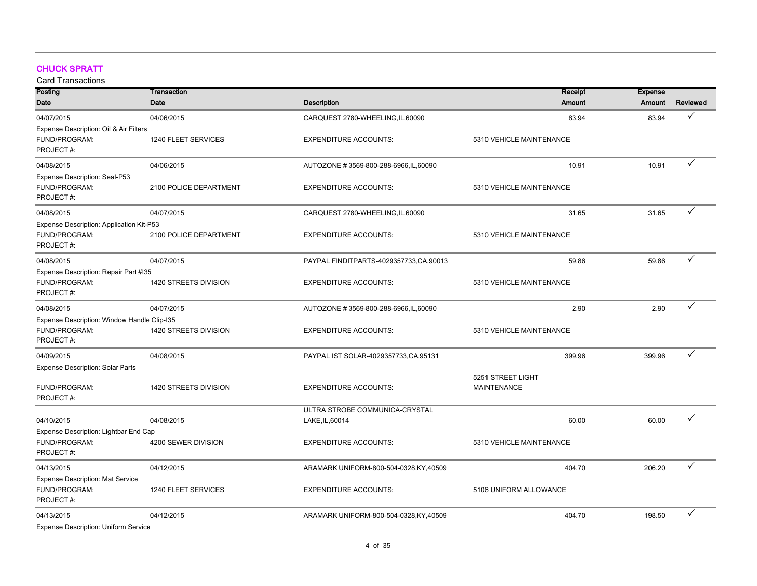#### CHUCK SPRATT

| Posting                                     | <b>Transaction</b>     | Receipt                                 | <b>Expense</b>           |               |              |
|---------------------------------------------|------------------------|-----------------------------------------|--------------------------|---------------|--------------|
| Date                                        | Date                   | <b>Description</b>                      | Amount                   | <b>Amount</b> | Reviewed     |
| 04/07/2015                                  | 04/06/2015             | CARQUEST 2780-WHEELING,IL,60090         | 83.94                    | 83.94         | $\checkmark$ |
| Expense Description: Oil & Air Filters      |                        |                                         |                          |               |              |
| FUND/PROGRAM:                               | 1240 FLEET SERVICES    | <b>EXPENDITURE ACCOUNTS:</b>            | 5310 VEHICLE MAINTENANCE |               |              |
| PROJECT#:                                   |                        |                                         |                          |               |              |
| 04/08/2015                                  | 04/06/2015             | AUTOZONE #3569-800-288-6966,IL,60090    | 10.91                    | 10.91         | $\checkmark$ |
| Expense Description: Seal-P53               |                        |                                         |                          |               |              |
| FUND/PROGRAM:                               | 2100 POLICE DEPARTMENT | <b>EXPENDITURE ACCOUNTS:</b>            | 5310 VEHICLE MAINTENANCE |               |              |
| PROJECT#:                                   |                        |                                         |                          |               |              |
| 04/08/2015                                  | 04/07/2015             | CARQUEST 2780-WHEELING,IL,60090         | 31.65                    | 31.65         | $\checkmark$ |
| Expense Description: Application Kit-P53    |                        |                                         |                          |               |              |
| FUND/PROGRAM:                               | 2100 POLICE DEPARTMENT | <b>EXPENDITURE ACCOUNTS:</b>            | 5310 VEHICLE MAINTENANCE |               |              |
| PROJECT#:                                   |                        |                                         |                          |               |              |
| 04/08/2015                                  | 04/07/2015             | PAYPAL FINDITPARTS-4029357733,CA,90013  | 59.86                    | 59.86         | $\checkmark$ |
| Expense Description: Repair Part #135       |                        |                                         |                          |               |              |
| FUND/PROGRAM:                               | 1420 STREETS DIVISION  | <b>EXPENDITURE ACCOUNTS:</b>            | 5310 VEHICLE MAINTENANCE |               |              |
| PROJECT#:                                   |                        |                                         |                          |               |              |
| 04/08/2015                                  | 04/07/2015             | AUTOZONE #3569-800-288-6966, IL, 60090  | 2.90                     | 2.90          | $\checkmark$ |
| Expense Description: Window Handle Clip-I35 |                        |                                         |                          |               |              |
| FUND/PROGRAM:                               | 1420 STREETS DIVISION  | <b>EXPENDITURE ACCOUNTS:</b>            | 5310 VEHICLE MAINTENANCE |               |              |
| PROJECT#:                                   |                        |                                         |                          |               |              |
| 04/09/2015                                  | 04/08/2015             | PAYPAL IST SOLAR-4029357733, CA, 95131  | 399.96                   | 399.96        | $\checkmark$ |
| <b>Expense Description: Solar Parts</b>     |                        |                                         |                          |               |              |
|                                             |                        |                                         | 5251 STREET LIGHT        |               |              |
| FUND/PROGRAM:                               | 1420 STREETS DIVISION  | <b>EXPENDITURE ACCOUNTS:</b>            | <b>MAINTENANCE</b>       |               |              |
| PROJECT#:                                   |                        |                                         |                          |               |              |
|                                             |                        | ULTRA STROBE COMMUNICA-CRYSTAL          |                          |               | ✓            |
| 04/10/2015                                  | 04/08/2015             | LAKE, IL, 60014                         | 60.00                    | 60.00         |              |
| Expense Description: Lightbar End Cap       |                        |                                         |                          |               |              |
| FUND/PROGRAM:                               | 4200 SEWER DIVISION    | <b>EXPENDITURE ACCOUNTS:</b>            | 5310 VEHICLE MAINTENANCE |               |              |
| PROJECT#:                                   |                        |                                         |                          |               |              |
| 04/13/2015                                  | 04/12/2015             | ARAMARK UNIFORM-800-504-0328, KY, 40509 | 404.70                   | 206.20        | $\checkmark$ |
| <b>Expense Description: Mat Service</b>     |                        |                                         |                          |               |              |
| FUND/PROGRAM:                               | 1240 FLEET SERVICES    | <b>EXPENDITURE ACCOUNTS:</b>            | 5106 UNIFORM ALLOWANCE   |               |              |
| PROJECT#:                                   |                        |                                         |                          |               |              |
| 04/13/2015                                  | 04/12/2015             | ARAMARK UNIFORM-800-504-0328,KY,40509   | 404.70                   | 198.50        | ✓            |
| <b>Expense Description: Uniform Service</b> |                        |                                         |                          |               |              |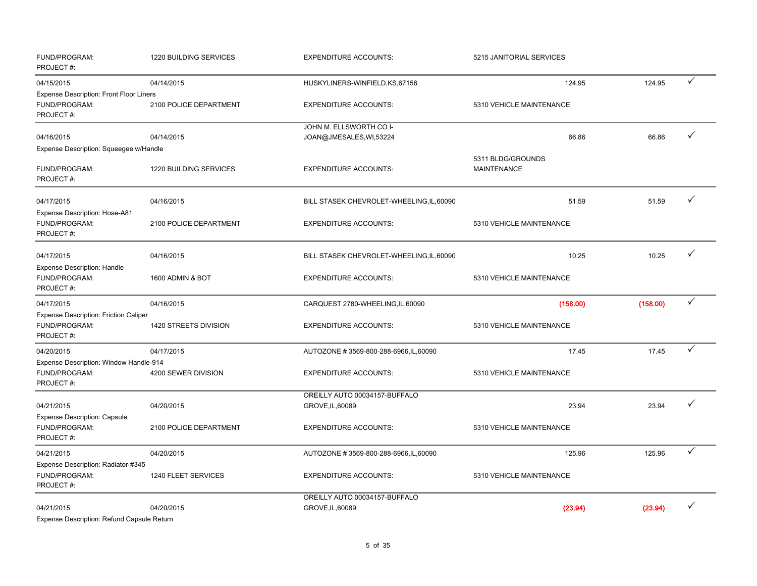| FUND/PROGRAM:<br>PROJECT#:                                                   | 1220 BUILDING SERVICES | <b>EXPENDITURE ACCOUNTS:</b>                       | 5215 JANITORIAL SERVICES                |          |   |
|------------------------------------------------------------------------------|------------------------|----------------------------------------------------|-----------------------------------------|----------|---|
| 04/15/2015                                                                   | 04/14/2015             | HUSKYLINERS-WINFIELD, KS, 67156                    | 124.95                                  | 124.95   | ✓ |
| <b>Expense Description: Front Floor Liners</b><br>FUND/PROGRAM:<br>PROJECT#: | 2100 POLICE DEPARTMENT | <b>EXPENDITURE ACCOUNTS:</b>                       | 5310 VEHICLE MAINTENANCE                |          |   |
| 04/16/2015                                                                   | 04/14/2015             | JOHN M. ELLSWORTH CO I-<br>JOAN@JMESALES, WI,53224 | 66.86                                   | 66.86    | ✓ |
| Expense Description: Squeegee w/Handle                                       |                        |                                                    |                                         |          |   |
| FUND/PROGRAM:<br>PROJECT#:                                                   | 1220 BUILDING SERVICES | <b>EXPENDITURE ACCOUNTS:</b>                       | 5311 BLDG/GROUNDS<br><b>MAINTENANCE</b> |          |   |
| 04/17/2015                                                                   | 04/16/2015             | BILL STASEK CHEVROLET-WHEELING, IL, 60090          | 51.59                                   | 51.59    | ✓ |
| Expense Description: Hose-A81<br>FUND/PROGRAM:<br>PROJECT#:                  | 2100 POLICE DEPARTMENT | <b>EXPENDITURE ACCOUNTS:</b>                       | 5310 VEHICLE MAINTENANCE                |          |   |
| 04/17/2015                                                                   | 04/16/2015             | BILL STASEK CHEVROLET-WHEELING, IL, 60090          | 10.25                                   | 10.25    | ✓ |
| Expense Description: Handle<br>FUND/PROGRAM:<br>PROJECT#:                    | 1600 ADMIN & BOT       | <b>EXPENDITURE ACCOUNTS:</b>                       | 5310 VEHICLE MAINTENANCE                |          |   |
| 04/17/2015                                                                   | 04/16/2015             | CARQUEST 2780-WHEELING,IL,60090                    | (158.00)                                | (158.00) | ✓ |
| <b>Expense Description: Friction Caliper</b><br>FUND/PROGRAM:<br>PROJECT#:   | 1420 STREETS DIVISION  | <b>EXPENDITURE ACCOUNTS:</b>                       | 5310 VEHICLE MAINTENANCE                |          |   |
| 04/20/2015                                                                   | 04/17/2015             | AUTOZONE #3569-800-288-6966, IL, 60090             | 17.45                                   | 17.45    | ✓ |
| Expense Description: Window Handle-914<br>FUND/PROGRAM:<br>PROJECT#:         | 4200 SEWER DIVISION    | <b>EXPENDITURE ACCOUNTS:</b>                       | 5310 VEHICLE MAINTENANCE                |          |   |
| 04/21/2015<br><b>Expense Description: Capsule</b>                            | 04/20/2015             | OREILLY AUTO 00034157-BUFFALO<br>GROVE, IL, 60089  | 23.94                                   | 23.94    | ✓ |
| FUND/PROGRAM:<br>PROJECT#:                                                   | 2100 POLICE DEPARTMENT | <b>EXPENDITURE ACCOUNTS:</b>                       | 5310 VEHICLE MAINTENANCE                |          |   |
| 04/21/2015                                                                   | 04/20/2015             | AUTOZONE #3569-800-288-6966, IL, 60090             | 125.96                                  | 125.96   | ✓ |
| Expense Description: Radiator-#345<br>FUND/PROGRAM:<br>PROJECT#:             | 1240 FLEET SERVICES    | <b>EXPENDITURE ACCOUNTS:</b>                       | 5310 VEHICLE MAINTENANCE                |          |   |
|                                                                              |                        | OREILLY AUTO 00034157-BUFFALO                      |                                         |          | ✓ |
| 04/21/2015<br>Expense Description: Refund Capsule Return                     | 04/20/2015             | GROVE, IL, 60089                                   | (23.94)                                 | (23.94)  |   |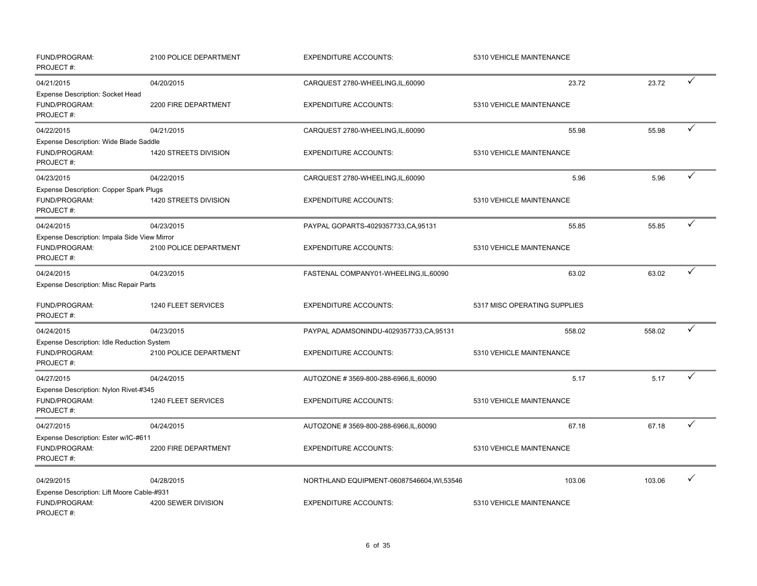| FUND/PROGRAM:<br>PROJECT#:                                                 | 2100 POLICE DEPARTMENT            | <b>EXPENDITURE ACCOUNTS:</b>                                              | 5310 VEHICLE MAINTENANCE           |        |              |
|----------------------------------------------------------------------------|-----------------------------------|---------------------------------------------------------------------------|------------------------------------|--------|--------------|
| 04/21/2015                                                                 | 04/20/2015                        | CARQUEST 2780-WHEELING,IL,60090                                           | 23.72                              | 23.72  | ✓            |
| Expense Description: Socket Head<br>FUND/PROGRAM:<br>PROJECT#:             | 2200 FIRE DEPARTMENT              | <b>EXPENDITURE ACCOUNTS:</b>                                              | 5310 VEHICLE MAINTENANCE           |        |              |
| 04/22/2015                                                                 | 04/21/2015                        | CARQUEST 2780-WHEELING,IL,60090                                           | 55.98                              | 55.98  | ✓            |
| Expense Description: Wide Blade Saddle<br>FUND/PROGRAM:<br>PROJECT #:      | 1420 STREETS DIVISION             | <b>EXPENDITURE ACCOUNTS:</b>                                              | 5310 VEHICLE MAINTENANCE           |        |              |
| 04/23/2015                                                                 | 04/22/2015                        | CARQUEST 2780-WHEELING,IL,60090                                           | 5.96                               | 5.96   | ✓            |
| Expense Description: Copper Spark Plugs<br>FUND/PROGRAM:<br>PROJECT#:      | 1420 STREETS DIVISION             | <b>EXPENDITURE ACCOUNTS:</b>                                              | 5310 VEHICLE MAINTENANCE           |        |              |
| 04/24/2015                                                                 | 04/23/2015                        | PAYPAL GOPARTS-4029357733, CA, 95131                                      | 55.85                              | 55.85  | ✓            |
| Expense Description: Impala Side View Mirror<br>FUND/PROGRAM:<br>PROJECT#: | 2100 POLICE DEPARTMENT            | <b>EXPENDITURE ACCOUNTS:</b>                                              | 5310 VEHICLE MAINTENANCE           |        |              |
| 04/24/2015                                                                 | 04/23/2015                        | FASTENAL COMPANY01-WHEELING,IL,60090                                      | 63.02                              | 63.02  | ✓            |
| <b>Expense Description: Misc Repair Parts</b>                              |                                   |                                                                           |                                    |        |              |
| FUND/PROGRAM:<br>PROJECT#:                                                 | 1240 FLEET SERVICES               | <b>EXPENDITURE ACCOUNTS:</b>                                              | 5317 MISC OPERATING SUPPLIES       |        |              |
| 04/24/2015                                                                 | 04/23/2015                        | PAYPAL ADAMSONINDU-4029357733,CA,95131                                    | 558.02                             | 558.02 | ✓            |
| Expense Description: Idle Reduction System                                 |                                   |                                                                           |                                    |        |              |
| FUND/PROGRAM:<br>PROJECT#:                                                 | 2100 POLICE DEPARTMENT            | <b>EXPENDITURE ACCOUNTS:</b>                                              | 5310 VEHICLE MAINTENANCE           |        |              |
| 04/27/2015                                                                 | 04/24/2015                        | AUTOZONE #3569-800-288-6966, IL, 60090                                    | 5.17                               | 5.17   | $\checkmark$ |
| Expense Description: Nylon Rivet-#345                                      |                                   |                                                                           |                                    |        |              |
| FUND/PROGRAM:<br>PROJECT#:                                                 | 1240 FLEET SERVICES               | <b>EXPENDITURE ACCOUNTS:</b>                                              | 5310 VEHICLE MAINTENANCE           |        |              |
| 04/27/2015                                                                 | 04/24/2015                        | AUTOZONE #3569-800-288-6966,IL,60090                                      | 67.18                              | 67.18  | ✓            |
| Expense Description: Ester w/IC-#611<br>FUND/PROGRAM:<br>PROJECT#:         | 2200 FIRE DEPARTMENT              | <b>EXPENDITURE ACCOUNTS:</b>                                              | 5310 VEHICLE MAINTENANCE           |        |              |
| 04/29/2015<br>Expense Description: Lift Moore Cable-#931<br>FUND/PROGRAM:  | 04/28/2015<br>4200 SEWER DIVISION | NORTHLAND EQUIPMENT-06087546604, WI,53546<br><b>EXPENDITURE ACCOUNTS:</b> | 103.06<br>5310 VEHICLE MAINTENANCE | 103.06 |              |
| PROJECT#:                                                                  |                                   |                                                                           |                                    |        |              |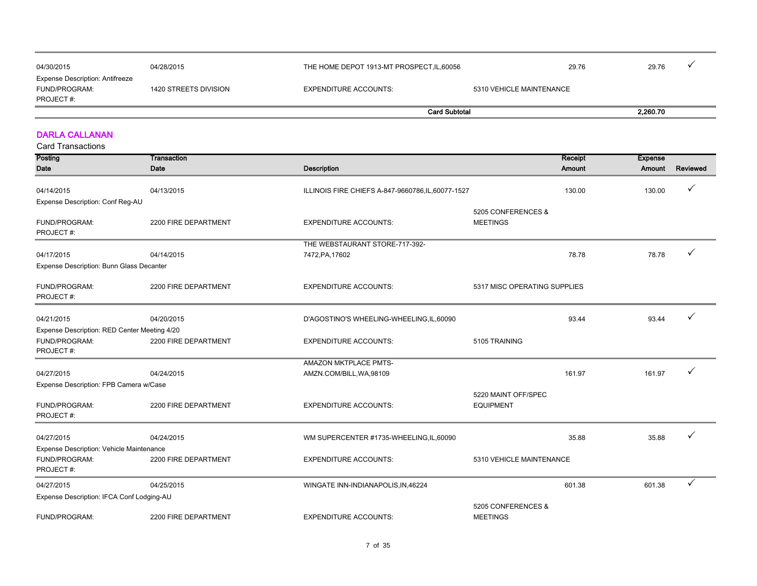| 04/30/2015                                                     | 04/28/2015            | THE HOME DEPOT 1913-MT PROSPECT, IL, 60056 | 29.76                    | 29.76    |  |
|----------------------------------------------------------------|-----------------------|--------------------------------------------|--------------------------|----------|--|
| Expense Description: Antifreeze<br>FUND/PROGRAM:<br>PROJECT #: | 1420 STREETS DIVISION | EXPENDITURE ACCOUNTS:                      | 5310 VEHICLE MAINTENANCE |          |  |
|                                                                |                       | <b>Card Subtotal</b>                       |                          | 2.260.70 |  |

#### DARLA CALLANAN

| Posting                                      | <b>Transaction</b>   |                                                    |                                         | Receipt       | <b>Expense</b> |          |
|----------------------------------------------|----------------------|----------------------------------------------------|-----------------------------------------|---------------|----------------|----------|
| Date                                         | Date                 | <b>Description</b>                                 |                                         | <b>Amount</b> | Amount         | Reviewed |
| 04/14/2015                                   | 04/13/2015           | ILLINOIS FIRE CHIEFS A-847-9660786, IL, 60077-1527 |                                         | 130.00        | 130.00         |          |
| Expense Description: Conf Reg-AU             |                      |                                                    |                                         |               |                |          |
|                                              |                      |                                                    | 5205 CONFERENCES &                      |               |                |          |
| FUND/PROGRAM:<br>PROJECT#:                   | 2200 FIRE DEPARTMENT | <b>EXPENDITURE ACCOUNTS:</b>                       | <b>MEETINGS</b>                         |               |                |          |
|                                              |                      | THE WEBSTAURANT STORE-717-392-                     |                                         |               |                |          |
| 04/17/2015                                   | 04/14/2015           | 7472, PA, 17602                                    |                                         | 78.78         | 78.78          |          |
| Expense Description: Bunn Glass Decanter     |                      |                                                    |                                         |               |                |          |
| FUND/PROGRAM:<br>PROJECT#:                   | 2200 FIRE DEPARTMENT | <b>EXPENDITURE ACCOUNTS:</b>                       | 5317 MISC OPERATING SUPPLIES            |               |                |          |
| 04/21/2015                                   | 04/20/2015           | D'AGOSTINO'S WHEELING-WHEELING,IL,60090            |                                         | 93.44         | 93.44          |          |
| Expense Description: RED Center Meeting 4/20 |                      |                                                    |                                         |               |                |          |
| FUND/PROGRAM:<br>PROJECT#:                   | 2200 FIRE DEPARTMENT | <b>EXPENDITURE ACCOUNTS:</b>                       | 5105 TRAINING                           |               |                |          |
|                                              |                      | AMAZON MKTPLACE PMTS-                              |                                         |               |                |          |
| 04/27/2015                                   | 04/24/2015           | AMZN.COM/BILL, WA, 98109                           |                                         | 161.97        | 161.97         |          |
| Expense Description: FPB Camera w/Case       |                      |                                                    |                                         |               |                |          |
| FUND/PROGRAM:                                | 2200 FIRE DEPARTMENT | <b>EXPENDITURE ACCOUNTS:</b>                       | 5220 MAINT OFF/SPEC<br><b>EQUIPMENT</b> |               |                |          |
| PROJECT#:                                    |                      |                                                    |                                         |               |                |          |
| 04/27/2015                                   | 04/24/2015           | WM SUPERCENTER #1735-WHEELING,IL,60090             |                                         | 35.88         | 35.88          |          |
| Expense Description: Vehicle Maintenance     |                      |                                                    |                                         |               |                |          |
| FUND/PROGRAM:                                | 2200 FIRE DEPARTMENT | <b>EXPENDITURE ACCOUNTS:</b>                       | 5310 VEHICLE MAINTENANCE                |               |                |          |
| PROJECT#:                                    |                      |                                                    |                                         |               |                |          |
| 04/27/2015                                   | 04/25/2015           | WINGATE INN-INDIANAPOLIS, IN, 46224                |                                         | 601.38        | 601.38         |          |
| Expense Description: IFCA Conf Lodging-AU    |                      |                                                    |                                         |               |                |          |
| FUND/PROGRAM:                                | 2200 FIRE DEPARTMENT | <b>EXPENDITURE ACCOUNTS:</b>                       | 5205 CONFERENCES &<br><b>MEETINGS</b>   |               |                |          |
|                                              |                      |                                                    |                                         |               |                |          |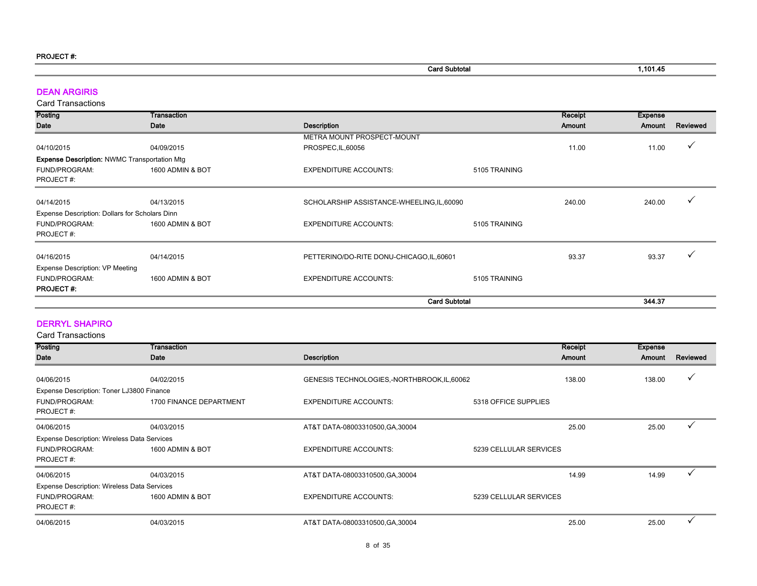| <b>Card Subtotal</b> | 1,101.45 |
|----------------------|----------|

#### DEAN ARGIRIS

Card Transactions

| <b>Posting</b>                                      | Transaction      |                                            |                      | Receipt | <b>Expense</b> |          |
|-----------------------------------------------------|------------------|--------------------------------------------|----------------------|---------|----------------|----------|
| <b>Date</b>                                         | Date             | <b>Description</b>                         |                      | Amount  | Amount         | Reviewed |
|                                                     |                  | METRA MOUNT PROSPECT-MOUNT                 |                      |         |                |          |
| 04/10/2015                                          | 04/09/2015       | PROSPEC, IL, 60056                         |                      | 11.00   | 11.00          |          |
| <b>Expense Description: NWMC Transportation Mtg</b> |                  |                                            |                      |         |                |          |
| FUND/PROGRAM:                                       | 1600 ADMIN & BOT | <b>EXPENDITURE ACCOUNTS:</b>               | 5105 TRAINING        |         |                |          |
| PROJECT#:                                           |                  |                                            |                      |         |                |          |
| 04/14/2015                                          | 04/13/2015       | SCHOLARSHIP ASSISTANCE-WHEELING, IL, 60090 |                      | 240.00  | 240.00         |          |
|                                                     |                  |                                            |                      |         |                |          |
| Expense Description: Dollars for Scholars Dinn      |                  |                                            |                      |         |                |          |
| FUND/PROGRAM:                                       | 1600 ADMIN & BOT | <b>EXPENDITURE ACCOUNTS:</b>               | 5105 TRAINING        |         |                |          |
| PROJECT#:                                           |                  |                                            |                      |         |                |          |
| 04/16/2015                                          | 04/14/2015       | PETTERINO/DO-RITE DONU-CHICAGO,IL,60601    |                      | 93.37   | 93.37          |          |
| <b>Expense Description: VP Meeting</b>              |                  |                                            |                      |         |                |          |
| <b>FUND/PROGRAM:</b>                                | 1600 ADMIN & BOT | <b>EXPENDITURE ACCOUNTS:</b>               | 5105 TRAINING        |         |                |          |
| <b>PROJECT#:</b>                                    |                  |                                            |                      |         |                |          |
|                                                     |                  |                                            | <b>Card Subtotal</b> |         | 344.37         |          |

#### DERRYL SHAPIRO

| <b>Posting</b>                                                            | Transaction             |                                           |                        | Receipt | <b>Expense</b> |          |
|---------------------------------------------------------------------------|-------------------------|-------------------------------------------|------------------------|---------|----------------|----------|
| Date                                                                      | Date                    | <b>Description</b>                        |                        | Amount  | Amount         | Reviewed |
| 04/06/2015                                                                | 04/02/2015              | GENESIS TECHNOLOGIES,-NORTHBROOK,IL,60062 |                        | 138.00  | 138.00         |          |
| Expense Description: Toner LJ3800 Finance<br>FUND/PROGRAM:<br>PROJECT#:   | 1700 FINANCE DEPARTMENT | <b>EXPENDITURE ACCOUNTS:</b>              | 5318 OFFICE SUPPLIES   |         |                |          |
| 04/06/2015                                                                | 04/03/2015              | AT&T DATA-08003310500, GA, 30004          |                        | 25.00   | 25.00          |          |
| Expense Description: Wireless Data Services<br>FUND/PROGRAM:<br>PROJECT#: | 1600 ADMIN & BOT        | <b>EXPENDITURE ACCOUNTS:</b>              | 5239 CELLULAR SERVICES |         |                |          |
| 04/06/2015                                                                | 04/03/2015              | AT&T DATA-08003310500, GA, 30004          |                        | 14.99   | 14.99          |          |
| Expense Description: Wireless Data Services                               |                         |                                           |                        |         |                |          |
| <b>FUND/PROGRAM:</b><br>PROJECT#:                                         | 1600 ADMIN & BOT        | <b>EXPENDITURE ACCOUNTS:</b>              | 5239 CELLULAR SERVICES |         |                |          |
| 04/06/2015                                                                | 04/03/2015              | AT&T DATA-08003310500, GA, 30004          |                        | 25.00   | 25.00          |          |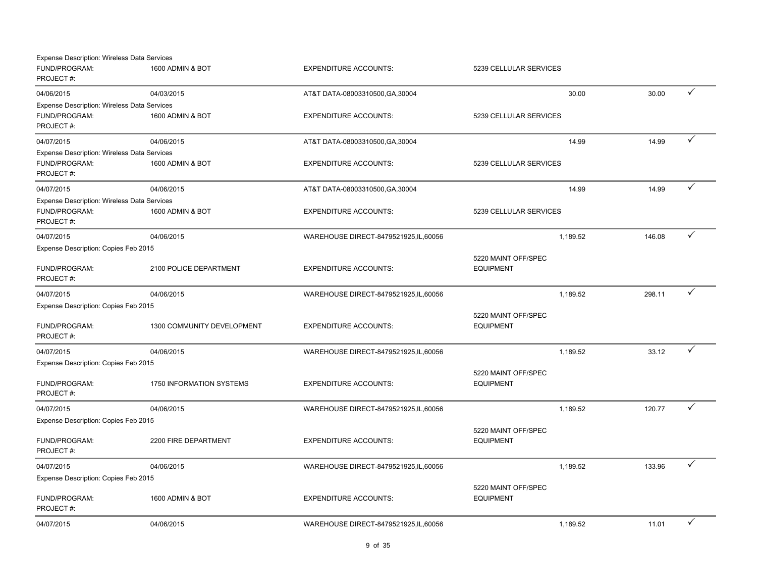| <b>Expense Description: Wireless Data Services</b> |                                 |                                        |                                         |                    |   |
|----------------------------------------------------|---------------------------------|----------------------------------------|-----------------------------------------|--------------------|---|
| FUND/PROGRAM:<br>PROJECT#:                         | 1600 ADMIN & BOT                | <b>EXPENDITURE ACCOUNTS:</b>           | 5239 CELLULAR SERVICES                  |                    |   |
| 04/06/2015                                         | 04/03/2015                      | AT&T DATA-08003310500, GA, 30004       |                                         | 30.00<br>30.00     | ✓ |
| <b>Expense Description: Wireless Data Services</b> |                                 |                                        |                                         |                    |   |
| FUND/PROGRAM:<br>PROJECT#:                         | 1600 ADMIN & BOT                | <b>EXPENDITURE ACCOUNTS:</b>           | 5239 CELLULAR SERVICES                  |                    |   |
| 04/07/2015                                         | 04/06/2015                      | AT&T DATA-08003310500, GA, 30004       |                                         | 14.99<br>14.99     | ✓ |
| <b>Expense Description: Wireless Data Services</b> |                                 |                                        |                                         |                    |   |
| FUND/PROGRAM:<br>PROJECT#:                         | 1600 ADMIN & BOT                | <b>EXPENDITURE ACCOUNTS:</b>           | 5239 CELLULAR SERVICES                  |                    |   |
| 04/07/2015                                         | 04/06/2015                      | AT&T DATA-08003310500, GA, 30004       |                                         | 14.99<br>14.99     | ✓ |
| <b>Expense Description: Wireless Data Services</b> |                                 |                                        |                                         |                    |   |
| FUND/PROGRAM:<br>PROJECT#:                         | 1600 ADMIN & BOT                | <b>EXPENDITURE ACCOUNTS:</b>           | 5239 CELLULAR SERVICES                  |                    |   |
| 04/07/2015                                         | 04/06/2015                      | WAREHOUSE DIRECT-8479521925, IL, 60056 |                                         | 146.08<br>1,189.52 | ✓ |
| Expense Description: Copies Feb 2015               |                                 |                                        |                                         |                    |   |
|                                                    |                                 |                                        | 5220 MAINT OFF/SPEC                     |                    |   |
| FUND/PROGRAM:<br>PROJECT#:                         | 2100 POLICE DEPARTMENT          | <b>EXPENDITURE ACCOUNTS:</b>           | <b>EQUIPMENT</b>                        |                    |   |
| 04/07/2015                                         | 04/06/2015                      | WAREHOUSE DIRECT-8479521925,IL,60056   |                                         | 298.11<br>1,189.52 | ✓ |
| Expense Description: Copies Feb 2015               |                                 |                                        |                                         |                    |   |
|                                                    |                                 |                                        | 5220 MAINT OFF/SPEC                     |                    |   |
| FUND/PROGRAM:<br>PROJECT#:                         | 1300 COMMUNITY DEVELOPMENT      | <b>EXPENDITURE ACCOUNTS:</b>           | <b>EQUIPMENT</b>                        |                    |   |
| 04/07/2015                                         | 04/06/2015                      | WAREHOUSE DIRECT-8479521925, IL, 60056 |                                         | 33.12<br>1,189.52  | ✓ |
| Expense Description: Copies Feb 2015               |                                 |                                        |                                         |                    |   |
|                                                    |                                 |                                        | 5220 MAINT OFF/SPEC                     |                    |   |
| FUND/PROGRAM:<br>PROJECT#:                         | <b>1750 INFORMATION SYSTEMS</b> | <b>EXPENDITURE ACCOUNTS:</b>           | <b>EQUIPMENT</b>                        |                    |   |
| 04/07/2015                                         | 04/06/2015                      | WAREHOUSE DIRECT-8479521925,IL,60056   |                                         | 1,189.52<br>120.77 | ✓ |
| Expense Description: Copies Feb 2015               |                                 |                                        |                                         |                    |   |
|                                                    |                                 |                                        | 5220 MAINT OFF/SPEC                     |                    |   |
| FUND/PROGRAM:<br>PROJECT#:                         | 2200 FIRE DEPARTMENT            | <b>EXPENDITURE ACCOUNTS:</b>           | <b>EQUIPMENT</b>                        |                    |   |
| 04/07/2015                                         | 04/06/2015                      | WAREHOUSE DIRECT-8479521925,IL,60056   |                                         | 1,189.52<br>133.96 | ✓ |
| Expense Description: Copies Feb 2015               |                                 |                                        |                                         |                    |   |
| FUND/PROGRAM:<br>PROJECT#:                         | 1600 ADMIN & BOT                | <b>EXPENDITURE ACCOUNTS:</b>           | 5220 MAINT OFF/SPEC<br><b>EQUIPMENT</b> |                    |   |
| 04/07/2015                                         | 04/06/2015                      | WAREHOUSE DIRECT-8479521925, IL, 60056 |                                         | 1,189.52<br>11.01  | ✓ |
|                                                    |                                 |                                        |                                         |                    |   |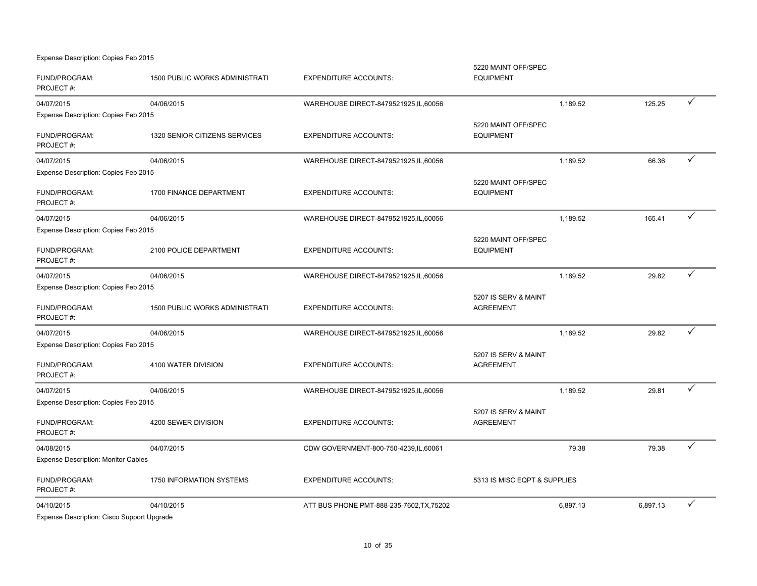Expense Description: Copies Feb 2015

| FUND/PROGRAM:<br>PROJECT#:                 | <b>1500 PUBLIC WORKS ADMINISTRATI</b> | <b>EXPENDITURE ACCOUNTS:</b>              | 5220 MAINT OFF/SPEC<br><b>EQUIPMENT</b>  |          |          |   |
|--------------------------------------------|---------------------------------------|-------------------------------------------|------------------------------------------|----------|----------|---|
| 04/07/2015                                 | 04/06/2015                            | WAREHOUSE DIRECT-8479521925,IL,60056      |                                          | 1,189.52 | 125.25   | ✓ |
| Expense Description: Copies Feb 2015       |                                       |                                           |                                          |          |          |   |
| FUND/PROGRAM:<br>PROJECT#:                 | 1320 SENIOR CITIZENS SERVICES         | <b>EXPENDITURE ACCOUNTS:</b>              | 5220 MAINT OFF/SPEC<br><b>EQUIPMENT</b>  |          |          |   |
| 04/07/2015                                 | 04/06/2015                            | WAREHOUSE DIRECT-8479521925,IL,60056      |                                          | 1,189.52 | 66.36    | ✓ |
| Expense Description: Copies Feb 2015       |                                       |                                           |                                          |          |          |   |
| FUND/PROGRAM:<br>PROJECT#:                 | 1700 FINANCE DEPARTMENT               | <b>EXPENDITURE ACCOUNTS:</b>              | 5220 MAINT OFF/SPEC<br><b>EQUIPMENT</b>  |          |          |   |
| 04/07/2015                                 | 04/06/2015                            | WAREHOUSE DIRECT-8479521925,IL,60056      |                                          | 1,189.52 | 165.41   | ✓ |
| Expense Description: Copies Feb 2015       |                                       |                                           |                                          |          |          |   |
| FUND/PROGRAM:<br>PROJECT#:                 | 2100 POLICE DEPARTMENT                | <b>EXPENDITURE ACCOUNTS:</b>              | 5220 MAINT OFF/SPEC<br><b>EQUIPMENT</b>  |          |          |   |
| 04/07/2015                                 | 04/06/2015                            | WAREHOUSE DIRECT-8479521925,IL,60056      |                                          | 1,189.52 | 29.82    | ✓ |
| Expense Description: Copies Feb 2015       |                                       |                                           |                                          |          |          |   |
| FUND/PROGRAM:<br>PROJECT#:                 | <b>1500 PUBLIC WORKS ADMINISTRATI</b> | <b>EXPENDITURE ACCOUNTS:</b>              | 5207 IS SERV & MAINT<br><b>AGREEMENT</b> |          |          |   |
| 04/07/2015                                 | 04/06/2015                            | WAREHOUSE DIRECT-8479521925, IL, 60056    |                                          | 1,189.52 | 29.82    | ✓ |
| Expense Description: Copies Feb 2015       |                                       |                                           |                                          |          |          |   |
| FUND/PROGRAM:<br>PROJECT#:                 | 4100 WATER DIVISION                   | <b>EXPENDITURE ACCOUNTS:</b>              | 5207 IS SERV & MAINT<br><b>AGREEMENT</b> |          |          |   |
| 04/07/2015                                 | 04/06/2015                            | WAREHOUSE DIRECT-8479521925, IL, 60056    |                                          | 1,189.52 | 29.81    | ✓ |
| Expense Description: Copies Feb 2015       |                                       |                                           |                                          |          |          |   |
| FUND/PROGRAM:<br>PROJECT#:                 | 4200 SEWER DIVISION                   | <b>EXPENDITURE ACCOUNTS:</b>              | 5207 IS SERV & MAINT<br><b>AGREEMENT</b> |          |          |   |
| 04/08/2015                                 | 04/07/2015                            | CDW GOVERNMENT-800-750-4239,IL,60061      |                                          | 79.38    | 79.38    | ✓ |
| <b>Expense Description: Monitor Cables</b> |                                       |                                           |                                          |          |          |   |
| FUND/PROGRAM:<br>PROJECT#:                 | 1750 INFORMATION SYSTEMS              | <b>EXPENDITURE ACCOUNTS:</b>              | 5313 IS MISC EQPT & SUPPLIES             |          |          |   |
| 04/10/2015                                 | 04/10/2015                            | ATT BUS PHONE PMT-888-235-7602, TX, 75202 |                                          | 6,897.13 | 6,897.13 |   |
| Expense Description: Cisco Support Upgrade |                                       |                                           |                                          |          |          |   |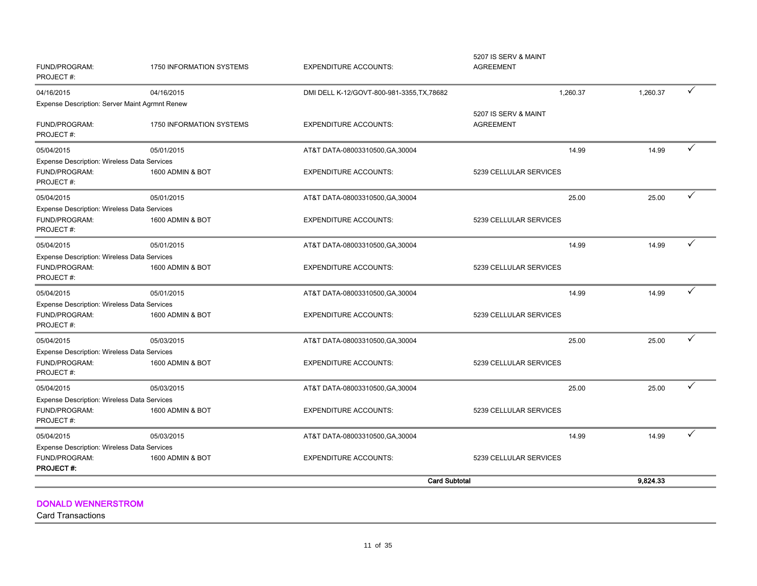| FUND/PROGRAM:<br>PROJECT#:                                                       | 1750 INFORMATION SYSTEMS        | <b>EXPENDITURE ACCOUNTS:</b>               | 5207 IS SERV & MAINT<br><b>AGREEMENT</b> |          |              |
|----------------------------------------------------------------------------------|---------------------------------|--------------------------------------------|------------------------------------------|----------|--------------|
| 04/16/2015                                                                       | 04/16/2015                      | DMI DELL K-12/GOVT-800-981-3355, TX, 78682 | 1,260.37                                 | 1,260.37 | $\checkmark$ |
| <b>Expense Description: Server Maint Agrmnt Renew</b>                            |                                 |                                            |                                          |          |              |
| FUND/PROGRAM:<br>PROJECT#:                                                       | <b>1750 INFORMATION SYSTEMS</b> | <b>EXPENDITURE ACCOUNTS:</b>               | 5207 IS SERV & MAINT<br><b>AGREEMENT</b> |          |              |
| 05/04/2015                                                                       | 05/01/2015                      | AT&T DATA-08003310500, GA, 30004           | 14.99                                    | 14.99    | ✓            |
| Expense Description: Wireless Data Services                                      |                                 |                                            |                                          |          |              |
| FUND/PROGRAM:<br>PROJECT#:                                                       | 1600 ADMIN & BOT                | <b>EXPENDITURE ACCOUNTS:</b>               | 5239 CELLULAR SERVICES                   |          |              |
| 05/04/2015                                                                       | 05/01/2015                      | AT&T DATA-08003310500, GA, 30004           | 25.00                                    | 25.00    | ✓            |
| Expense Description: Wireless Data Services<br>FUND/PROGRAM:<br>PROJECT#:        | 1600 ADMIN & BOT                | <b>EXPENDITURE ACCOUNTS:</b>               | 5239 CELLULAR SERVICES                   |          |              |
| 05/04/2015                                                                       | 05/01/2015                      | AT&T DATA-08003310500, GA, 30004           | 14.99                                    | 14.99    | ✓            |
| Expense Description: Wireless Data Services                                      |                                 |                                            |                                          |          |              |
| FUND/PROGRAM:<br>PROJECT#:                                                       | 1600 ADMIN & BOT                | <b>EXPENDITURE ACCOUNTS:</b>               | 5239 CELLULAR SERVICES                   |          |              |
| 05/04/2015                                                                       | 05/01/2015                      | AT&T DATA-08003310500, GA, 30004           | 14.99                                    | 14.99    | ✓            |
| <b>Expense Description: Wireless Data Services</b>                               |                                 |                                            |                                          |          |              |
| FUND/PROGRAM:<br>PROJECT#:                                                       | 1600 ADMIN & BOT                | <b>EXPENDITURE ACCOUNTS:</b>               | 5239 CELLULAR SERVICES                   |          |              |
| 05/04/2015                                                                       | 05/03/2015                      | AT&T DATA-08003310500, GA, 30004           | 25.00                                    | 25.00    | ✓            |
| Expense Description: Wireless Data Services                                      |                                 |                                            |                                          |          |              |
| FUND/PROGRAM:<br>PROJECT#:                                                       | 1600 ADMIN & BOT                | <b>EXPENDITURE ACCOUNTS:</b>               | 5239 CELLULAR SERVICES                   |          |              |
| 05/04/2015                                                                       | 05/03/2015                      | AT&T DATA-08003310500, GA, 30004           | 25.00                                    | 25.00    | ✓            |
| Expense Description: Wireless Data Services                                      |                                 |                                            |                                          |          |              |
| FUND/PROGRAM:<br>PROJECT#:                                                       | 1600 ADMIN & BOT                | <b>EXPENDITURE ACCOUNTS:</b>               | 5239 CELLULAR SERVICES                   |          |              |
| 05/04/2015                                                                       | 05/03/2015                      | AT&T DATA-08003310500, GA, 30004           | 14.99                                    | 14.99    | ✓            |
| Expense Description: Wireless Data Services<br>FUND/PROGRAM:<br><b>PROJECT#:</b> | 1600 ADMIN & BOT                | <b>EXPENDITURE ACCOUNTS:</b>               | 5239 CELLULAR SERVICES                   |          |              |
|                                                                                  |                                 | <b>Card Subtotal</b>                       |                                          | 9.824.33 |              |

DONALD WENNERSTROM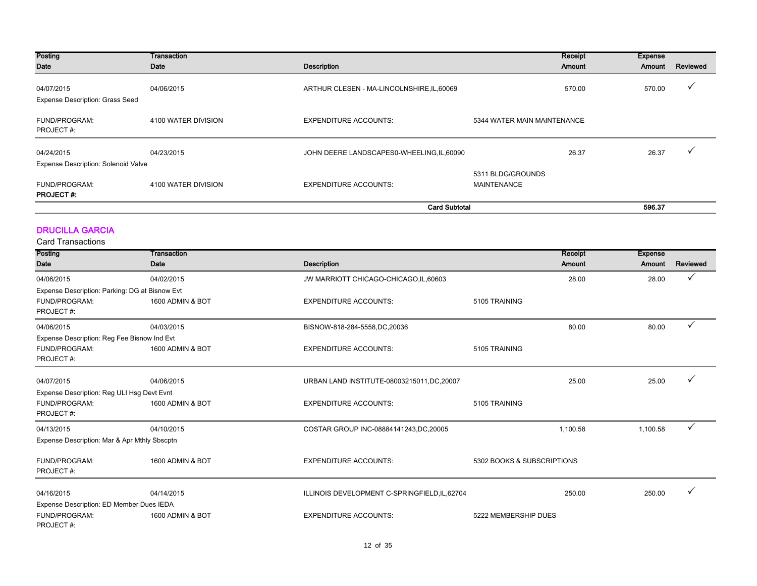| Posting<br>Date                                      | Transaction<br>Date | <b>Description</b>                         | Receipt<br>Amount                       | <b>Expense</b><br>Amount | Reviewed |
|------------------------------------------------------|---------------------|--------------------------------------------|-----------------------------------------|--------------------------|----------|
| 04/07/2015<br><b>Expense Description: Grass Seed</b> | 04/06/2015          | ARTHUR CLESEN - MA-LINCOLNSHIRE, IL, 60069 | 570.00                                  | 570.00                   |          |
| FUND/PROGRAM:<br>PROJECT#:                           | 4100 WATER DIVISION | <b>EXPENDITURE ACCOUNTS:</b>               | 5344 WATER MAIN MAINTENANCE             |                          |          |
| 04/24/2015                                           | 04/23/2015          | JOHN DEERE LANDSCAPES0-WHEELING, IL, 60090 | 26.37                                   | 26.37                    |          |
| <b>Expense Description: Solenoid Valve</b>           |                     |                                            |                                         |                          |          |
| FUND/PROGRAM:<br><b>PROJECT#:</b>                    | 4100 WATER DIVISION | <b>EXPENDITURE ACCOUNTS:</b>               | 5311 BLDG/GROUNDS<br><b>MAINTENANCE</b> |                          |          |
|                                                      |                     | <b>Card Subtotal</b>                       |                                         | 596.37                   |          |

#### DRUCILLA GARCIA

| Posting                                        | Transaction      |                                               | Receipt                    | <b>Expense</b> |          |
|------------------------------------------------|------------------|-----------------------------------------------|----------------------------|----------------|----------|
| Date                                           | Date             | <b>Description</b>                            | Amount                     | Amount         | Reviewed |
| 04/06/2015                                     | 04/02/2015       | JW MARRIOTT CHICAGO-CHICAGO, IL, 60603        | 28.00                      | 28.00          |          |
| Expense Description: Parking: DG at Bisnow Evt |                  |                                               |                            |                |          |
| FUND/PROGRAM:<br>PROJECT#:                     | 1600 ADMIN & BOT | <b>EXPENDITURE ACCOUNTS:</b>                  | 5105 TRAINING              |                |          |
| 04/06/2015                                     | 04/03/2015       | BISNOW-818-284-5558,DC,20036                  | 80.00                      | 80.00          |          |
| Expense Description: Reg Fee Bisnow Ind Evt    |                  |                                               |                            |                |          |
| FUND/PROGRAM:<br>PROJECT#:                     | 1600 ADMIN & BOT | <b>EXPENDITURE ACCOUNTS:</b>                  | 5105 TRAINING              |                |          |
| 04/07/2015                                     | 04/06/2015       | URBAN LAND INSTITUTE-08003215011, DC, 20007   | 25.00                      | 25.00          |          |
| Expense Description: Reg ULI Hsg Devt Evnt     |                  |                                               |                            |                |          |
| FUND/PROGRAM:<br>PROJECT#:                     | 1600 ADMIN & BOT | <b>EXPENDITURE ACCOUNTS:</b>                  | 5105 TRAINING              |                |          |
| 04/13/2015                                     | 04/10/2015       | COSTAR GROUP INC-08884141243, DC, 20005       | 1,100.58                   | 1,100.58       | ✓        |
| Expense Description: Mar & Apr Mthly Sbscptn   |                  |                                               |                            |                |          |
| FUND/PROGRAM:<br>PROJECT#:                     | 1600 ADMIN & BOT | <b>EXPENDITURE ACCOUNTS:</b>                  | 5302 BOOKS & SUBSCRIPTIONS |                |          |
| 04/16/2015                                     | 04/14/2015       | ILLINOIS DEVELOPMENT C-SPRINGFIELD, IL, 62704 | 250.00                     | 250.00         |          |
| Expense Description: ED Member Dues IEDA       |                  |                                               |                            |                |          |
| FUND/PROGRAM:<br>PROJECT#:                     | 1600 ADMIN & BOT | <b>EXPENDITURE ACCOUNTS:</b>                  | 5222 MEMBERSHIP DUES       |                |          |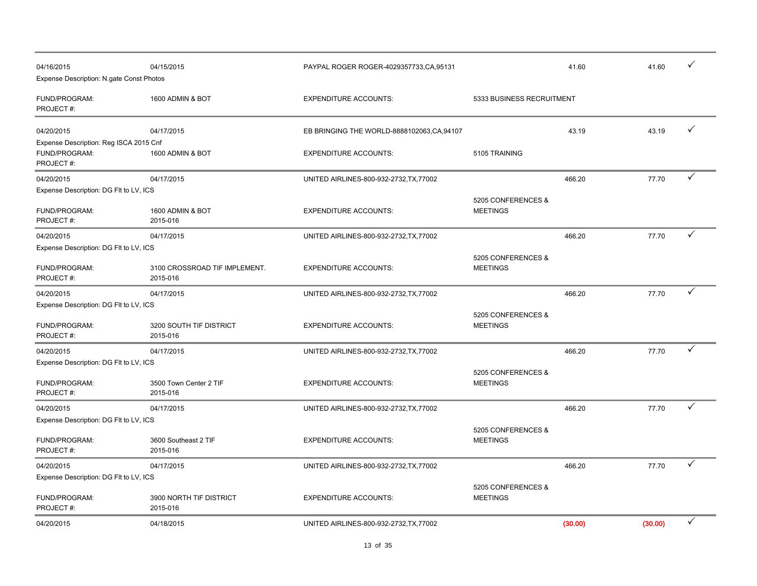| 04/16/2015<br>Expense Description: N.gate Const Photos               | 04/15/2015                                | PAYPAL ROGER ROGER-4029357733, CA, 95131    |                                       | 41.60   | 41.60   |              |
|----------------------------------------------------------------------|-------------------------------------------|---------------------------------------------|---------------------------------------|---------|---------|--------------|
| FUND/PROGRAM:<br>PROJECT#:                                           | 1600 ADMIN & BOT                          | <b>EXPENDITURE ACCOUNTS:</b>                | 5333 BUSINESS RECRUITMENT             |         |         |              |
| 04/20/2015                                                           | 04/17/2015                                | EB BRINGING THE WORLD-8888102063, CA, 94107 |                                       | 43.19   | 43.19   | ✓            |
| Expense Description: Reg ISCA 2015 Cnf<br>FUND/PROGRAM:<br>PROJECT#: | 1600 ADMIN & BOT                          | <b>EXPENDITURE ACCOUNTS:</b>                | 5105 TRAINING                         |         |         |              |
| 04/20/2015                                                           | 04/17/2015                                | UNITED AIRLINES-800-932-2732, TX, 77002     |                                       | 466.20  | 77.70   | $\checkmark$ |
| Expense Description: DG FIt to LV, ICS                               |                                           |                                             | 5205 CONFERENCES &                    |         |         |              |
| FUND/PROGRAM:<br>PROJECT#:                                           | 1600 ADMIN & BOT<br>2015-016              | <b>EXPENDITURE ACCOUNTS:</b>                | <b>MEETINGS</b>                       |         |         |              |
| 04/20/2015                                                           | 04/17/2015                                | UNITED AIRLINES-800-932-2732, TX, 77002     |                                       | 466.20  | 77.70   | ✓            |
| Expense Description: DG FIt to LV, ICS<br>FUND/PROGRAM:<br>PROJECT#: | 3100 CROSSROAD TIF IMPLEMENT.<br>2015-016 | <b>EXPENDITURE ACCOUNTS:</b>                | 5205 CONFERENCES &<br><b>MEETINGS</b> |         |         |              |
| 04/20/2015                                                           | 04/17/2015                                | UNITED AIRLINES-800-932-2732, TX, 77002     |                                       | 466.20  | 77.70   | ✓            |
| Expense Description: DG FIt to LV, ICS                               |                                           |                                             |                                       |         |         |              |
| FUND/PROGRAM:<br>PROJECT#:                                           | 3200 SOUTH TIF DISTRICT<br>2015-016       | <b>EXPENDITURE ACCOUNTS:</b>                | 5205 CONFERENCES &<br><b>MEETINGS</b> |         |         |              |
| 04/20/2015                                                           | 04/17/2015                                | UNITED AIRLINES-800-932-2732, TX, 77002     |                                       | 466.20  | 77.70   | ✓            |
| Expense Description: DG Flt to LV, ICS<br>FUND/PROGRAM:<br>PROJECT#: | 3500 Town Center 2 TIF<br>2015-016        | <b>EXPENDITURE ACCOUNTS:</b>                | 5205 CONFERENCES &<br><b>MEETINGS</b> |         |         |              |
| 04/20/2015                                                           | 04/17/2015                                | UNITED AIRLINES-800-932-2732, TX, 77002     |                                       | 466.20  | 77.70   | ✓            |
| Expense Description: DG Flt to LV, ICS                               |                                           |                                             |                                       |         |         |              |
| FUND/PROGRAM:<br>PROJECT#:                                           | 3600 Southeast 2 TIF<br>2015-016          | <b>EXPENDITURE ACCOUNTS:</b>                | 5205 CONFERENCES &<br><b>MEETINGS</b> |         |         |              |
| 04/20/2015                                                           | 04/17/2015                                | UNITED AIRLINES-800-932-2732, TX, 77002     |                                       | 466.20  | 77.70   |              |
| Expense Description: DG FIt to LV, ICS                               |                                           |                                             |                                       |         |         |              |
| FUND/PROGRAM:<br>PROJECT#:                                           | 3900 NORTH TIF DISTRICT<br>2015-016       | <b>EXPENDITURE ACCOUNTS:</b>                | 5205 CONFERENCES &<br><b>MEETINGS</b> |         |         |              |
| 04/20/2015                                                           | 04/18/2015                                | UNITED AIRLINES-800-932-2732, TX, 77002     |                                       | (30.00) | (30.00) | ✓            |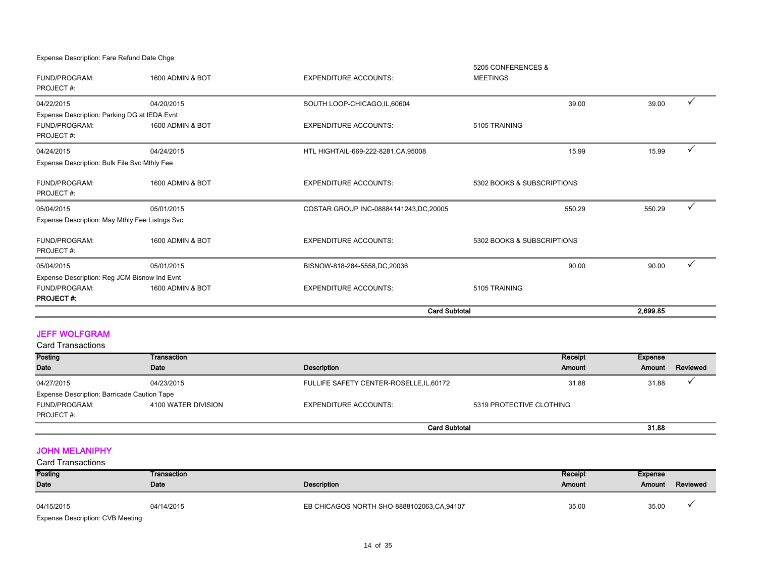Expense Description: Fare Refund Date Chge

FUND/PROGRAM: 1600 ADMIN & BOT THE EXPENDITURE ACCOUNTS: 5205 CONFERENCES & MEETINGS PROJECT #: 04/22/2015 04/20/2015 SOUTH LOOP-CHICAGO,IL,60604 39.00 39.00 P FUND/PROGRAM: 1600 ADMIN & BOT EXPENDITURE ACCOUNTS: 5105 TRAINING PROJECT #:  $04/24/2015$   $04/24/2015$   $04/24/2015$   $04/24/2015$   $04/24/2015$   $04/24/2015$   $04/24/2015$   $04/24/2015$   $04/24/2015$   $04/24/2015$   $04/24/2015$   $04/24/2015$   $04/24/2015$   $04/24/2015$   $04/24/2015$   $04/24/2015$   $04/24/2015$  FUND/PROGRAM: 1600 ADMIN & BOT EXPENDITURE ACCOUNTS: 5302 BOOKS & SUBSCRIPTIONS PROJECT #: 05/04/2015 05/01/2015 COSTAR GROUP INC-08884141243,DC,20005 550.29 550.29 P FUND/PROGRAM: 1600 ADMIN & BOT EXPENDITURE ACCOUNTS: 5302 BOOKS & SUBSCRIPTIONS PROJECT #: 05/04/2015 05/01/2015 BISNOW-818-284-5558,DC,20036 90.00 90.00 P FUND/PROGRAM: 1600 ADMIN & BOT EXPENDITURE ACCOUNTS: 5105 TRAINING PROJECT #: Expense Description: May Mthly Fee Listngs Svc Expense Description: Reg JCM Bisnow Ind Evnt Card Subtotal 2,699.85 Expense Description: Parking DG at IEDA Evnt Expense Description: Bulk File Svc Mthly Fee

#### JEFF WOLFGRAM

Card Transactions

| Posting                                     | Transaction         |                                          | Receipt                  | Expense |          |
|---------------------------------------------|---------------------|------------------------------------------|--------------------------|---------|----------|
| Date                                        | Date                | Description                              | Amount                   | Amount  | Reviewed |
| 04/27/2015                                  | 04/23/2015          | FULLIFE SAFETY CENTER-ROSELLE, IL, 60172 | 31.88                    | 31.88   |          |
| Expense Description: Barricade Caution Tape |                     |                                          |                          |         |          |
| FUND/PROGRAM:                               | 4100 WATER DIVISION | <b>EXPENDITURE ACCOUNTS:</b>             | 5319 PROTECTIVE CLOTHING |         |          |
| PROJECT#:                                   |                     |                                          |                          |         |          |
|                                             |                     |                                          | <b>Card Subtotal</b>     | 31.88   |          |

#### JOHN MELANIPHY

| <b>Posting</b><br>Transaction           |            |                                           | Receipt | Expense |          |
|-----------------------------------------|------------|-------------------------------------------|---------|---------|----------|
| <b>Date</b>                             | Date       | Description                               | Amount  | Amount  | Reviewed |
|                                         |            |                                           |         |         |          |
| 04/15/2015                              | 04/14/2015 | EB CHICAGOS NORTH SHO-8888102063,CA,94107 | 35.00   | 35.00   |          |
| <b>Expense Description: CVB Meeting</b> |            |                                           |         |         |          |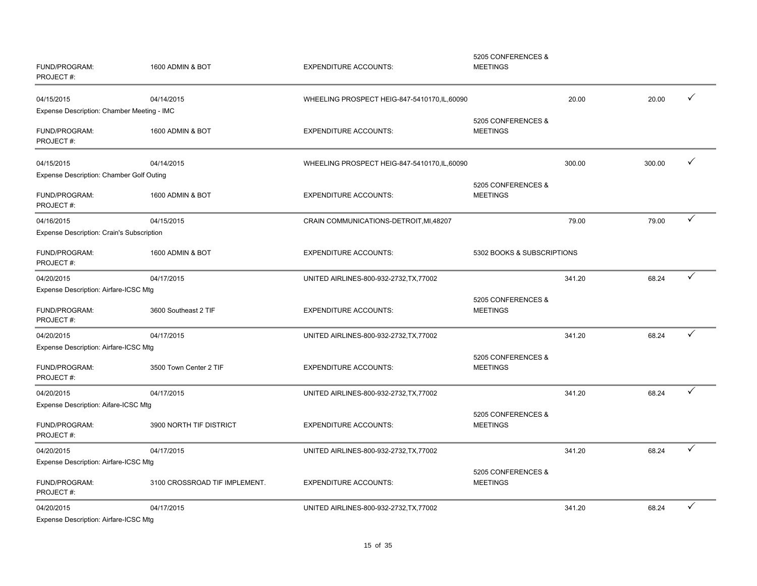| FUND/PROGRAM:<br>PROJECT#:                          | 1600 ADMIN & BOT              | <b>EXPENDITURE ACCOUNTS:</b>                  | 5205 CONFERENCES &<br><b>MEETINGS</b> |        |        |              |
|-----------------------------------------------------|-------------------------------|-----------------------------------------------|---------------------------------------|--------|--------|--------------|
| 04/15/2015                                          | 04/14/2015                    | WHEELING PROSPECT HEIG-847-5410170, IL, 60090 |                                       | 20.00  | 20.00  | ✓            |
| Expense Description: Chamber Meeting - IMC          |                               |                                               |                                       |        |        |              |
| FUND/PROGRAM:<br>PROJECT#:                          | 1600 ADMIN & BOT              | <b>EXPENDITURE ACCOUNTS:</b>                  | 5205 CONFERENCES &<br><b>MEETINGS</b> |        |        |              |
| 04/15/2015                                          | 04/14/2015                    | WHEELING PROSPECT HEIG-847-5410170, IL, 60090 |                                       | 300.00 | 300.00 | ✓            |
| Expense Description: Chamber Golf Outing            |                               |                                               |                                       |        |        |              |
| FUND/PROGRAM:<br>PROJECT#:                          | 1600 ADMIN & BOT              | <b>EXPENDITURE ACCOUNTS:</b>                  | 5205 CONFERENCES &<br><b>MEETINGS</b> |        |        |              |
| 04/16/2015                                          | 04/15/2015                    | CRAIN COMMUNICATIONS-DETROIT, MI, 48207       |                                       | 79.00  | 79.00  | ✓            |
| Expense Description: Crain's Subscription           |                               |                                               |                                       |        |        |              |
| FUND/PROGRAM:<br>PROJECT#:                          | 1600 ADMIN & BOT              | <b>EXPENDITURE ACCOUNTS:</b>                  | 5302 BOOKS & SUBSCRIPTIONS            |        |        |              |
| 04/20/2015                                          | 04/17/2015                    | UNITED AIRLINES-800-932-2732, TX, 77002       |                                       | 341.20 | 68.24  | ✓            |
| Expense Description: Airfare-ICSC Mtg               |                               |                                               |                                       |        |        |              |
| FUND/PROGRAM:<br>PROJECT#:                          | 3600 Southeast 2 TIF          | <b>EXPENDITURE ACCOUNTS:</b>                  | 5205 CONFERENCES &<br><b>MEETINGS</b> |        |        |              |
| 04/20/2015                                          | 04/17/2015                    | UNITED AIRLINES-800-932-2732, TX, 77002       |                                       | 341.20 | 68.24  |              |
| Expense Description: Airfare-ICSC Mtg               |                               |                                               |                                       |        |        |              |
| FUND/PROGRAM:<br>PROJECT#:                          | 3500 Town Center 2 TIF        | <b>EXPENDITURE ACCOUNTS:</b>                  | 5205 CONFERENCES &<br><b>MEETINGS</b> |        |        |              |
| 04/20/2015                                          | 04/17/2015                    | UNITED AIRLINES-800-932-2732, TX, 77002       |                                       | 341.20 | 68.24  | $\checkmark$ |
| Expense Description: Aifare-ICSC Mtg                |                               |                                               |                                       |        |        |              |
| FUND/PROGRAM:<br>PROJECT#:                          | 3900 NORTH TIF DISTRICT       | <b>EXPENDITURE ACCOUNTS:</b>                  | 5205 CONFERENCES &<br><b>MEETINGS</b> |        |        |              |
| 04/20/2015                                          | 04/17/2015                    | UNITED AIRLINES-800-932-2732, TX, 77002       |                                       | 341.20 | 68.24  |              |
| Expense Description: Airfare-ICSC Mtg               |                               |                                               |                                       |        |        |              |
| FUND/PROGRAM:<br>PROJECT#:                          | 3100 CROSSROAD TIF IMPLEMENT. | <b>EXPENDITURE ACCOUNTS:</b>                  | 5205 CONFERENCES &<br><b>MEETINGS</b> |        |        |              |
| 04/20/2015<br>Expense Description: Airfare-ICSC Mtg | 04/17/2015                    | UNITED AIRLINES-800-932-2732, TX, 77002       |                                       | 341.20 | 68.24  | $\checkmark$ |

15 of 35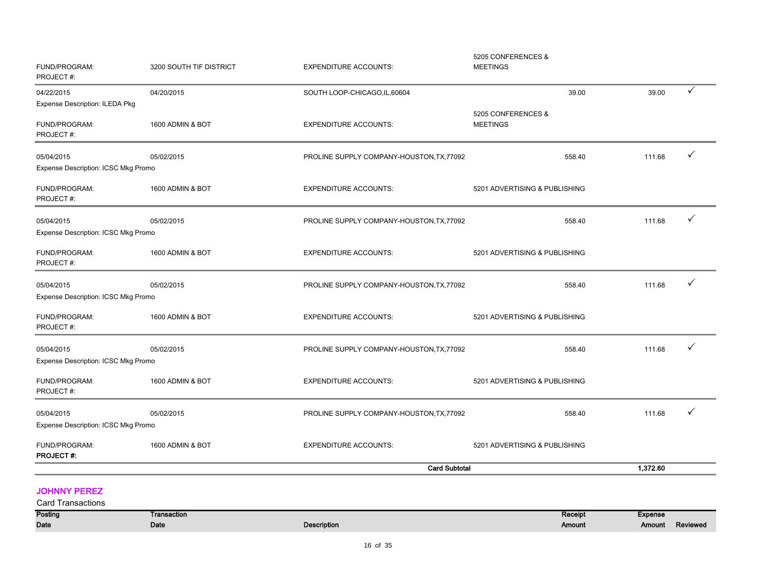|                                                   |                         | <b>Card Subtotal</b>                      |                                       | 1,372.60 |   |
|---------------------------------------------------|-------------------------|-------------------------------------------|---------------------------------------|----------|---|
| FUND/PROGRAM:<br><b>PROJECT#:</b>                 | 1600 ADMIN & BOT        | <b>EXPENDITURE ACCOUNTS:</b>              | 5201 ADVERTISING & PUBLISHING         |          |   |
| Expense Description: ICSC Mkg Promo               |                         |                                           |                                       |          |   |
| 05/04/2015                                        | 05/02/2015              | PROLINE SUPPLY COMPANY-HOUSTON, TX, 77092 | 558.40                                | 111.68   |   |
| FUND/PROGRAM:<br>PROJECT#:                        | 1600 ADMIN & BOT        | <b>EXPENDITURE ACCOUNTS:</b>              | 5201 ADVERTISING & PUBLISHING         |          |   |
| Expense Description: ICSC Mkg Promo               |                         |                                           |                                       |          |   |
| 05/04/2015                                        | 05/02/2015              | PROLINE SUPPLY COMPANY-HOUSTON, TX, 77092 | 558.40                                | 111.68   |   |
| FUND/PROGRAM:<br>PROJECT#:                        | 1600 ADMIN & BOT        | <b>EXPENDITURE ACCOUNTS:</b>              | 5201 ADVERTISING & PUBLISHING         |          |   |
| 05/04/2015<br>Expense Description: ICSC Mkg Promo | 05/02/2015              | PROLINE SUPPLY COMPANY-HOUSTON, TX, 77092 | 558.40                                | 111.68   | ✓ |
| FUND/PROGRAM:<br>PROJECT#:                        | 1600 ADMIN & BOT        | <b>EXPENDITURE ACCOUNTS:</b>              | 5201 ADVERTISING & PUBLISHING         |          |   |
| Expense Description: ICSC Mkg Promo               |                         |                                           |                                       |          |   |
| 05/04/2015                                        | 05/02/2015              | PROLINE SUPPLY COMPANY-HOUSTON, TX, 77092 | 558.40                                | 111.68   |   |
| FUND/PROGRAM:<br>PROJECT#:                        | 1600 ADMIN & BOT        | <b>EXPENDITURE ACCOUNTS:</b>              | 5201 ADVERTISING & PUBLISHING         |          |   |
| 05/04/2015<br>Expense Description: ICSC Mkg Promo | 05/02/2015              | PROLINE SUPPLY COMPANY-HOUSTON, TX, 77092 | 558.40                                | 111.68   |   |
| FUND/PROGRAM:<br>PROJECT#:                        | 1600 ADMIN & BOT        | <b>EXPENDITURE ACCOUNTS:</b>              | <b>MEETINGS</b>                       |          |   |
| Expense Description: ILEDA Pkg                    |                         |                                           | 5205 CONFERENCES &                    |          |   |
| 04/22/2015                                        | 04/20/2015              | SOUTH LOOP-CHICAGO, IL, 60604             | 39.00                                 | 39.00    | ✓ |
| FUND/PROGRAM:<br>PROJECT#:                        | 3200 SOUTH TIF DISTRICT | <b>EXPENDITURE ACCOUNTS:</b>              | 5205 CONFERENCES &<br><b>MEETINGS</b> |          |   |

#### JOHNNY PEREZ

| <b>Card Transactions</b> |             |                    |         |                |          |
|--------------------------|-------------|--------------------|---------|----------------|----------|
| Posting                  | Transaction |                    | Receipt | <b>Expense</b> |          |
| Date                     | Date        | <b>Description</b> | Amount  | <b>Amount</b>  | Reviewed |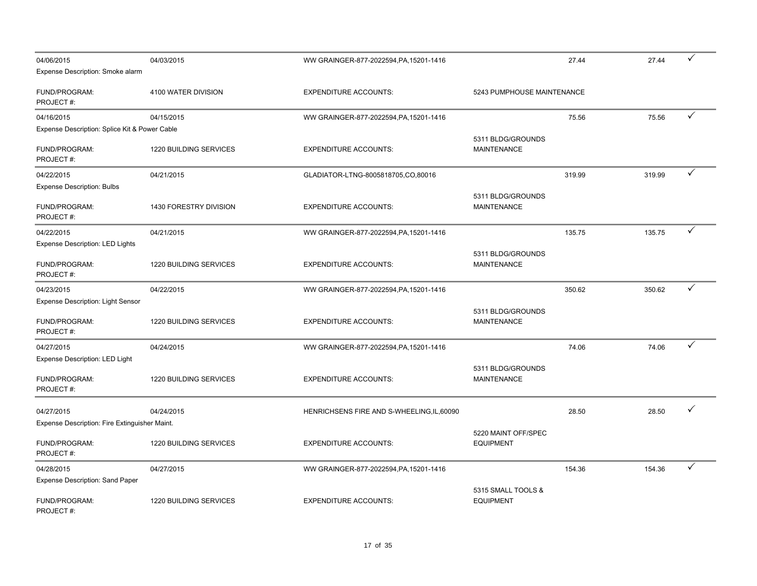| 04/06/2015                                    | 04/03/2015                    | WW GRAINGER-877-2022594, PA, 15201-1416    |                                         | 27.44  | 27.44  | ✓ |
|-----------------------------------------------|-------------------------------|--------------------------------------------|-----------------------------------------|--------|--------|---|
| Expense Description: Smoke alarm              |                               |                                            |                                         |        |        |   |
| FUND/PROGRAM:<br>PROJECT#:                    | 4100 WATER DIVISION           | <b>EXPENDITURE ACCOUNTS:</b>               | 5243 PUMPHOUSE MAINTENANCE              |        |        |   |
| 04/16/2015                                    | 04/15/2015                    | WW GRAINGER-877-2022594, PA, 15201-1416    |                                         | 75.56  | 75.56  | ✓ |
| Expense Description: Splice Kit & Power Cable |                               |                                            |                                         |        |        |   |
| FUND/PROGRAM:<br>PROJECT#:                    | 1220 BUILDING SERVICES        | <b>EXPENDITURE ACCOUNTS:</b>               | 5311 BLDG/GROUNDS<br><b>MAINTENANCE</b> |        |        |   |
| 04/22/2015                                    | 04/21/2015                    | GLADIATOR-LTNG-8005818705,CO,80016         |                                         | 319.99 | 319.99 | ✓ |
| <b>Expense Description: Bulbs</b>             |                               |                                            |                                         |        |        |   |
| FUND/PROGRAM:<br>PROJECT#:                    | 1430 FORESTRY DIVISION        | <b>EXPENDITURE ACCOUNTS:</b>               | 5311 BLDG/GROUNDS<br><b>MAINTENANCE</b> |        |        |   |
| 04/22/2015                                    | 04/21/2015                    | WW GRAINGER-877-2022594, PA, 15201-1416    |                                         | 135.75 | 135.75 | ✓ |
| Expense Description: LED Lights               |                               |                                            |                                         |        |        |   |
| FUND/PROGRAM:<br>PROJECT#:                    | 1220 BUILDING SERVICES        | <b>EXPENDITURE ACCOUNTS:</b>               | 5311 BLDG/GROUNDS<br><b>MAINTENANCE</b> |        |        |   |
| 04/23/2015                                    | 04/22/2015                    | WW GRAINGER-877-2022594, PA, 15201-1416    |                                         | 350.62 | 350.62 | ✓ |
| Expense Description: Light Sensor             |                               |                                            |                                         |        |        |   |
| FUND/PROGRAM:<br>PROJECT#:                    | <b>1220 BUILDING SERVICES</b> | <b>EXPENDITURE ACCOUNTS:</b>               | 5311 BLDG/GROUNDS<br><b>MAINTENANCE</b> |        |        |   |
| 04/27/2015                                    | 04/24/2015                    | WW GRAINGER-877-2022594, PA, 15201-1416    |                                         | 74.06  | 74.06  | ✓ |
| <b>Expense Description: LED Light</b>         |                               |                                            |                                         |        |        |   |
| FUND/PROGRAM:<br>PROJECT#:                    | 1220 BUILDING SERVICES        | <b>EXPENDITURE ACCOUNTS:</b>               | 5311 BLDG/GROUNDS<br><b>MAINTENANCE</b> |        |        |   |
| 04/27/2015                                    | 04/24/2015                    | HENRICHSENS FIRE AND S-WHEELING, IL, 60090 |                                         | 28.50  | 28.50  | ✓ |
| Expense Description: Fire Extinguisher Maint. |                               |                                            |                                         |        |        |   |
| FUND/PROGRAM:<br>PROJECT#:                    | 1220 BUILDING SERVICES        | <b>EXPENDITURE ACCOUNTS:</b>               | 5220 MAINT OFF/SPEC<br><b>EQUIPMENT</b> |        |        |   |
| 04/28/2015                                    | 04/27/2015                    | WW GRAINGER-877-2022594, PA, 15201-1416    |                                         | 154.36 | 154.36 | ✓ |
| Expense Description: Sand Paper               |                               |                                            |                                         |        |        |   |
| FUND/PROGRAM:<br>PROJECT#:                    | <b>1220 BUILDING SERVICES</b> | <b>EXPENDITURE ACCOUNTS:</b>               | 5315 SMALL TOOLS &<br><b>EQUIPMENT</b>  |        |        |   |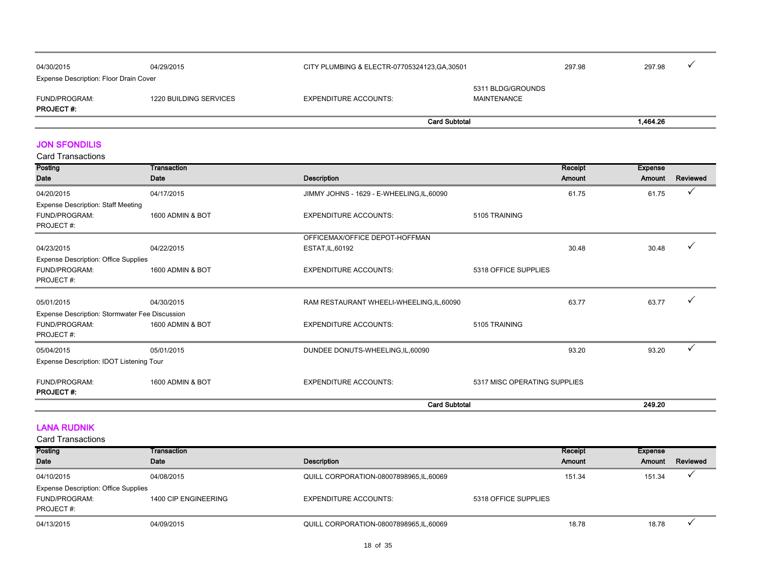|                                        |                        |                              | <b>Card Subtotal</b>                          |  | 1.464.26 |  |
|----------------------------------------|------------------------|------------------------------|-----------------------------------------------|--|----------|--|
| FUND/PROGRAM:<br><b>PROJECT#:</b>      | 1220 BUILDING SERVICES | <b>EXPENDITURE ACCOUNTS:</b> | 5311 BLDG/GROUNDS<br>MAINTENANCE              |  |          |  |
| Expense Description: Floor Drain Cover |                        |                              |                                               |  |          |  |
| 04/30/2015                             | 04/29/2015             |                              | CITY PLUMBING & ELECTR-07705324123, GA, 30501 |  | 297.98   |  |

JON SFONDILIS

| Posting                                        | Transaction      |                                            | Receipt                      | <b>Expense</b> |              |
|------------------------------------------------|------------------|--------------------------------------------|------------------------------|----------------|--------------|
| Date                                           | Date             | <b>Description</b>                         | Amount                       | Amount         | Reviewed     |
| 04/20/2015                                     | 04/17/2015       | JIMMY JOHNS - 1629 - E-WHEELING, IL, 60090 | 61.75                        | 61.75          | $\checkmark$ |
| <b>Expense Description: Staff Meeting</b>      |                  |                                            |                              |                |              |
| <b>FUND/PROGRAM:</b>                           | 1600 ADMIN & BOT | <b>EXPENDITURE ACCOUNTS:</b>               | 5105 TRAINING                |                |              |
| PROJECT#:                                      |                  |                                            |                              |                |              |
|                                                |                  | OFFICEMAX/OFFICE DEPOT-HOFFMAN             |                              |                |              |
| 04/23/2015                                     | 04/22/2015       | ESTAT, IL, 60192                           | 30.48                        | 30.48          |              |
| <b>Expense Description: Office Supplies</b>    |                  |                                            |                              |                |              |
| <b>FUND/PROGRAM:</b>                           | 1600 ADMIN & BOT | <b>EXPENDITURE ACCOUNTS:</b>               | 5318 OFFICE SUPPLIES         |                |              |
| PROJECT#:                                      |                  |                                            |                              |                |              |
|                                                |                  |                                            |                              |                |              |
| 05/01/2015                                     | 04/30/2015       | RAM RESTAURANT WHEELI-WHEELING, IL, 60090  | 63.77                        | 63.77          |              |
| Expense Description: Stormwater Fee Discussion |                  |                                            |                              |                |              |
| <b>FUND/PROGRAM:</b>                           | 1600 ADMIN & BOT | <b>EXPENDITURE ACCOUNTS:</b>               | 5105 TRAINING                |                |              |
| PROJECT#:                                      |                  |                                            |                              |                |              |
| 05/04/2015                                     | 05/01/2015       | DUNDEE DONUTS-WHEELING, IL, 60090          | 93.20                        | 93.20          |              |
| Expense Description: IDOT Listening Tour       |                  |                                            |                              |                |              |
|                                                |                  |                                            |                              |                |              |
| FUND/PROGRAM:                                  | 1600 ADMIN & BOT | <b>EXPENDITURE ACCOUNTS:</b>               | 5317 MISC OPERATING SUPPLIES |                |              |
| <b>PROJECT#:</b>                               |                  |                                            |                              |                |              |
|                                                |                  | <b>Card Subtotal</b>                       |                              | 249.20         |              |

#### LANA RUDNIK

| Posting                                     | Transaction          |                                        |                      | Receipt | Expense |          |
|---------------------------------------------|----------------------|----------------------------------------|----------------------|---------|---------|----------|
| Date                                        | Date                 | <b>Description</b>                     |                      | Amount  | Amount  | Reviewed |
| 04/10/2015                                  | 04/08/2015           | QUILL CORPORATION-08007898965.IL,60069 |                      | 151.34  | 151.34  |          |
| <b>Expense Description: Office Supplies</b> |                      |                                        |                      |         |         |          |
| FUND/PROGRAM:                               | 1400 CIP ENGINEERING | <b>EXPENDITURE ACCOUNTS:</b>           | 5318 OFFICE SUPPLIES |         |         |          |
| PROJECT#:                                   |                      |                                        |                      |         |         |          |
| 04/13/2015                                  | 04/09/2015           | QUILL CORPORATION-08007898965.IL,60069 |                      | 18.78   | 18.78   |          |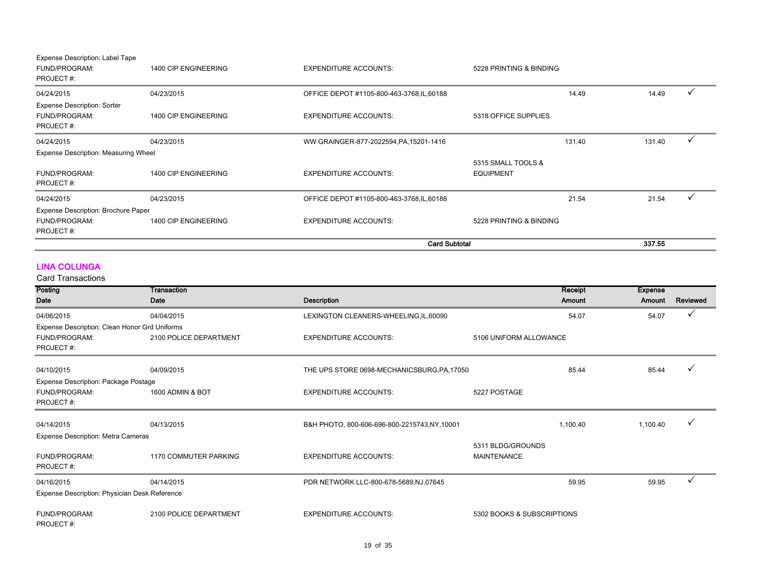|                                                                  |                      | <b>Card Subtotal</b>                       |                                        | 337.55 |
|------------------------------------------------------------------|----------------------|--------------------------------------------|----------------------------------------|--------|
| FUND/PROGRAM:<br>PROJECT#:                                       | 1400 CIP ENGINEERING | <b>EXPENDITURE ACCOUNTS:</b>               | 5228 PRINTING & BINDING                |        |
| Expense Description: Brochure Paper                              |                      |                                            |                                        |        |
| 04/24/2015                                                       | 04/23/2015           | OFFICE DEPOT #1105-800-463-3768, IL, 60188 | 21.54                                  | 21.54  |
| FUND/PROGRAM:<br>PROJECT#:                                       | 1400 CIP ENGINEERING | <b>EXPENDITURE ACCOUNTS:</b>               | 5315 SMALL TOOLS &<br><b>EQUIPMENT</b> |        |
| Expense Description: Measuring Wheel                             |                      |                                            |                                        |        |
| 04/24/2015                                                       | 04/23/2015           | WW GRAINGER-877-2022594, PA, 15201-1416    | 131.40                                 | 131.40 |
| <b>Expense Description: Sorter</b><br>FUND/PROGRAM:<br>PROJECT#: | 1400 CIP ENGINEERING | <b>EXPENDITURE ACCOUNTS:</b>               | 5318 OFFICE SUPPLIES                   |        |
| 04/24/2015                                                       | 04/23/2015           | OFFICE DEPOT #1105-800-463-3768, IL, 60188 | 14.49                                  | 14.49  |
| Expense Description: Label Tape<br>FUND/PROGRAM:<br>PROJECT#:    | 1400 CIP ENGINEERING | <b>EXPENDITURE ACCOUNTS:</b>               | 5228 PRINTING & BINDING                |        |

#### LINA COLUNGA

| Posting                                       | Transaction            |                                             | Receipt                    | <b>Expense</b> |              |
|-----------------------------------------------|------------------------|---------------------------------------------|----------------------------|----------------|--------------|
| Date                                          | Date                   | <b>Description</b>                          | <b>Amount</b>              | Amount         | Reviewed     |
| 04/06/2015                                    | 04/04/2015             | LEXINGTON CLEANERS-WHEELING,IL,60090        | 54.07                      | 54.07          | ✓            |
| Expense Description: Clean Honor Grd Uniforms |                        |                                             |                            |                |              |
| <b>FUND/PROGRAM:</b>                          | 2100 POLICE DEPARTMENT | <b>EXPENDITURE ACCOUNTS:</b>                | 5106 UNIFORM ALLOWANCE     |                |              |
| PROJECT#:                                     |                        |                                             |                            |                |              |
| 04/10/2015                                    | 04/09/2015             | THE UPS STORE 0698-MECHANICSBURG, PA, 17050 | 85.44                      | 85.44          |              |
| Expense Description: Package Postage          |                        |                                             |                            |                |              |
| FUND/PROGRAM:                                 | 1600 ADMIN & BOT       | <b>EXPENDITURE ACCOUNTS:</b>                | 5227 POSTAGE               |                |              |
| PROJECT#:                                     |                        |                                             |                            |                |              |
| 04/14/2015                                    | 04/13/2015             |                                             | 1,100.40                   | 1,100.40       |              |
|                                               |                        | B&H PHOTO, 800-606-696-800-2215743,NY,10001 |                            |                |              |
| Expense Description: Metra Cameras            |                        |                                             |                            |                |              |
|                                               |                        |                                             | 5311 BLDG/GROUNDS          |                |              |
| <b>FUND/PROGRAM:</b><br>PROJECT#:             | 1170 COMMUTER PARKING  | <b>EXPENDITURE ACCOUNTS:</b>                | <b>MAINTENANCE</b>         |                |              |
| 04/16/2015                                    | 04/14/2015             | PDR NETWORK LLC-800-678-5689,NJ,07645       | 59.95                      | 59.95          | $\checkmark$ |
| Expense Description: Physician Desk Reference |                        |                                             |                            |                |              |
| FUND/PROGRAM:<br>PROJECT#:                    | 2100 POLICE DEPARTMENT | <b>EXPENDITURE ACCOUNTS:</b>                | 5302 BOOKS & SUBSCRIPTIONS |                |              |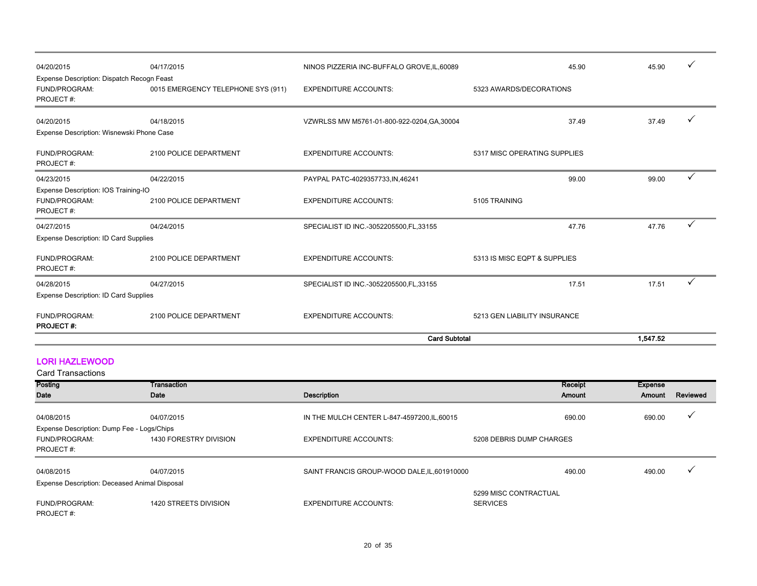|                                                                    |                                    | <b>Card Subtotal</b>                        |                              | 1,547.52   |  |
|--------------------------------------------------------------------|------------------------------------|---------------------------------------------|------------------------------|------------|--|
| FUND/PROGRAM:<br><b>PROJECT#:</b>                                  | 2100 POLICE DEPARTMENT             | <b>EXPENDITURE ACCOUNTS:</b>                | 5213 GEN LIABILITY INSURANCE |            |  |
| Expense Description: ID Card Supplies                              |                                    |                                             |                              |            |  |
| 04/28/2015                                                         | 04/27/2015                         | SPECIALIST ID INC.-3052205500, FL, 33155    | 17.51                        | ✓<br>17.51 |  |
| FUND/PROGRAM:<br>PROJECT#:                                         | 2100 POLICE DEPARTMENT             | <b>EXPENDITURE ACCOUNTS:</b>                | 5313 IS MISC EQPT & SUPPLIES |            |  |
| Expense Description: ID Card Supplies                              |                                    |                                             |                              |            |  |
| 04/27/2015                                                         | 04/24/2015                         | SPECIALIST ID INC.-3052205500, FL, 33155    | 47.76                        | ✓<br>47.76 |  |
| Expense Description: IOS Training-IO<br>FUND/PROGRAM:<br>PROJECT#: | 2100 POLICE DEPARTMENT             | <b>EXPENDITURE ACCOUNTS:</b>                | 5105 TRAINING                |            |  |
| 04/23/2015                                                         | 04/22/2015                         | PAYPAL PATC-4029357733, IN, 46241           | 99.00                        | ✓<br>99.00 |  |
| FUND/PROGRAM:<br>PROJECT#:                                         | 2100 POLICE DEPARTMENT             | <b>EXPENDITURE ACCOUNTS:</b>                | 5317 MISC OPERATING SUPPLIES |            |  |
| 04/20/2015<br>Expense Description: Wisnewski Phone Case            | 04/18/2015                         | VZWRLSS MW M5761-01-800-922-0204, GA, 30004 | 37.49                        | 37.49      |  |
| FUND/PROGRAM:<br>PROJECT#:                                         | 0015 EMERGENCY TELEPHONE SYS (911) | <b>EXPENDITURE ACCOUNTS:</b>                | 5323 AWARDS/DECORATIONS      |            |  |
| Expense Description: Dispatch Recogn Feast                         |                                    |                                             |                              |            |  |
| 04/20/2015                                                         | 04/17/2015                         | NINOS PIZZERIA INC-BUFFALO GROVE, IL, 60089 | 45.90                        | 45.90      |  |

#### LORI HAZLEWOOD

| Posting                                       | Transaction            |                                              | Receipt                                  | <b>Expense</b> |              |
|-----------------------------------------------|------------------------|----------------------------------------------|------------------------------------------|----------------|--------------|
| Date                                          | Date                   | Description                                  | Amount                                   | Amount         | Reviewed     |
| 04/08/2015                                    | 04/07/2015             | IN THE MULCH CENTER L-847-4597200, IL, 60015 | 690.00                                   | 690.00         | $\checkmark$ |
| Expense Description: Dump Fee - Logs/Chips    |                        |                                              |                                          |                |              |
| FUND/PROGRAM:<br>PROJECT#:                    | 1430 FORESTRY DIVISION | <b>EXPENDITURE ACCOUNTS:</b>                 | 5208 DEBRIS DUMP CHARGES                 |                |              |
| 04/08/2015                                    | 04/07/2015             | SAINT FRANCIS GROUP-WOOD DALE, IL, 601910000 | 490.00                                   | 490.00         | $\cdot$      |
| Expense Description: Deceased Animal Disposal |                        |                                              |                                          |                |              |
| FUND/PROGRAM:<br>PROJECT#:                    | 1420 STREETS DIVISION  | <b>EXPENDITURE ACCOUNTS:</b>                 | 5299 MISC CONTRACTUAL<br><b>SERVICES</b> |                |              |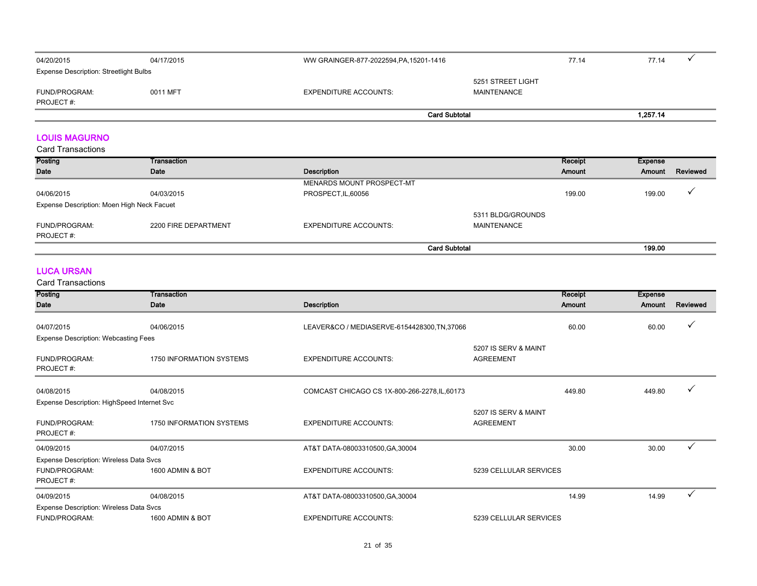| 04/20/2015                                    | 04/17/2015 | WW GRAINGER-877-2022594, PA, 15201-1416 | 77.14                            | 77.14 |
|-----------------------------------------------|------------|-----------------------------------------|----------------------------------|-------|
| <b>Expense Description: Streetlight Bulbs</b> |            |                                         |                                  |       |
| FUND/PROGRAM:                                 | 0011 MFT   | <b>EXPENDITURE ACCOUNTS:</b>            | 5251 STREET LIGHT<br>MAINTENANCE |       |
| PROJECT#:                                     |            |                                         |                                  |       |
|                                               |            | <b>Card Subtotal</b>                    |                                  |       |

#### LOUIS MAGURNO

Card Transactions

| Posting                                    | Transaction          |                           | Receipt           | Expense |          |
|--------------------------------------------|----------------------|---------------------------|-------------------|---------|----------|
| Date                                       | Date                 | <b>Description</b>        | Amount            | Amount  | Reviewed |
|                                            |                      | MENARDS MOUNT PROSPECT-MT |                   |         |          |
| 04/06/2015                                 | 04/03/2015           | PROSPECT, IL, 60056       | 199.00            | 199.00  |          |
| Expense Description: Moen High Neck Facuet |                      |                           |                   |         |          |
|                                            |                      |                           | 5311 BLDG/GROUNDS |         |          |
| FUND/PROGRAM:                              | 2200 FIRE DEPARTMENT | EXPENDITURE ACCOUNTS:     | MAINTENANCE       |         |          |
| PROJECT#:                                  |                      |                           |                   |         |          |
|                                            |                      | <b>Card Subtotal</b>      |                   | 199.00  |          |

#### LUCA URSAN

Card Transactions

| Posting                                     | Transaction              |                                               |                        | Receipt | <b>Expense</b> |          |
|---------------------------------------------|--------------------------|-----------------------------------------------|------------------------|---------|----------------|----------|
| Date                                        | Date                     | <b>Description</b>                            |                        | Amount  | Amount         | Reviewed |
|                                             |                          |                                               |                        |         |                |          |
| 04/07/2015                                  | 04/06/2015               | LEAVER&CO / MEDIASERVE-6154428300, TN, 37066  |                        | 60.00   | 60.00          |          |
| Expense Description: Webcasting Fees        |                          |                                               |                        |         |                |          |
|                                             |                          |                                               | 5207 IS SERV & MAINT   |         |                |          |
| FUND/PROGRAM:                               | 1750 INFORMATION SYSTEMS | <b>EXPENDITURE ACCOUNTS:</b>                  | <b>AGREEMENT</b>       |         |                |          |
| PROJECT#:                                   |                          |                                               |                        |         |                |          |
|                                             |                          |                                               |                        |         |                |          |
| 04/08/2015                                  | 04/08/2015               | COMCAST CHICAGO CS 1X-800-266-2278, IL, 60173 |                        | 449.80  | 449.80         |          |
| Expense Description: HighSpeed Internet Svc |                          |                                               |                        |         |                |          |
|                                             |                          |                                               | 5207 IS SERV & MAINT   |         |                |          |
| FUND/PROGRAM:                               | 1750 INFORMATION SYSTEMS | <b>EXPENDITURE ACCOUNTS:</b>                  | <b>AGREEMENT</b>       |         |                |          |
| PROJECT#:                                   |                          |                                               |                        |         |                |          |
| 04/09/2015                                  | 04/07/2015               | AT&T DATA-08003310500, GA, 30004              |                        | 30.00   | 30.00          | ✓        |
| Expense Description: Wireless Data Svcs     |                          |                                               |                        |         |                |          |
| FUND/PROGRAM:                               | 1600 ADMIN & BOT         | <b>EXPENDITURE ACCOUNTS:</b>                  | 5239 CELLULAR SERVICES |         |                |          |
| PROJECT#:                                   |                          |                                               |                        |         |                |          |
| 04/09/2015                                  | 04/08/2015               | AT&T DATA-08003310500, GA, 30004              |                        | 14.99   | 14.99          |          |
| Expense Description: Wireless Data Svcs     |                          |                                               |                        |         |                |          |
| <b>FUND/PROGRAM:</b>                        | 1600 ADMIN & BOT         | <b>EXPENDITURE ACCOUNTS:</b>                  | 5239 CELLULAR SERVICES |         |                |          |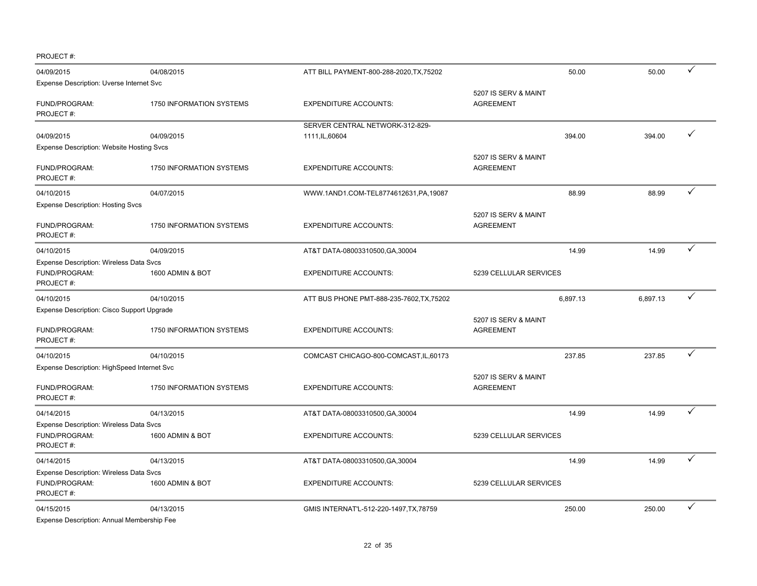PROJECT #:

| 04/09/2015                                               | 04/08/2015                      | ATT BILL PAYMENT-800-288-2020, TX, 75202  | 50.00                                    | 50.00    | ✓ |
|----------------------------------------------------------|---------------------------------|-------------------------------------------|------------------------------------------|----------|---|
| Expense Description: Uverse Internet Svc                 |                                 |                                           |                                          |          |   |
| FUND/PROGRAM:<br>PROJECT#:                               | 1750 INFORMATION SYSTEMS        | <b>EXPENDITURE ACCOUNTS:</b>              | 5207 IS SERV & MAINT<br><b>AGREEMENT</b> |          |   |
|                                                          |                                 | SERVER CENTRAL NETWORK-312-829-           |                                          |          |   |
| 04/09/2015                                               | 04/09/2015                      | 1111, IL, 60604                           | 394.00                                   | 394.00   | ✓ |
| <b>Expense Description: Website Hosting Svcs</b>         |                                 |                                           |                                          |          |   |
| FUND/PROGRAM:<br>PROJECT#:                               | 1750 INFORMATION SYSTEMS        | <b>EXPENDITURE ACCOUNTS:</b>              | 5207 IS SERV & MAINT<br><b>AGREEMENT</b> |          |   |
| 04/10/2015                                               | 04/07/2015                      | WWW.1AND1.COM-TEL8774612631,PA,19087      | 88.99                                    | 88.99    | ✓ |
| Expense Description: Hosting Svcs                        |                                 |                                           |                                          |          |   |
| FUND/PROGRAM:<br>PROJECT#:                               | 1750 INFORMATION SYSTEMS        | <b>EXPENDITURE ACCOUNTS:</b>              | 5207 IS SERV & MAINT<br><b>AGREEMENT</b> |          |   |
| 04/10/2015                                               | 04/09/2015                      | AT&T DATA-08003310500, GA, 30004          | 14.99                                    | 14.99    | ✓ |
| Expense Description: Wireless Data Svcs                  |                                 |                                           |                                          |          |   |
| FUND/PROGRAM:<br>PROJECT#:                               | 1600 ADMIN & BOT                | <b>EXPENDITURE ACCOUNTS:</b>              | 5239 CELLULAR SERVICES                   |          |   |
| 04/10/2015                                               | 04/10/2015                      | ATT BUS PHONE PMT-888-235-7602, TX, 75202 | 6,897.13                                 | 6,897.13 | ✓ |
| Expense Description: Cisco Support Upgrade               |                                 |                                           |                                          |          |   |
| FUND/PROGRAM:<br>PROJECT#:                               | <b>1750 INFORMATION SYSTEMS</b> | <b>EXPENDITURE ACCOUNTS:</b>              | 5207 IS SERV & MAINT<br><b>AGREEMENT</b> |          |   |
| 04/10/2015                                               | 04/10/2015                      | COMCAST CHICAGO-800-COMCAST, IL, 60173    | 237.85                                   | 237.85   | ✓ |
| Expense Description: HighSpeed Internet Svc              |                                 |                                           |                                          |          |   |
| FUND/PROGRAM:<br>PROJECT#:                               | 1750 INFORMATION SYSTEMS        | <b>EXPENDITURE ACCOUNTS:</b>              | 5207 IS SERV & MAINT<br><b>AGREEMENT</b> |          |   |
| 04/14/2015                                               | 04/13/2015                      | AT&T DATA-08003310500, GA, 30004          | 14.99                                    | 14.99    | ✓ |
| Expense Description: Wireless Data Svcs                  |                                 |                                           |                                          |          |   |
| FUND/PROGRAM:<br>PROJECT#:                               | 1600 ADMIN & BOT                | <b>EXPENDITURE ACCOUNTS:</b>              | 5239 CELLULAR SERVICES                   |          |   |
| 04/14/2015                                               | 04/13/2015                      | AT&T DATA-08003310500, GA, 30004          | 14.99                                    | 14.99    | ✓ |
| Expense Description: Wireless Data Svcs                  |                                 |                                           |                                          |          |   |
| FUND/PROGRAM:<br>PROJECT#:                               | 1600 ADMIN & BOT                | <b>EXPENDITURE ACCOUNTS:</b>              | 5239 CELLULAR SERVICES                   |          |   |
| 04/15/2015<br>Expense Description: Annual Membership Fee | 04/13/2015                      | GMIS INTERNAT'L-512-220-1497, TX, 78759   | 250.00                                   | 250.00   | ✓ |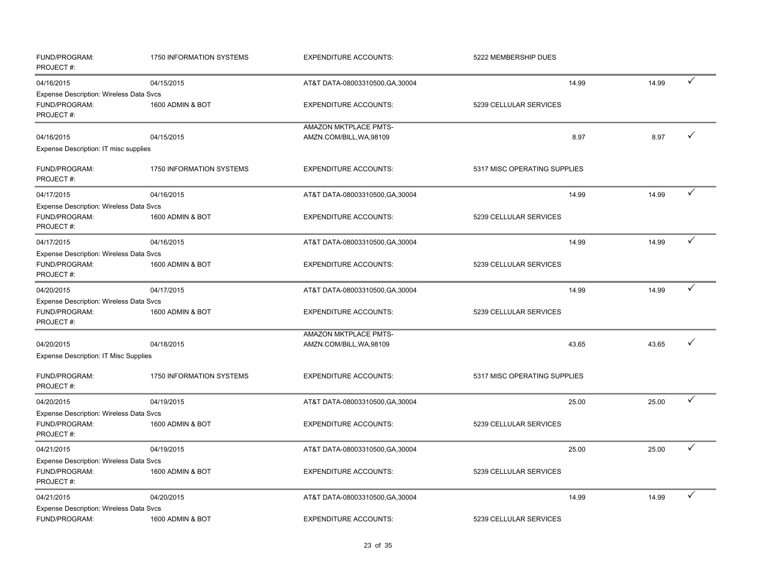| FUND/PROGRAM:<br>PROJECT#:                                                   | 1750 INFORMATION SYSTEMS        | <b>EXPENDITURE ACCOUNTS:</b>                             | 5222 MEMBERSHIP DUES         |       |   |
|------------------------------------------------------------------------------|---------------------------------|----------------------------------------------------------|------------------------------|-------|---|
| 04/16/2015                                                                   | 04/15/2015                      | AT&T DATA-08003310500, GA, 30004                         | 14.99                        | 14.99 | ✓ |
| Expense Description: Wireless Data Svcs<br>FUND/PROGRAM:<br>PROJECT#:        | 1600 ADMIN & BOT                | <b>EXPENDITURE ACCOUNTS:</b>                             | 5239 CELLULAR SERVICES       |       |   |
| 04/16/2015                                                                   | 04/15/2015                      | AMAZON MKTPLACE PMTS-<br>AMZN.COM/BILL, WA, 98109        | 8.97                         | 8.97  |   |
| Expense Description: IT misc supplies                                        |                                 |                                                          |                              |       |   |
| FUND/PROGRAM:<br>PROJECT#:                                                   | <b>1750 INFORMATION SYSTEMS</b> | <b>EXPENDITURE ACCOUNTS:</b>                             | 5317 MISC OPERATING SUPPLIES |       |   |
| 04/17/2015                                                                   | 04/16/2015                      | AT&T DATA-08003310500, GA, 30004                         | 14.99                        | 14.99 | ✓ |
| <b>Expense Description: Wireless Data Svcs</b><br>FUND/PROGRAM:<br>PROJECT#: | 1600 ADMIN & BOT                | <b>EXPENDITURE ACCOUNTS:</b>                             | 5239 CELLULAR SERVICES       |       |   |
| 04/17/2015                                                                   | 04/16/2015                      | AT&T DATA-08003310500, GA, 30004                         | 14.99                        | 14.99 | ✓ |
| Expense Description: Wireless Data Svcs<br>FUND/PROGRAM:<br>PROJECT#:        | 1600 ADMIN & BOT                | <b>EXPENDITURE ACCOUNTS:</b>                             | 5239 CELLULAR SERVICES       |       |   |
| 04/20/2015                                                                   | 04/17/2015                      | AT&T DATA-08003310500, GA, 30004                         | 14.99                        | 14.99 | ✓ |
| Expense Description: Wireless Data Svcs<br>FUND/PROGRAM:<br>PROJECT#:        | 1600 ADMIN & BOT                | <b>EXPENDITURE ACCOUNTS:</b>                             | 5239 CELLULAR SERVICES       |       |   |
| 04/20/2015                                                                   | 04/18/2015                      | <b>AMAZON MKTPLACE PMTS-</b><br>AMZN.COM/BILL, WA, 98109 | 43.65                        | 43.65 |   |
| <b>Expense Description: IT Misc Supplies</b>                                 |                                 |                                                          |                              |       |   |
| FUND/PROGRAM:<br>PROJECT#:                                                   | <b>1750 INFORMATION SYSTEMS</b> | <b>EXPENDITURE ACCOUNTS:</b>                             | 5317 MISC OPERATING SUPPLIES |       |   |
| 04/20/2015                                                                   | 04/19/2015                      | AT&T DATA-08003310500, GA, 30004                         | 25.00                        | 25.00 |   |
| <b>Expense Description: Wireless Data Svcs</b><br>FUND/PROGRAM:<br>PROJECT#: | 1600 ADMIN & BOT                | <b>EXPENDITURE ACCOUNTS:</b>                             | 5239 CELLULAR SERVICES       |       |   |
| 04/21/2015                                                                   | 04/19/2015                      | AT&T DATA-08003310500, GA, 30004                         | 25.00                        | 25.00 |   |
| Expense Description: Wireless Data Svcs<br>FUND/PROGRAM:<br>PROJECT#:        | 1600 ADMIN & BOT                | <b>EXPENDITURE ACCOUNTS:</b>                             | 5239 CELLULAR SERVICES       |       |   |
| 04/21/2015                                                                   | 04/20/2015                      | AT&T DATA-08003310500, GA, 30004                         | 14.99                        | 14.99 |   |
| Expense Description: Wireless Data Svcs<br>FUND/PROGRAM:                     | 1600 ADMIN & BOT                | <b>EXPENDITURE ACCOUNTS:</b>                             | 5239 CELLULAR SERVICES       |       |   |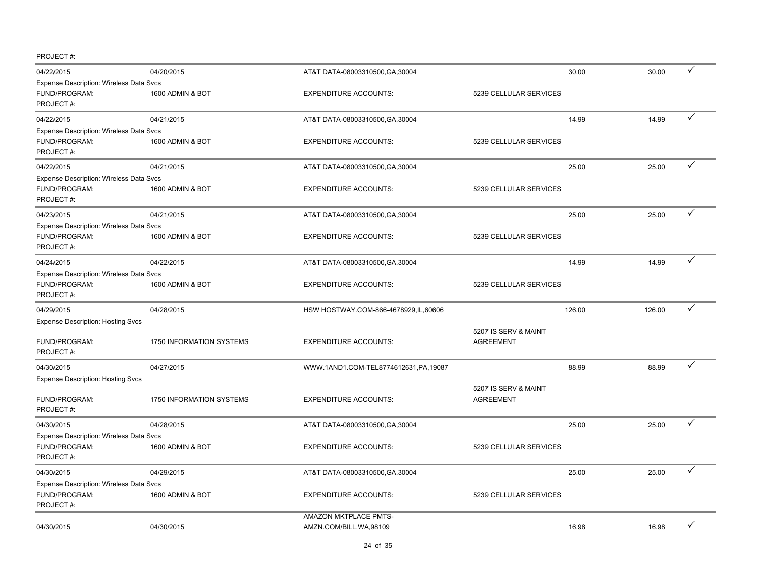PROJECT #:

| 04/22/2015                                                             | 04/20/2015               | AT&T DATA-08003310500, GA, 30004                  |                                          | 30.00  | 30.00  | ✓ |
|------------------------------------------------------------------------|--------------------------|---------------------------------------------------|------------------------------------------|--------|--------|---|
| Expense Description: Wireless Data Svcs<br>FUND/PROGRAM:<br>PROJECT#:  | 1600 ADMIN & BOT         | <b>EXPENDITURE ACCOUNTS:</b>                      | 5239 CELLULAR SERVICES                   |        |        |   |
| 04/22/2015                                                             | 04/21/2015               | AT&T DATA-08003310500, GA, 30004                  |                                          | 14.99  | 14.99  | ✓ |
| Expense Description: Wireless Data Svcs<br>FUND/PROGRAM:<br>PROJECT#:  | 1600 ADMIN & BOT         | <b>EXPENDITURE ACCOUNTS:</b>                      | 5239 CELLULAR SERVICES                   |        |        |   |
| 04/22/2015                                                             | 04/21/2015               | AT&T DATA-08003310500, GA, 30004                  |                                          | 25.00  | 25.00  | ✓ |
| Expense Description: Wireless Data Svcs<br>FUND/PROGRAM:<br>PROJECT#:  | 1600 ADMIN & BOT         | <b>EXPENDITURE ACCOUNTS:</b>                      | 5239 CELLULAR SERVICES                   |        |        |   |
| 04/23/2015                                                             | 04/21/2015               | AT&T DATA-08003310500, GA, 30004                  |                                          | 25.00  | 25.00  | ✓ |
| Expense Description: Wireless Data Svcs<br>FUND/PROGRAM:<br>PROJECT#:  | 1600 ADMIN & BOT         | <b>EXPENDITURE ACCOUNTS:</b>                      | 5239 CELLULAR SERVICES                   |        |        |   |
| 04/24/2015                                                             | 04/22/2015               | AT&T DATA-08003310500, GA, 30004                  |                                          | 14.99  | 14.99  | ✓ |
| Expense Description: Wireless Data Svcs<br>FUND/PROGRAM:<br>PROJECT#:  | 1600 ADMIN & BOT         | <b>EXPENDITURE ACCOUNTS:</b>                      | 5239 CELLULAR SERVICES                   |        |        |   |
| 04/29/2015                                                             | 04/28/2015               | HSW HOSTWAY.COM-866-4678929, IL, 60606            |                                          | 126.00 | 126.00 | ✓ |
| <b>Expense Description: Hosting Svcs</b><br>FUND/PROGRAM:<br>PROJECT#: | 1750 INFORMATION SYSTEMS | <b>EXPENDITURE ACCOUNTS:</b>                      | 5207 IS SERV & MAINT<br><b>AGREEMENT</b> |        |        |   |
|                                                                        |                          |                                                   |                                          |        |        | ✓ |
| 04/30/2015<br><b>Expense Description: Hosting Svcs</b>                 | 04/27/2015               | WWW.1AND1.COM-TEL8774612631,PA,19087              |                                          | 88.99  | 88.99  |   |
| FUND/PROGRAM:<br>PROJECT#:                                             | 1750 INFORMATION SYSTEMS | <b>EXPENDITURE ACCOUNTS:</b>                      | 5207 IS SERV & MAINT<br><b>AGREEMENT</b> |        |        |   |
| 04/30/2015                                                             | 04/28/2015               | AT&T DATA-08003310500, GA, 30004                  |                                          | 25.00  | 25.00  | ✓ |
| Expense Description: Wireless Data Svcs<br>FUND/PROGRAM:<br>PROJECT#:  | 1600 ADMIN & BOT         | <b>EXPENDITURE ACCOUNTS:</b>                      | 5239 CELLULAR SERVICES                   |        |        |   |
| 04/30/2015                                                             | 04/29/2015               | AT&T DATA-08003310500, GA, 30004                  |                                          | 25.00  | 25.00  | ✓ |
| Expense Description: Wireless Data Svcs<br>FUND/PROGRAM:<br>PROJECT#:  | 1600 ADMIN & BOT         | <b>EXPENDITURE ACCOUNTS:</b>                      | 5239 CELLULAR SERVICES                   |        |        |   |
| 04/30/2015                                                             | 04/30/2015               | AMAZON MKTPLACE PMTS-<br>AMZN.COM/BILL, WA, 98109 |                                          | 16.98  | 16.98  |   |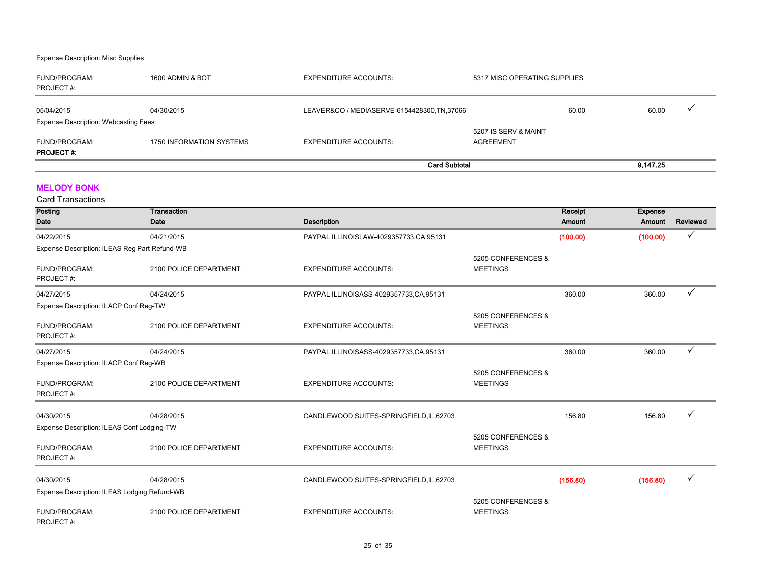#### Expense Description: Misc Supplies

| FUND/PROGRAM:<br>PROJECT#:                                | 1600 ADMIN & BOT         | <b>EXPENDITURE ACCOUNTS:</b>                 | 5317 MISC OPERATING SUPPLIES             |          |
|-----------------------------------------------------------|--------------------------|----------------------------------------------|------------------------------------------|----------|
| 05/04/2015<br><b>Expense Description: Webcasting Fees</b> | 04/30/2015               | LEAVER&CO / MEDIASERVE-6154428300, TN, 37066 | 60.00                                    | 60.00    |
| FUND/PROGRAM:<br><b>PROJECT#:</b>                         | 1750 INFORMATION SYSTEMS | EXPENDITURE ACCOUNTS:                        | 5207 IS SERV & MAINT<br><b>AGREEMENT</b> |          |
|                                                           |                          | <b>Card Subtotal</b>                         |                                          | 9.147.25 |

#### MELODY BONK

| Posting                                       | Transaction            |                                          |                    | Receipt  | <b>Expense</b> |          |
|-----------------------------------------------|------------------------|------------------------------------------|--------------------|----------|----------------|----------|
| Date                                          | Date                   | <b>Description</b>                       |                    | Amount   | Amount         | Reviewed |
| 04/22/2015                                    | 04/21/2015             | PAYPAL ILLINOISLAW-4029357733,CA,95131   |                    | (100.00) | (100.00)       | ✓        |
| Expense Description: ILEAS Reg Part Refund-WB |                        |                                          |                    |          |                |          |
|                                               |                        |                                          | 5205 CONFERENCES & |          |                |          |
| FUND/PROGRAM:                                 | 2100 POLICE DEPARTMENT | <b>EXPENDITURE ACCOUNTS:</b>             | <b>MEETINGS</b>    |          |                |          |
| PROJECT#:                                     |                        |                                          |                    |          |                |          |
| 04/27/2015                                    | 04/24/2015             | PAYPAL ILLINOISASS-4029357733,CA,95131   |                    | 360.00   | 360.00         |          |
| Expense Description: ILACP Conf Reg-TW        |                        |                                          |                    |          |                |          |
|                                               |                        |                                          | 5205 CONFERENCES & |          |                |          |
| FUND/PROGRAM:                                 | 2100 POLICE DEPARTMENT | <b>EXPENDITURE ACCOUNTS:</b>             | <b>MEETINGS</b>    |          |                |          |
| PROJECT#:                                     |                        |                                          |                    |          |                |          |
| 04/27/2015                                    | 04/24/2015             | PAYPAL ILLINOISASS-4029357733,CA,95131   |                    | 360.00   | 360.00         | ✓        |
| Expense Description: ILACP Conf Reg-WB        |                        |                                          |                    |          |                |          |
|                                               |                        |                                          | 5205 CONFERENCES & |          |                |          |
| FUND/PROGRAM:                                 | 2100 POLICE DEPARTMENT | <b>EXPENDITURE ACCOUNTS:</b>             | <b>MEETINGS</b>    |          |                |          |
| PROJECT#:                                     |                        |                                          |                    |          |                |          |
|                                               |                        |                                          |                    |          |                |          |
| 04/30/2015                                    | 04/28/2015             | CANDLEWOOD SUITES-SPRINGFIELD, IL, 62703 |                    | 156.80   | 156.80         |          |
| Expense Description: ILEAS Conf Lodging-TW    |                        |                                          | 5205 CONFERENCES & |          |                |          |
| FUND/PROGRAM:                                 | 2100 POLICE DEPARTMENT | <b>EXPENDITURE ACCOUNTS:</b>             | <b>MEETINGS</b>    |          |                |          |
| PROJECT#:                                     |                        |                                          |                    |          |                |          |
|                                               |                        |                                          |                    |          |                |          |
| 04/30/2015                                    | 04/28/2015             | CANDLEWOOD SUITES-SPRINGFIELD, IL, 62703 |                    | (156.80) | (156.80)       | ✓        |
| Expense Description: ILEAS Lodging Refund-WB  |                        |                                          |                    |          |                |          |
|                                               |                        |                                          | 5205 CONFERENCES & |          |                |          |
| FUND/PROGRAM:                                 | 2100 POLICE DEPARTMENT | <b>EXPENDITURE ACCOUNTS:</b>             | <b>MEETINGS</b>    |          |                |          |
| PROJECT#:                                     |                        |                                          |                    |          |                |          |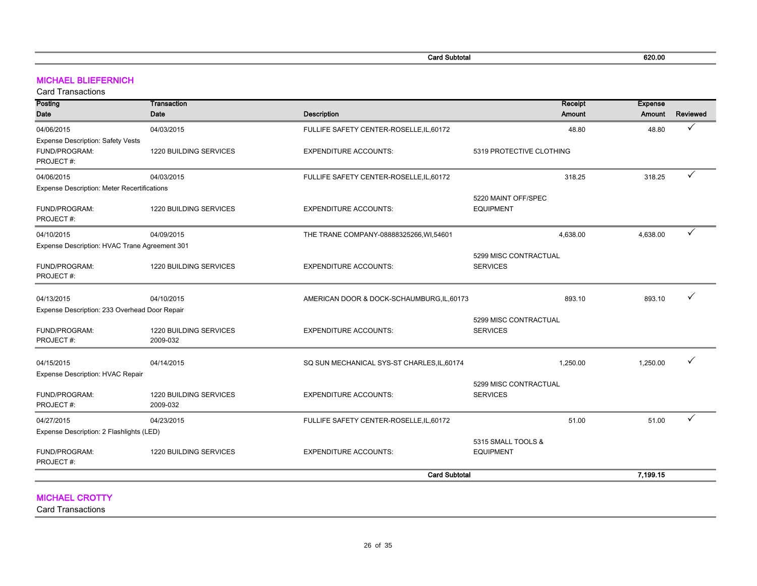Card Subtotal 620.00

#### MICHAEL BLIEFERNICH

Card Transactions

| Posting                                            | Transaction            |                                             | Receipt                  | <b>Expense</b> |              |
|----------------------------------------------------|------------------------|---------------------------------------------|--------------------------|----------------|--------------|
| Date                                               | Date                   | <b>Description</b>                          | <b>Amount</b>            | Amount         | Reviewed     |
| 04/06/2015                                         | 04/03/2015             | FULLIFE SAFETY CENTER-ROSELLE, IL, 60172    | 48.80                    | 48.80          | ✓            |
| Expense Description: Safety Vests                  |                        |                                             |                          |                |              |
| FUND/PROGRAM:                                      | 1220 BUILDING SERVICES | <b>EXPENDITURE ACCOUNTS:</b>                | 5319 PROTECTIVE CLOTHING |                |              |
| PROJECT#:                                          |                        |                                             |                          |                |              |
| 04/06/2015                                         | 04/03/2015             | FULLIFE SAFETY CENTER-ROSELLE,IL,60172      | 318.25                   | 318.25         | ✓            |
| <b>Expense Description: Meter Recertifications</b> |                        |                                             |                          |                |              |
|                                                    |                        |                                             | 5220 MAINT OFF/SPEC      |                |              |
| FUND/PROGRAM:                                      | 1220 BUILDING SERVICES | <b>EXPENDITURE ACCOUNTS:</b>                | <b>EQUIPMENT</b>         |                |              |
| PROJECT#:                                          |                        |                                             |                          |                |              |
| 04/10/2015                                         | 04/09/2015             | THE TRANE COMPANY-08888325266, WI,54601     | 4,638.00                 | 4,638.00       | $\checkmark$ |
| Expense Description: HVAC Trane Agreement 301      |                        |                                             |                          |                |              |
|                                                    |                        |                                             | 5299 MISC CONTRACTUAL    |                |              |
| FUND/PROGRAM:                                      | 1220 BUILDING SERVICES | <b>EXPENDITURE ACCOUNTS:</b>                | <b>SERVICES</b>          |                |              |
| PROJECT#:                                          |                        |                                             |                          |                |              |
| 04/13/2015                                         | 04/10/2015             | AMERICAN DOOR & DOCK-SCHAUMBURG, IL, 60173  | 893.10                   | 893.10         |              |
| Expense Description: 233 Overhead Door Repair      |                        |                                             |                          |                |              |
|                                                    |                        |                                             | 5299 MISC CONTRACTUAL    |                |              |
| FUND/PROGRAM:                                      | 1220 BUILDING SERVICES | <b>EXPENDITURE ACCOUNTS:</b>                | <b>SERVICES</b>          |                |              |
| PROJECT#:                                          | 2009-032               |                                             |                          |                |              |
|                                                    |                        |                                             | 1,250.00                 | 1,250.00       |              |
| 04/15/2015<br>Expense Description: HVAC Repair     | 04/14/2015             | SQ SUN MECHANICAL SYS-ST CHARLES, IL, 60174 |                          |                |              |
|                                                    |                        |                                             | 5299 MISC CONTRACTUAL    |                |              |
| FUND/PROGRAM:                                      | 1220 BUILDING SERVICES | <b>EXPENDITURE ACCOUNTS:</b>                | <b>SERVICES</b>          |                |              |
| PROJECT#:                                          | 2009-032               |                                             |                          |                |              |
| 04/27/2015                                         | 04/23/2015             | FULLIFE SAFETY CENTER-ROSELLE, IL, 60172    | 51.00                    | 51.00          | $\checkmark$ |
| Expense Description: 2 Flashlights (LED)           |                        |                                             |                          |                |              |
|                                                    |                        |                                             | 5315 SMALL TOOLS &       |                |              |
| FUND/PROGRAM:                                      | 1220 BUILDING SERVICES | <b>EXPENDITURE ACCOUNTS:</b>                | <b>EQUIPMENT</b>         |                |              |
| PROJECT#:                                          |                        |                                             |                          |                |              |
|                                                    |                        | <b>Card Subtotal</b>                        |                          | 7,199.15       |              |
|                                                    |                        |                                             |                          |                |              |
| <b>MICHAEL CROTTY</b>                              |                        |                                             |                          |                |              |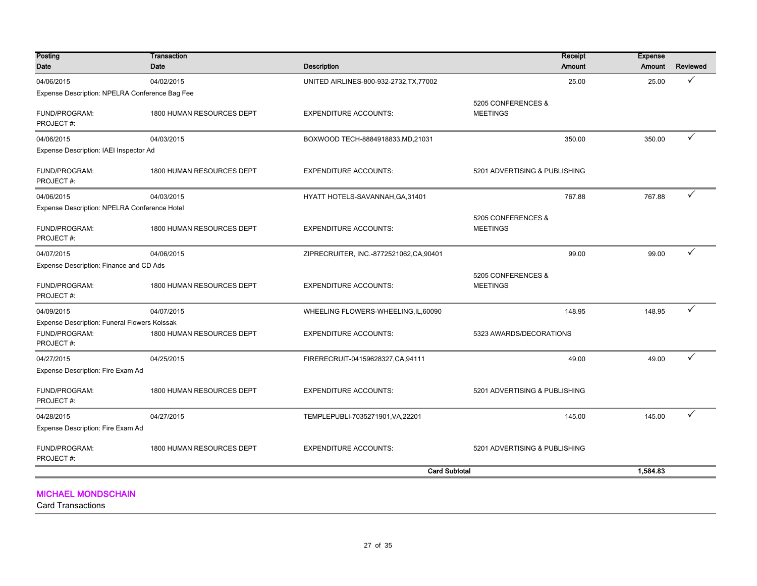| Posting                                        | Transaction               |                                          | Receipt                               | <b>Expense</b> |                 |
|------------------------------------------------|---------------------------|------------------------------------------|---------------------------------------|----------------|-----------------|
| Date                                           | Date                      | <b>Description</b>                       | <b>Amount</b>                         | Amount         | <b>Reviewed</b> |
| 04/06/2015                                     | 04/02/2015                | UNITED AIRLINES-800-932-2732, TX, 77002  | 25.00                                 | 25.00          | ✓               |
| Expense Description: NPELRA Conference Bag Fee |                           |                                          |                                       |                |                 |
| FUND/PROGRAM:                                  | 1800 HUMAN RESOURCES DEPT | <b>EXPENDITURE ACCOUNTS:</b>             | 5205 CONFERENCES &<br><b>MEETINGS</b> |                |                 |
| PROJECT#:                                      |                           |                                          |                                       |                |                 |
| 04/06/2015                                     | 04/03/2015                | BOXWOOD TECH-8884918833, MD, 21031       | 350.00                                | 350.00         | ✓               |
| Expense Description: IAEI Inspector Ad         |                           |                                          |                                       |                |                 |
| FUND/PROGRAM:<br>PROJECT#:                     | 1800 HUMAN RESOURCES DEPT | <b>EXPENDITURE ACCOUNTS:</b>             | 5201 ADVERTISING & PUBLISHING         |                |                 |
| 04/06/2015                                     | 04/03/2015                | HYATT HOTELS-SAVANNAH, GA, 31401         | 767.88                                | 767.88         | ✓               |
| Expense Description: NPELRA Conference Hotel   |                           |                                          |                                       |                |                 |
| FUND/PROGRAM:<br>PROJECT#:                     | 1800 HUMAN RESOURCES DEPT | <b>EXPENDITURE ACCOUNTS:</b>             | 5205 CONFERENCES &<br><b>MEETINGS</b> |                |                 |
| 04/07/2015                                     | 04/06/2015                | ZIPRECRUITER, INC.-8772521062, CA, 90401 | 99.00                                 | 99.00          | ✓               |
| Expense Description: Finance and CD Ads        |                           |                                          |                                       |                |                 |
| FUND/PROGRAM:<br>PROJECT#:                     | 1800 HUMAN RESOURCES DEPT | <b>EXPENDITURE ACCOUNTS:</b>             | 5205 CONFERENCES &<br><b>MEETINGS</b> |                |                 |
| 04/09/2015                                     | 04/07/2015                | WHEELING FLOWERS-WHEELING,IL,60090       | 148.95                                | 148.95         | ✓               |
| Expense Description: Funeral Flowers Kolssak   |                           |                                          |                                       |                |                 |
| FUND/PROGRAM:<br>PROJECT#:                     | 1800 HUMAN RESOURCES DEPT | <b>EXPENDITURE ACCOUNTS:</b>             | 5323 AWARDS/DECORATIONS               |                |                 |
| 04/27/2015                                     | 04/25/2015                | FIRERECRUIT-04159628327, CA, 94111       | 49.00                                 | 49.00          | ✓               |
| Expense Description: Fire Exam Ad              |                           |                                          |                                       |                |                 |
| FUND/PROGRAM:<br>PROJECT#:                     | 1800 HUMAN RESOURCES DEPT | <b>EXPENDITURE ACCOUNTS:</b>             | 5201 ADVERTISING & PUBLISHING         |                |                 |
| 04/28/2015                                     | 04/27/2015                | TEMPLEPUBLI-7035271901, VA, 22201        | 145.00                                | 145.00         | ✓               |
| Expense Description: Fire Exam Ad              |                           |                                          |                                       |                |                 |
| FUND/PROGRAM:<br>PROJECT#:                     | 1800 HUMAN RESOURCES DEPT | <b>EXPENDITURE ACCOUNTS:</b>             | 5201 ADVERTISING & PUBLISHING         |                |                 |
|                                                |                           | <b>Card Subtotal</b>                     |                                       | 1.584.83       |                 |
|                                                |                           |                                          |                                       |                |                 |

MICHAEL MONDSCHAIN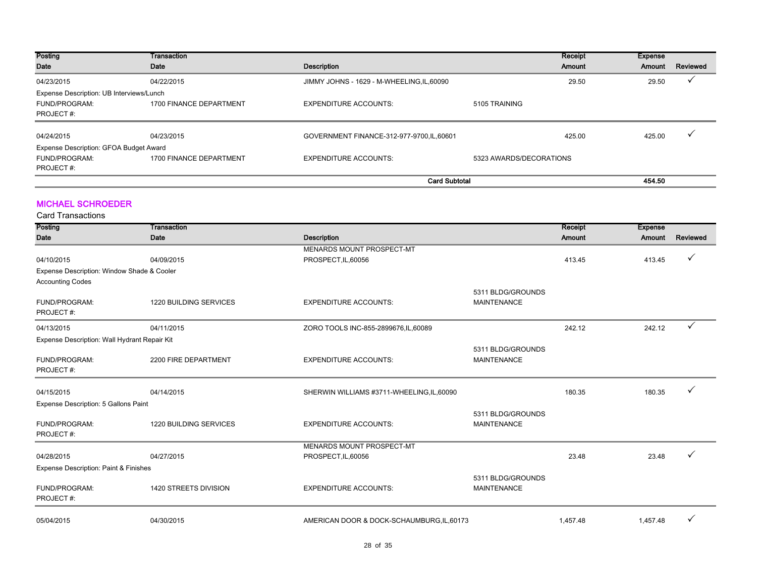| Posting                                  | Transaction             |                                            | Receipt                 | Expense |          |
|------------------------------------------|-------------------------|--------------------------------------------|-------------------------|---------|----------|
| Date                                     | Date                    | <b>Description</b>                         | Amount                  | Amount  | Reviewed |
| 04/23/2015                               | 04/22/2015              | JIMMY JOHNS - 1629 - M-WHEELING, IL, 60090 | 29.50                   | 29.50   |          |
| Expense Description: UB Interviews/Lunch |                         |                                            |                         |         |          |
| FUND/PROGRAM:                            | 1700 FINANCE DEPARTMENT | <b>EXPENDITURE ACCOUNTS:</b>               | 5105 TRAINING           |         |          |
| PROJECT#:                                |                         |                                            |                         |         |          |
|                                          |                         |                                            |                         |         |          |
| 04/24/2015                               | 04/23/2015              | GOVERNMENT FINANCE-312-977-9700,IL,60601   | 425.00                  | 425.00  |          |
| Expense Description: GFOA Budget Award   |                         |                                            |                         |         |          |
| FUND/PROGRAM:                            | 1700 FINANCE DEPARTMENT | <b>EXPENDITURE ACCOUNTS:</b>               | 5323 AWARDS/DECORATIONS |         |          |
| PROJECT#:                                |                         |                                            |                         |         |          |
|                                          |                         | <b>Card Subtotal</b>                       |                         | 454.50  |          |

#### MICHAEL SCHROEDER

| Posting                                                               | Transaction            |                                            |                                         | Receipt  | <b>Expense</b> |          |
|-----------------------------------------------------------------------|------------------------|--------------------------------------------|-----------------------------------------|----------|----------------|----------|
| Date                                                                  | Date                   | <b>Description</b>                         |                                         | Amount   | Amount         | Reviewed |
|                                                                       |                        | <b>MENARDS MOUNT PROSPECT-MT</b>           |                                         |          |                |          |
| 04/10/2015                                                            | 04/09/2015             | PROSPECT, IL, 60056                        |                                         | 413.45   | 413.45         |          |
| Expense Description: Window Shade & Cooler<br><b>Accounting Codes</b> |                        |                                            |                                         |          |                |          |
|                                                                       |                        |                                            | 5311 BLDG/GROUNDS                       |          |                |          |
| FUND/PROGRAM:<br>PROJECT#:                                            | 1220 BUILDING SERVICES | <b>EXPENDITURE ACCOUNTS:</b>               | <b>MAINTENANCE</b>                      |          |                |          |
| 04/13/2015                                                            | 04/11/2015             | ZORO TOOLS INC-855-2899676, IL, 60089      |                                         | 242.12   | 242.12         | ✓        |
| Expense Description: Wall Hydrant Repair Kit                          |                        |                                            |                                         |          |                |          |
| FUND/PROGRAM:<br>PROJECT#:                                            | 2200 FIRE DEPARTMENT   | <b>EXPENDITURE ACCOUNTS:</b>               | 5311 BLDG/GROUNDS<br><b>MAINTENANCE</b> |          |                |          |
|                                                                       |                        |                                            |                                         |          |                |          |
| 04/15/2015                                                            | 04/14/2015             | SHERWIN WILLIAMS #3711-WHEELING, IL, 60090 |                                         | 180.35   | 180.35         |          |
| Expense Description: 5 Gallons Paint                                  |                        |                                            |                                         |          |                |          |
| FUND/PROGRAM:<br>PROJECT#:                                            | 1220 BUILDING SERVICES | <b>EXPENDITURE ACCOUNTS:</b>               | 5311 BLDG/GROUNDS<br><b>MAINTENANCE</b> |          |                |          |
|                                                                       |                        | <b>MENARDS MOUNT PROSPECT-MT</b>           |                                         |          |                |          |
| 04/28/2015                                                            | 04/27/2015             | PROSPECT, IL, 60056                        |                                         | 23.48    | 23.48          |          |
| Expense Description: Paint & Finishes                                 |                        |                                            |                                         |          |                |          |
| FUND/PROGRAM:<br>PROJECT#:                                            | 1420 STREETS DIVISION  | <b>EXPENDITURE ACCOUNTS:</b>               | 5311 BLDG/GROUNDS<br><b>MAINTENANCE</b> |          |                |          |
| 05/04/2015                                                            | 04/30/2015             | AMERICAN DOOR & DOCK-SCHAUMBURG, IL, 60173 |                                         | 1.457.48 | 1.457.48       | ✓        |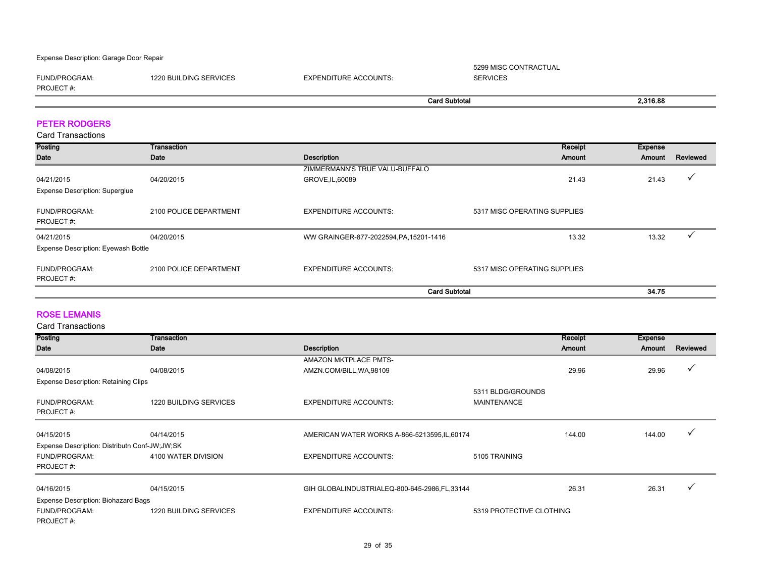Expense Description: Garage Door Repair

FUND/PROGRAM: 1220 BUILDING SERVICES EXPENDITURE ACCOUNTS: 5299 MISC CONTRACTUAL SERVICES

PROJECT #:

| <b>Card Subtotal</b><br>. | 2.316.88 |
|---------------------------|----------|

#### PETER RODGERS

Card Transactions

| Posting                                    | Transaction            |                                         | Receipt                      | <b>Expense</b> |          |
|--------------------------------------------|------------------------|-----------------------------------------|------------------------------|----------------|----------|
| Date                                       | Date                   | <b>Description</b>                      | Amount                       | Amount         | Reviewed |
|                                            |                        | ZIMMERMANN'S TRUE VALU-BUFFALO          |                              |                |          |
| 04/21/2015                                 | 04/20/2015             | GROVE, IL, 60089                        | 21.43                        | 21.43          |          |
| <b>Expense Description: Superglue</b>      |                        |                                         |                              |                |          |
| FUND/PROGRAM:                              | 2100 POLICE DEPARTMENT | <b>EXPENDITURE ACCOUNTS:</b>            | 5317 MISC OPERATING SUPPLIES |                |          |
| PROJECT#:                                  |                        |                                         |                              |                |          |
| 04/21/2015                                 | 04/20/2015             | WW GRAINGER-877-2022594, PA, 15201-1416 | 13.32                        | 13.32          |          |
| <b>Expense Description: Eyewash Bottle</b> |                        |                                         |                              |                |          |
| FUND/PROGRAM:                              | 2100 POLICE DEPARTMENT | <b>EXPENDITURE ACCOUNTS:</b>            | 5317 MISC OPERATING SUPPLIES |                |          |
| PROJECT#:                                  |                        |                                         |                              |                |          |
|                                            |                        | <b>Card Subtotal</b>                    |                              | 34.75          |          |

#### ROSE LEMANIS

| <b>Posting</b>                                | Transaction                   |                                               |                          | Receipt       | <b>Expense</b> |          |
|-----------------------------------------------|-------------------------------|-----------------------------------------------|--------------------------|---------------|----------------|----------|
| Date                                          | Date                          | Description                                   |                          | <b>Amount</b> | Amount         | Reviewed |
|                                               |                               | <b>AMAZON MKTPLACE PMTS-</b>                  |                          |               |                |          |
| 04/08/2015                                    | 04/08/2015                    | AMZN.COM/BILL, WA, 98109                      |                          | 29.96         | 29.96          | ✓        |
| <b>Expense Description: Retaining Clips</b>   |                               |                                               |                          |               |                |          |
|                                               |                               |                                               | 5311 BLDG/GROUNDS        |               |                |          |
| <b>FUND/PROGRAM:</b>                          | 1220 BUILDING SERVICES        | <b>EXPENDITURE ACCOUNTS:</b>                  | <b>MAINTENANCE</b>       |               |                |          |
| PROJECT#:                                     |                               |                                               |                          |               |                |          |
|                                               |                               |                                               |                          |               |                |          |
| 04/15/2015                                    | 04/14/2015                    | AMERICAN WATER WORKS A-866-5213595, IL, 60174 |                          | 144.00        | 144.00         |          |
| Expense Description: Distributn Conf-JW;JW;SK |                               |                                               |                          |               |                |          |
| FUND/PROGRAM:                                 | 4100 WATER DIVISION           | <b>EXPENDITURE ACCOUNTS:</b>                  | 5105 TRAINING            |               |                |          |
| PROJECT#:                                     |                               |                                               |                          |               |                |          |
|                                               |                               |                                               |                          |               |                |          |
| 04/16/2015                                    | 04/15/2015                    | GIH GLOBALINDUSTRIALEQ-800-645-2986,FL,33144  |                          | 26.31         | 26.31          |          |
| Expense Description: Biohazard Bags           |                               |                                               |                          |               |                |          |
| <b>FUND/PROGRAM:</b>                          | <b>1220 BUILDING SERVICES</b> | <b>EXPENDITURE ACCOUNTS:</b>                  | 5319 PROTECTIVE CLOTHING |               |                |          |
| PROJECT#:                                     |                               |                                               |                          |               |                |          |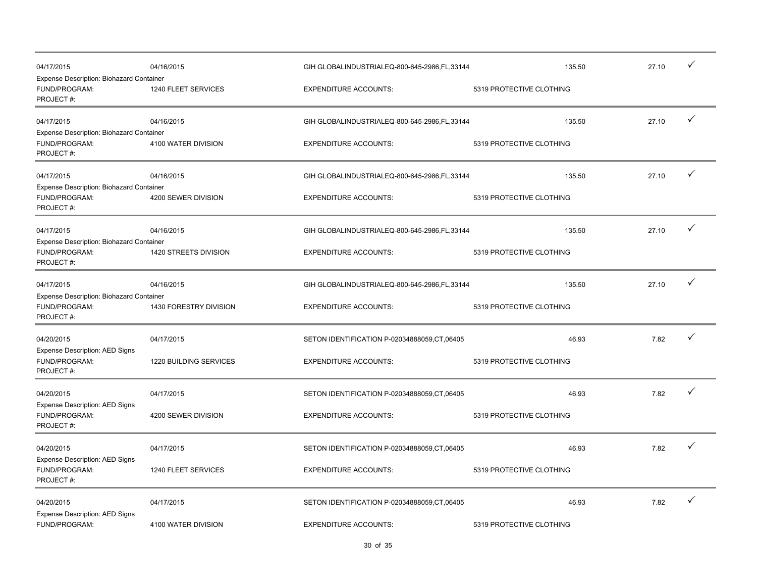| 04/17/2015<br>Expense Description: Biohazard Container                 | 04/16/2015             | GIH GLOBALINDUSTRIALEQ-800-645-2986,FL,33144 | 135.50                   | 27.10 | ✓            |
|------------------------------------------------------------------------|------------------------|----------------------------------------------|--------------------------|-------|--------------|
| FUND/PROGRAM:<br>PROJECT#:                                             | 1240 FLEET SERVICES    | <b>EXPENDITURE ACCOUNTS:</b>                 | 5319 PROTECTIVE CLOTHING |       |              |
| 04/17/2015                                                             | 04/16/2015             | GIH GLOBALINDUSTRIALEQ-800-645-2986,FL,33144 | 135.50                   | 27.10 | ✓            |
| Expense Description: Biohazard Container<br>FUND/PROGRAM:<br>PROJECT#: | 4100 WATER DIVISION    | <b>EXPENDITURE ACCOUNTS:</b>                 | 5319 PROTECTIVE CLOTHING |       |              |
| 04/17/2015                                                             | 04/16/2015             | GIH GLOBALINDUSTRIALEQ-800-645-2986,FL,33144 | 135.50                   | 27.10 | $\checkmark$ |
| Expense Description: Biohazard Container<br>FUND/PROGRAM:<br>PROJECT#: | 4200 SEWER DIVISION    | <b>EXPENDITURE ACCOUNTS:</b>                 | 5319 PROTECTIVE CLOTHING |       |              |
| 04/17/2015                                                             | 04/16/2015             | GIH GLOBALINDUSTRIALEQ-800-645-2986,FL,33144 | 135.50                   | 27.10 | $\checkmark$ |
| Expense Description: Biohazard Container<br>FUND/PROGRAM:<br>PROJECT#: | 1420 STREETS DIVISION  | <b>EXPENDITURE ACCOUNTS:</b>                 | 5319 PROTECTIVE CLOTHING |       |              |
| 04/17/2015                                                             | 04/16/2015             | GIH GLOBALINDUSTRIALEQ-800-645-2986,FL,33144 | 135.50                   | 27.10 | ✓            |
| Expense Description: Biohazard Container<br>FUND/PROGRAM:<br>PROJECT#: | 1430 FORESTRY DIVISION | <b>EXPENDITURE ACCOUNTS:</b>                 | 5319 PROTECTIVE CLOTHING |       |              |
| 04/20/2015                                                             | 04/17/2015             | SETON IDENTIFICATION P-02034888059.CT.06405  | 46.93                    | 7.82  | ✓            |
| <b>Expense Description: AED Signs</b><br>FUND/PROGRAM:<br>PROJECT#:    | 1220 BUILDING SERVICES | <b>EXPENDITURE ACCOUNTS:</b>                 | 5319 PROTECTIVE CLOTHING |       |              |
| 04/20/2015                                                             | 04/17/2015             | SETON IDENTIFICATION P-02034888059,CT,06405  | 46.93                    | 7.82  | ✓            |
| Expense Description: AED Signs<br>FUND/PROGRAM:<br>PROJECT#:           | 4200 SEWER DIVISION    | <b>EXPENDITURE ACCOUNTS:</b>                 | 5319 PROTECTIVE CLOTHING |       |              |
| 04/20/2015                                                             | 04/17/2015             | SETON IDENTIFICATION P-02034888059,CT,06405  | 46.93                    | 7.82  | $\checkmark$ |
| Expense Description: AED Signs<br>FUND/PROGRAM:<br>PROJECT#:           | 1240 FLEET SERVICES    | <b>EXPENDITURE ACCOUNTS:</b>                 | 5319 PROTECTIVE CLOTHING |       |              |
| 04/20/2015                                                             | 04/17/2015             | SETON IDENTIFICATION P-02034888059,CT,06405  | 46.93                    | 7.82  | ✓            |
| Expense Description: AED Signs<br>FUND/PROGRAM:                        | 4100 WATER DIVISION    | <b>EXPENDITURE ACCOUNTS:</b>                 | 5319 PROTECTIVE CLOTHING |       |              |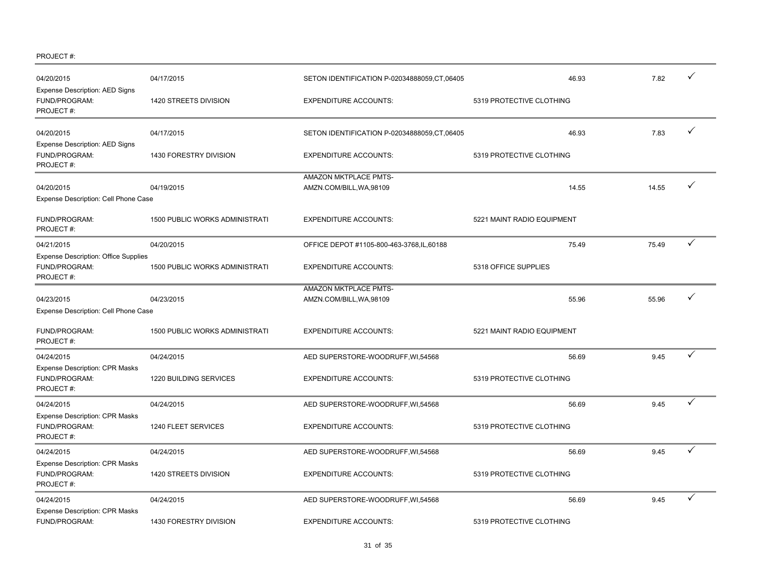PROJECT #:

| 04/20/2015<br><b>Expense Description: AED Signs</b>                       | 04/17/2015                            | SETON IDENTIFICATION P-02034888059,CT,06405       |                            | 46.93 | 7.82  |              |
|---------------------------------------------------------------------------|---------------------------------------|---------------------------------------------------|----------------------------|-------|-------|--------------|
| FUND/PROGRAM:<br>PROJECT#:                                                | 1420 STREETS DIVISION                 | <b>EXPENDITURE ACCOUNTS:</b>                      | 5319 PROTECTIVE CLOTHING   |       |       |              |
| 04/20/2015<br><b>Expense Description: AED Signs</b>                       | 04/17/2015                            | SETON IDENTIFICATION P-02034888059,CT,06405       |                            | 46.93 | 7.83  | ✓            |
| FUND/PROGRAM:<br>PROJECT#:                                                | 1430 FORESTRY DIVISION                | <b>EXPENDITURE ACCOUNTS:</b>                      | 5319 PROTECTIVE CLOTHING   |       |       |              |
| 04/20/2015<br>Expense Description: Cell Phone Case                        | 04/19/2015                            | AMAZON MKTPLACE PMTS-<br>AMZN.COM/BILL, WA, 98109 |                            | 14.55 | 14.55 | ✓            |
| FUND/PROGRAM:<br>PROJECT#:                                                | <b>1500 PUBLIC WORKS ADMINISTRATI</b> | <b>EXPENDITURE ACCOUNTS:</b>                      | 5221 MAINT RADIO EQUIPMENT |       |       |              |
| 04/21/2015                                                                | 04/20/2015                            | OFFICE DEPOT #1105-800-463-3768,IL,60188          |                            | 75.49 | 75.49 | $\checkmark$ |
| <b>Expense Description: Office Supplies</b><br>FUND/PROGRAM:<br>PROJECT#: | <b>1500 PUBLIC WORKS ADMINISTRATI</b> | <b>EXPENDITURE ACCOUNTS:</b>                      | 5318 OFFICE SUPPLIES       |       |       |              |
| 04/23/2015<br>Expense Description: Cell Phone Case                        | 04/23/2015                            | AMAZON MKTPLACE PMTS-<br>AMZN.COM/BILL, WA, 98109 |                            | 55.96 | 55.96 | ✓            |
| FUND/PROGRAM:<br>PROJECT#:                                                | 1500 PUBLIC WORKS ADMINISTRATI        | <b>EXPENDITURE ACCOUNTS:</b>                      | 5221 MAINT RADIO EQUIPMENT |       |       |              |
| 04/24/2015                                                                | 04/24/2015                            | AED SUPERSTORE-WOODRUFF, WI, 54568                |                            | 56.69 | 9.45  | ✓            |
| <b>Expense Description: CPR Masks</b><br>FUND/PROGRAM:<br>PROJECT#:       | 1220 BUILDING SERVICES                | <b>EXPENDITURE ACCOUNTS:</b>                      | 5319 PROTECTIVE CLOTHING   |       |       |              |
| 04/24/2015                                                                | 04/24/2015                            | AED SUPERSTORE-WOODRUFF, WI, 54568                |                            | 56.69 | 9.45  | ✓            |
| <b>Expense Description: CPR Masks</b><br>FUND/PROGRAM:<br>PROJECT#:       | 1240 FLEET SERVICES                   | <b>EXPENDITURE ACCOUNTS:</b>                      | 5319 PROTECTIVE CLOTHING   |       |       |              |
| 04/24/2015                                                                | 04/24/2015                            | AED SUPERSTORE-WOODRUFF, WI, 54568                |                            | 56.69 | 9.45  | ✓            |
| <b>Expense Description: CPR Masks</b><br>FUND/PROGRAM:<br>PROJECT#:       | 1420 STREETS DIVISION                 | <b>EXPENDITURE ACCOUNTS:</b>                      | 5319 PROTECTIVE CLOTHING   |       |       |              |
| 04/24/2015                                                                | 04/24/2015                            | AED SUPERSTORE-WOODRUFF, WI, 54568                |                            | 56.69 | 9.45  | ✓            |
| <b>Expense Description: CPR Masks</b><br>FUND/PROGRAM:                    | <b>1430 FORESTRY DIVISION</b>         | <b>EXPENDITURE ACCOUNTS:</b>                      | 5319 PROTECTIVE CLOTHING   |       |       |              |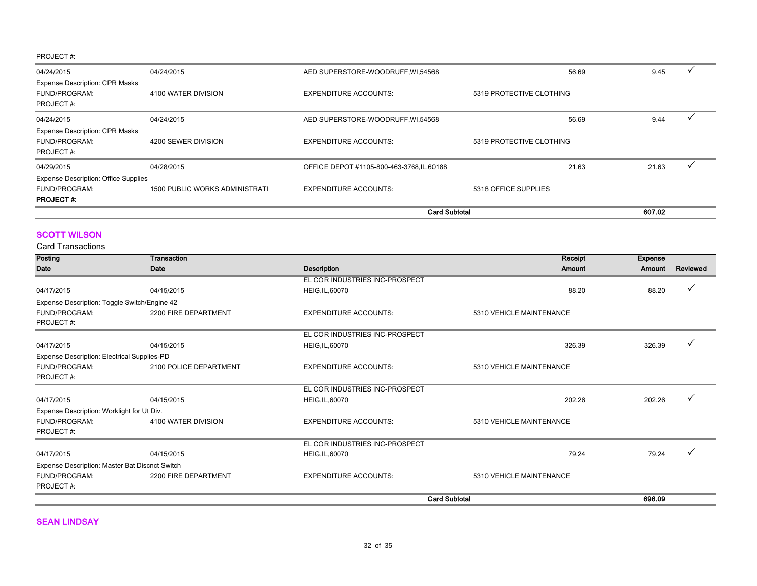#### PROJECT #:

| 04/24/2015                                                                       | 04/24/2015                            | AED SUPERSTORE-WOODRUFF, WI, 54568         |                          | 56.69 | 9.45   |  |
|----------------------------------------------------------------------------------|---------------------------------------|--------------------------------------------|--------------------------|-------|--------|--|
| <b>Expense Description: CPR Masks</b><br>FUND/PROGRAM:<br>PROJECT#:              | 4100 WATER DIVISION                   | <b>EXPENDITURE ACCOUNTS:</b>               | 5319 PROTECTIVE CLOTHING |       |        |  |
| 04/24/2015                                                                       | 04/24/2015                            | AED SUPERSTORE-WOODRUFF, WI, 54568         |                          | 56.69 | 9.44   |  |
| <b>Expense Description: CPR Masks</b><br>FUND/PROGRAM:<br>PROJECT#:              | 4200 SEWER DIVISION                   | <b>EXPENDITURE ACCOUNTS:</b>               | 5319 PROTECTIVE CLOTHING |       |        |  |
| 04/29/2015                                                                       | 04/28/2015                            | OFFICE DEPOT #1105-800-463-3768, IL, 60188 |                          | 21.63 | 21.63  |  |
| <b>Expense Description: Office Supplies</b><br>FUND/PROGRAM:<br><b>PROJECT#:</b> | <b>1500 PUBLIC WORKS ADMINISTRATI</b> | <b>EXPENDITURE ACCOUNTS:</b>               | 5318 OFFICE SUPPLIES     |       |        |  |
|                                                                                  |                                       | <b>Card Subtotal</b>                       |                          |       | 607.02 |  |

#### **SCOTT WILSON**

Card Transactions

| Posting                                            | <b>Transaction</b>     |                                | Receipt                  | <b>Expense</b> |          |
|----------------------------------------------------|------------------------|--------------------------------|--------------------------|----------------|----------|
| Date                                               | Date                   | <b>Description</b>             | Amount                   | Amount         | Reviewed |
|                                                    |                        | EL COR INDUSTRIES INC-PROSPECT |                          |                |          |
| 04/17/2015                                         | 04/15/2015             | <b>HEIG, IL, 60070</b>         | 88.20                    | 88.20          |          |
| Expense Description: Toggle Switch/Engine 42       |                        |                                |                          |                |          |
| FUND/PROGRAM:                                      | 2200 FIRE DEPARTMENT   | <b>EXPENDITURE ACCOUNTS:</b>   | 5310 VEHICLE MAINTENANCE |                |          |
| PROJECT#:                                          |                        |                                |                          |                |          |
|                                                    |                        | EL COR INDUSTRIES INC-PROSPECT |                          |                |          |
| 04/17/2015                                         | 04/15/2015             | <b>HEIG, IL, 60070</b>         | 326.39                   | 326.39         |          |
| <b>Expense Description: Electrical Supplies-PD</b> |                        |                                |                          |                |          |
| FUND/PROGRAM:                                      | 2100 POLICE DEPARTMENT | <b>EXPENDITURE ACCOUNTS:</b>   | 5310 VEHICLE MAINTENANCE |                |          |
| PROJECT#:                                          |                        |                                |                          |                |          |
|                                                    |                        | EL COR INDUSTRIES INC-PROSPECT |                          |                |          |
| 04/17/2015                                         | 04/15/2015             | <b>HEIG, IL, 60070</b>         | 202.26                   | 202.26         |          |
| Expense Description: Worklight for Ut Div.         |                        |                                |                          |                |          |
| FUND/PROGRAM:                                      | 4100 WATER DIVISION    | <b>EXPENDITURE ACCOUNTS:</b>   | 5310 VEHICLE MAINTENANCE |                |          |
| PROJECT#:                                          |                        |                                |                          |                |          |
|                                                    |                        | EL COR INDUSTRIES INC-PROSPECT |                          |                |          |
| 04/17/2015                                         | 04/15/2015             | <b>HEIG, IL, 60070</b>         | 79.24                    | 79.24          | v        |
| Expense Description: Master Bat Discnct Switch     |                        |                                |                          |                |          |
| FUND/PROGRAM:                                      | 2200 FIRE DEPARTMENT   | <b>EXPENDITURE ACCOUNTS:</b>   | 5310 VEHICLE MAINTENANCE |                |          |
| PROJECT#:                                          |                        |                                |                          |                |          |
|                                                    |                        |                                | <b>Card Subtotal</b>     | 696.09         |          |

**SEAN LINDSAY**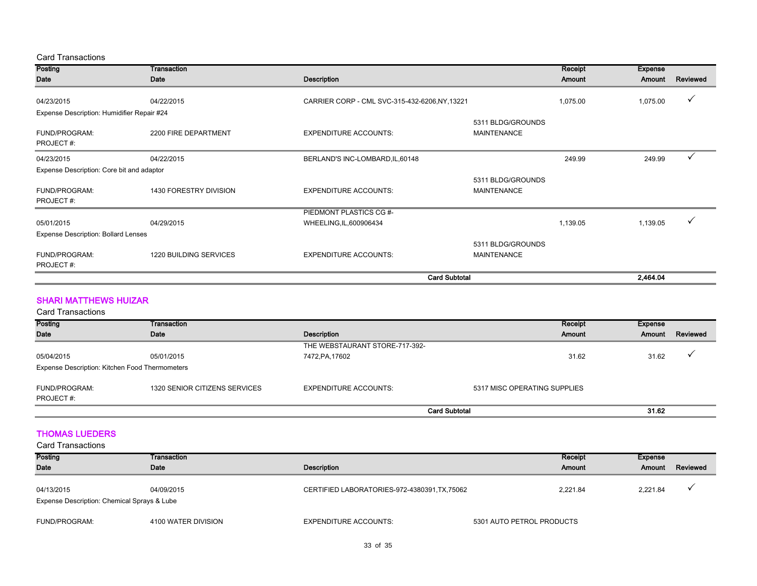#### Card Transactions

| Posting                                    | Transaction                   |                                                |                                         | Receipt       | <b>Expense</b> |          |
|--------------------------------------------|-------------------------------|------------------------------------------------|-----------------------------------------|---------------|----------------|----------|
| Date                                       | Date                          | <b>Description</b>                             |                                         | <b>Amount</b> | Amount         | Reviewed |
|                                            |                               |                                                |                                         |               |                |          |
| 04/23/2015                                 | 04/22/2015                    | CARRIER CORP - CML SVC-315-432-6206, NY, 13221 |                                         | 1,075.00      | 1,075.00       |          |
| Expense Description: Humidifier Repair #24 |                               |                                                |                                         |               |                |          |
| FUND/PROGRAM:<br>PROJECT#:                 | 2200 FIRE DEPARTMENT          | <b>EXPENDITURE ACCOUNTS:</b>                   | 5311 BLDG/GROUNDS<br><b>MAINTENANCE</b> |               |                |          |
| 04/23/2015                                 | 04/22/2015                    | BERLAND'S INC-LOMBARD, IL, 60148               |                                         | 249.99        | 249.99         |          |
| Expense Description: Core bit and adaptor  |                               |                                                |                                         |               |                |          |
| FUND/PROGRAM:<br>PROJECT#:                 | 1430 FORESTRY DIVISION        | <b>EXPENDITURE ACCOUNTS:</b>                   | 5311 BLDG/GROUNDS<br><b>MAINTENANCE</b> |               |                |          |
|                                            |                               | PIEDMONT PLASTICS CG #-                        |                                         |               |                |          |
| 05/01/2015                                 | 04/29/2015                    | WHEELING, IL, 600906434                        |                                         | 1,139.05      | 1,139.05       |          |
| <b>Expense Description: Bollard Lenses</b> |                               |                                                |                                         |               |                |          |
|                                            |                               |                                                | 5311 BLDG/GROUNDS                       |               |                |          |
| FUND/PROGRAM:<br>PROJECT#:                 | <b>1220 BUILDING SERVICES</b> | <b>EXPENDITURE ACCOUNTS:</b>                   | <b>MAINTENANCE</b>                      |               |                |          |
|                                            |                               |                                                | <b>Card Subtotal</b>                    |               | 2,464.04       |          |

#### SHARI MATTHEWS HUIZAR

| <b>Card Transactions</b>                       |                               |                                |                              |         |                          |
|------------------------------------------------|-------------------------------|--------------------------------|------------------------------|---------|--------------------------|
| Posting                                        | Transaction                   |                                | Receipt                      | Expense |                          |
| Date                                           | Date                          | Description                    | <b>Amount</b>                | Amount  | Reviewed                 |
|                                                |                               | THE WEBSTAURANT STORE-717-392- |                              |         |                          |
| 05/04/2015                                     | 05/01/2015                    | 7472, PA, 17602                | 31.62                        | 31.62   | $\overline{\phantom{a}}$ |
| Expense Description: Kitchen Food Thermometers |                               |                                |                              |         |                          |
| FUND/PROGRAM:<br>PROJECT#:                     | 1320 SENIOR CITIZENS SERVICES | <b>EXPENDITURE ACCOUNTS:</b>   | 5317 MISC OPERATING SUPPLIES |         |                          |
|                                                |                               |                                | <b>Card Subtotal</b>         | 31.62   |                          |

#### THOMAS LUEDERS

| <b>Posting</b><br><b>Date</b>                             | Transaction<br>Date | Description                                 | Receipt<br><b>Amount</b>  | Expense<br>Amount | Reviewed |
|-----------------------------------------------------------|---------------------|---------------------------------------------|---------------------------|-------------------|----------|
| 04/13/2015<br>Expense Description: Chemical Sprays & Lube | 04/09/2015          | CERTIFIED LABORATORIES-972-4380391,TX,75062 | 2.221.84                  | 2.221.84          |          |
| FUND/PROGRAM:                                             | 4100 WATER DIVISION | <b>EXPENDITURE ACCOUNTS:</b>                | 5301 AUTO PETROL PRODUCTS |                   |          |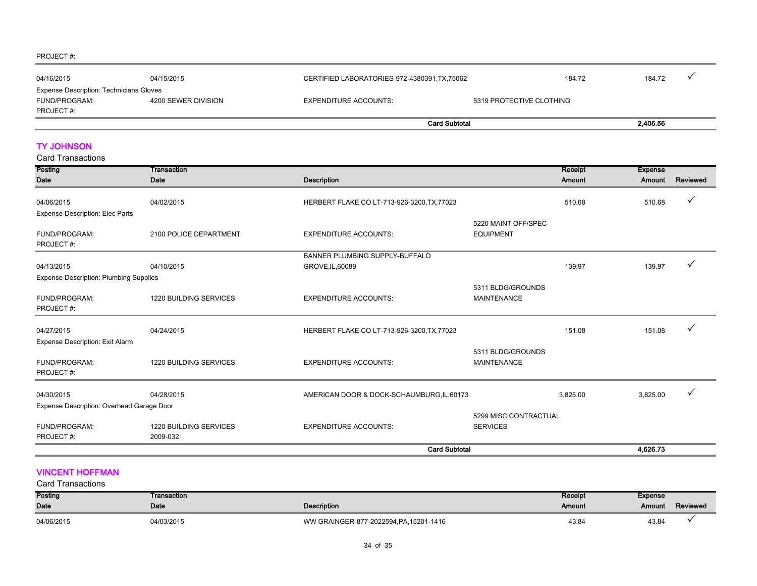#### PROJECT #:

| 04/16/2015                                     | 04/15/2015          | CERTIFIED LABORATORIES-972-4380391, TX, 75062 | 184.72                   | 184.72   |  |
|------------------------------------------------|---------------------|-----------------------------------------------|--------------------------|----------|--|
| <b>Expense Description: Technicians Gloves</b> |                     |                                               |                          |          |  |
| FUND/PROGRAM:                                  | 4200 SEWER DIVISION | <b>EXPENDITURE ACCOUNTS:</b>                  | 5319 PROTECTIVE CLOTHING |          |  |
| PROJECT#:                                      |                     |                                               |                          |          |  |
|                                                |                     | <b>Card Subtotal</b>                          |                          | 2.406.56 |  |

#### TY JOHNSON

Card Transactions

| Posting                                              | <b>Transaction</b>                 |                                             |                                          | Receipt       | <b>Expense</b> |          |
|------------------------------------------------------|------------------------------------|---------------------------------------------|------------------------------------------|---------------|----------------|----------|
| <b>Date</b>                                          | Date                               | <b>Description</b>                          |                                          | <b>Amount</b> | Amount         | Reviewed |
| 04/06/2015<br><b>Expense Description: Elec Parts</b> | 04/02/2015                         | HERBERT FLAKE CO LT-713-926-3200, TX, 77023 |                                          | 510.68        | 510.68         |          |
| <b>FUND/PROGRAM:</b><br>PROJECT#:                    | 2100 POLICE DEPARTMENT             | <b>EXPENDITURE ACCOUNTS:</b>                | 5220 MAINT OFF/SPEC<br><b>EQUIPMENT</b>  |               |                |          |
|                                                      |                                    | BANNER PLUMBING SUPPLY-BUFFALO              |                                          |               |                |          |
| 04/13/2015                                           | 04/10/2015                         | GROVE, IL, 60089                            |                                          | 139.97        | 139.97         |          |
| <b>Expense Description: Plumbing Supplies</b>        |                                    |                                             |                                          |               |                |          |
| FUND/PROGRAM:<br>PROJECT#:                           | 1220 BUILDING SERVICES             | <b>EXPENDITURE ACCOUNTS:</b>                | 5311 BLDG/GROUNDS<br><b>MAINTENANCE</b>  |               |                |          |
| 04/27/2015                                           | 04/24/2015                         | HERBERT FLAKE CO LT-713-926-3200, TX, 77023 |                                          | 151.08        | 151.08         |          |
| <b>Expense Description: Exit Alarm</b>               |                                    |                                             |                                          |               |                |          |
| FUND/PROGRAM:<br>PROJECT#:                           | 1220 BUILDING SERVICES             | <b>EXPENDITURE ACCOUNTS:</b>                | 5311 BLDG/GROUNDS<br><b>MAINTENANCE</b>  |               |                |          |
| 04/30/2015                                           | 04/28/2015                         | AMERICAN DOOR & DOCK-SCHAUMBURG, IL, 60173  |                                          | 3,825.00      | 3,825.00       |          |
| Expense Description: Overhead Garage Door            |                                    |                                             |                                          |               |                |          |
| FUND/PROGRAM:<br>PROJECT#:                           | 1220 BUILDING SERVICES<br>2009-032 | <b>EXPENDITURE ACCOUNTS:</b>                | 5299 MISC CONTRACTUAL<br><b>SERVICES</b> |               |                |          |
|                                                      |                                    | <b>Card Subtotal</b>                        |                                          |               | 4,626.73       |          |

#### VINCENT HOFFMAN

| Posting    | Transaction |                                         | Receipt | <b>Expense</b> |          |
|------------|-------------|-----------------------------------------|---------|----------------|----------|
| Date       | Date        | <b>Description</b>                      | Amount  | Amount         | Reviewed |
| 04/06/2015 | 04/03/2015  | WW GRAINGER-877-2022594, PA, 15201-1416 | 43.84   | 43.84          |          |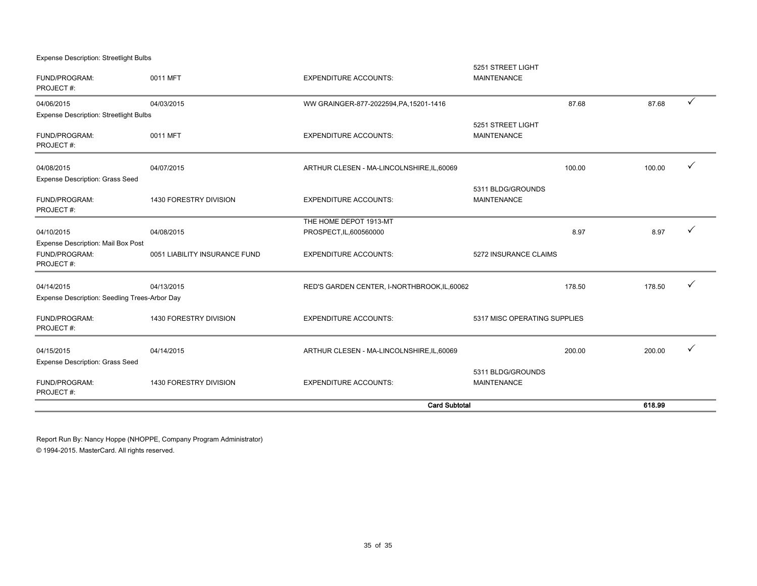Expense Description: Streetlight Bulbs

|                                                                         |                               | <b>Card Subtotal</b>                              |                                         |        | 618.99 |              |
|-------------------------------------------------------------------------|-------------------------------|---------------------------------------------------|-----------------------------------------|--------|--------|--------------|
| FUND/PROGRAM:<br>PROJECT#:                                              | 1430 FORESTRY DIVISION        | <b>EXPENDITURE ACCOUNTS:</b>                      | 5311 BLDG/GROUNDS<br><b>MAINTENANCE</b> |        |        |              |
| 04/15/2015<br><b>Expense Description: Grass Seed</b>                    | 04/14/2015                    | ARTHUR CLESEN - MA-LINCOLNSHIRE, IL, 60069        |                                         | 200.00 | 200.00 | $\checkmark$ |
| FUND/PROGRAM:<br>PROJECT#:                                              | 1430 FORESTRY DIVISION        | <b>EXPENDITURE ACCOUNTS:</b>                      | 5317 MISC OPERATING SUPPLIES            |        |        |              |
| 04/14/2015<br>Expense Description: Seedling Trees-Arbor Day             | 04/13/2015                    | RED'S GARDEN CENTER, I-NORTHBROOK, IL, 60062      |                                         | 178.50 | 178.50 | ✓            |
| <b>Expense Description: Mail Box Post</b><br>FUND/PROGRAM:<br>PROJECT#: | 0051 LIABILITY INSURANCE FUND | <b>EXPENDITURE ACCOUNTS:</b>                      | 5272 INSURANCE CLAIMS                   |        |        |              |
| 04/10/2015                                                              | 04/08/2015                    | THE HOME DEPOT 1913-MT<br>PROSPECT, IL, 600560000 |                                         | 8.97   | 8.97   |              |
| FUND/PROGRAM:<br>PROJECT#:                                              | 1430 FORESTRY DIVISION        | <b>EXPENDITURE ACCOUNTS:</b>                      | 5311 BLDG/GROUNDS<br><b>MAINTENANCE</b> |        |        |              |
| 04/08/2015<br><b>Expense Description: Grass Seed</b>                    | 04/07/2015                    | ARTHUR CLESEN - MA-LINCOLNSHIRE, IL, 60069        |                                         | 100.00 | 100.00 |              |
| FUND/PROGRAM:<br>PROJECT#:                                              | 0011 MFT                      | <b>EXPENDITURE ACCOUNTS:</b>                      | 5251 STREET LIGHT<br><b>MAINTENANCE</b> |        |        |              |
| 04/06/2015<br><b>Expense Description: Streetlight Bulbs</b>             | 04/03/2015                    | WW GRAINGER-877-2022594, PA, 15201-1416           |                                         | 87.68  | 87.68  | $\checkmark$ |
| FUND/PROGRAM:<br>PROJECT#:                                              | 0011 MFT                      | <b>EXPENDITURE ACCOUNTS:</b>                      | <b>MAINTENANCE</b>                      |        |        |              |
|                                                                         |                               |                                                   | 5251 STREET LIGHT                       |        |        |              |

Report Run By: Nancy Hoppe (NHOPPE, Company Program Administrator)

© 1994-2015. MasterCard. All rights reserved.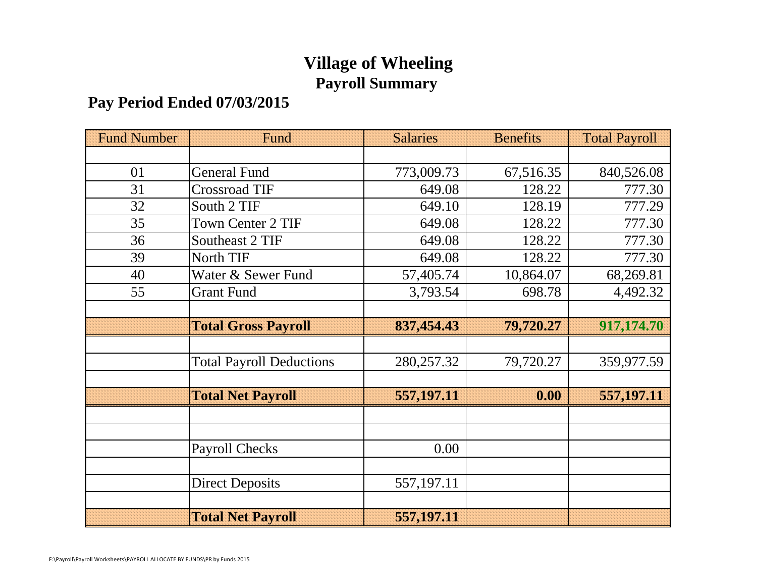# **Village of Wheeling Payroll Summary**

## **Pay Period Ended 07/03/2015**

| <b>Fund Number</b> | Fund                            | <b>Salaries</b> | <b>Benefits</b> | <b>Total Payroll</b> |
|--------------------|---------------------------------|-----------------|-----------------|----------------------|
|                    |                                 |                 |                 |                      |
| 01                 | <b>General Fund</b>             | 773,009.73      | 67,516.35       | 840,526.08           |
| 31                 | Crossroad TIF                   | 649.08          | 128.22          | 777.30               |
| 32                 | South 2 TIF                     | 649.10          | 128.19          | 777.29               |
| 35                 | <b>Town Center 2 TIF</b>        | 649.08          | 128.22          | 777.30               |
| 36                 | Southeast 2 TIF                 | 649.08          | 128.22          | 777.30               |
| 39                 | North TIF                       | 649.08          | 128.22          | 777.30               |
| 40                 | Water & Sewer Fund              | 57,405.74       | 10,864.07       | 68,269.81            |
| 55                 | <b>Grant Fund</b>               | 3,793.54        | 698.78          | 4,492.32             |
|                    |                                 |                 |                 |                      |
|                    | <b>Total Gross Payroll</b>      | 837,454.43      | 79,720.27       | 917,174.70           |
|                    |                                 |                 |                 |                      |
|                    | <b>Total Payroll Deductions</b> | 280, 257. 32    | 79,720.27       | 359,977.59           |
|                    |                                 |                 |                 |                      |
|                    | <b>Total Net Payroll</b>        | 557, 197. 11    | 0.00            | 557,197.11           |
|                    |                                 |                 |                 |                      |
|                    |                                 |                 |                 |                      |
|                    | <b>Payroll Checks</b>           | 0.00            |                 |                      |
|                    |                                 |                 |                 |                      |
|                    | <b>Direct Deposits</b>          | 557,197.11      |                 |                      |
|                    |                                 |                 |                 |                      |
|                    | <b>Total Net Payroll</b>        | 557, 197. 11    |                 |                      |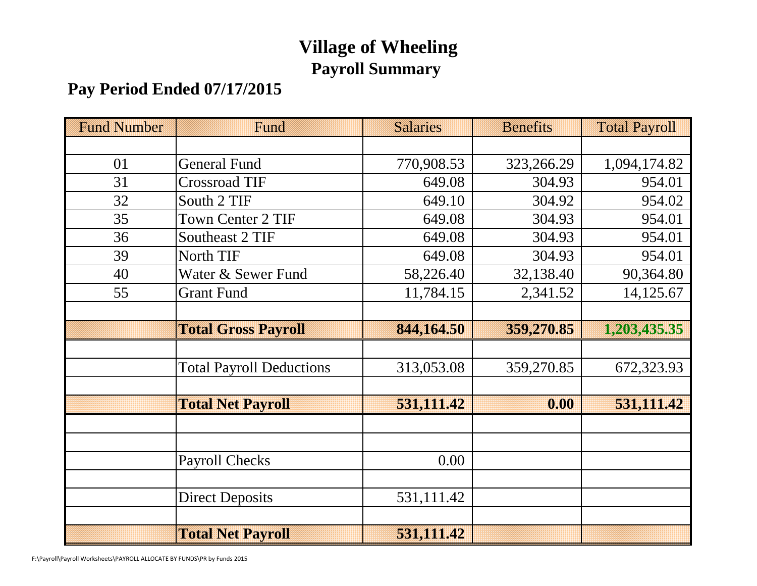# **Village of Wheeling Payroll Summary**

# **Pay Period Ended 07/17/2015**

| <b>Fund Number</b> | Fund                            | <b>Salaries</b> | <b>Benefits</b> | <b>Total Payroll</b> |
|--------------------|---------------------------------|-----------------|-----------------|----------------------|
|                    |                                 |                 |                 |                      |
| 01                 | <b>General Fund</b>             | 770,908.53      | 323,266.29      | 1,094,174.82         |
| 31                 | <b>Crossroad TIF</b>            | 649.08          | 304.93          | 954.01               |
| 32                 | South 2 TIF                     | 649.10          | 304.92          | 954.02               |
| 35                 | Town Center 2 TIF               | 649.08          | 304.93          | 954.01               |
| 36                 | Southeast 2 TIF                 | 649.08          | 304.93          | 954.01               |
| 39                 | North TIF                       | 649.08          | 304.93          | 954.01               |
| 40                 | Water & Sewer Fund              | 58,226.40       | 32,138.40       | 90,364.80            |
| 55                 | <b>Grant Fund</b>               | 11,784.15       | 2,341.52        | 14,125.67            |
|                    |                                 |                 |                 |                      |
|                    | <b>Total Gross Payroll</b>      | 844,164.50      | 359,270.85      | 1,203,435.35         |
|                    |                                 |                 |                 |                      |
|                    | <b>Total Payroll Deductions</b> | 313,053.08      | 359,270.85      | 672,323.93           |
|                    |                                 |                 |                 |                      |
|                    | <b>Total Net Payroll</b>        | 531,111.42      | 0.00            | 531,111.42           |
|                    |                                 |                 |                 |                      |
|                    |                                 |                 |                 |                      |
|                    | <b>Payroll Checks</b>           | 0.00            |                 |                      |
|                    |                                 |                 |                 |                      |
|                    | <b>Direct Deposits</b>          | 531,111.42      |                 |                      |
|                    |                                 |                 |                 |                      |
|                    | <b>Total Net Payroll</b>        | 531,111.42      |                 |                      |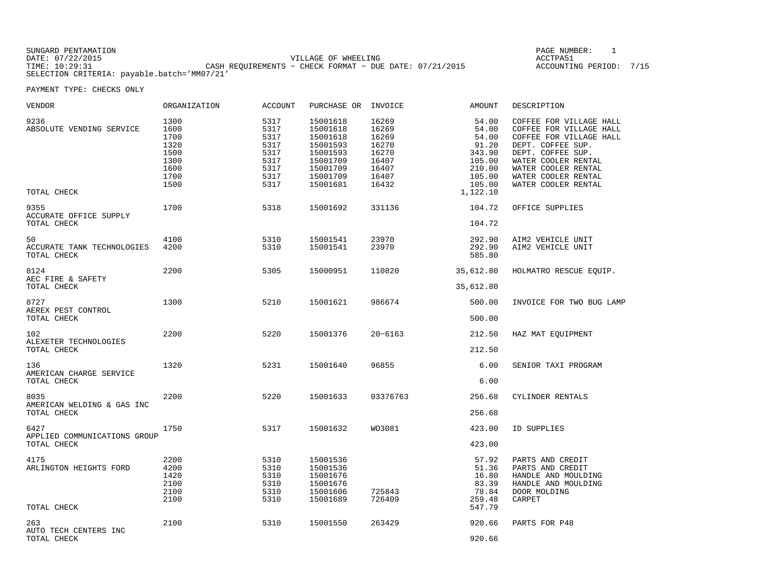| SUNGARD PENTAMATION |                                                           | PAGE NUMBER:            |  |
|---------------------|-----------------------------------------------------------|-------------------------|--|
| DATE: 07/22/2015    | VILLAGE OF WHEELING                                       | ACCTPA51                |  |
| TIME: 10:29:31      | CASH REOUIREMENTS - CHECK FORMAT - DUE DATE: $07/21/2015$ | ACCOUNTING PERIOD: 7/15 |  |
|                     | SELECTION CRITERIA: payable.batch='MM07/21'               |                         |  |

PAGE NUMBER: 1

| VENDOR                                              | ORGANIZATION                                                         | ACCOUNT                                                              | PURCHASE OR                                                                                              | INVOICE                                                                       | AMOUNT                                                                                         | DESCRIPTION                                                                                                                                                                                                         |
|-----------------------------------------------------|----------------------------------------------------------------------|----------------------------------------------------------------------|----------------------------------------------------------------------------------------------------------|-------------------------------------------------------------------------------|------------------------------------------------------------------------------------------------|---------------------------------------------------------------------------------------------------------------------------------------------------------------------------------------------------------------------|
| 9236<br>ABSOLUTE VENDING SERVICE<br>TOTAL CHECK     | 1300<br>1600<br>1700<br>1320<br>1500<br>1300<br>1600<br>1700<br>1500 | 5317<br>5317<br>5317<br>5317<br>5317<br>5317<br>5317<br>5317<br>5317 | 15001618<br>15001618<br>15001618<br>15001593<br>15001593<br>15001709<br>15001709<br>15001709<br>15001681 | 16269<br>16269<br>16269<br>16270<br>16270<br>16407<br>16407<br>16407<br>16432 | 54.00<br>54.00<br>54.00<br>91.20<br>343.90<br>105.00<br>210.00<br>105.00<br>105.00<br>1,122.10 | COFFEE FOR VILLAGE HALL<br>COFFEE FOR VILLAGE HALL<br>COFFEE FOR VILLAGE HALL<br>DEPT. COFFEE SUP.<br>DEPT. COFFEE SUP.<br>WATER COOLER RENTAL<br>WATER COOLER RENTAL<br>WATER COOLER RENTAL<br>WATER COOLER RENTAL |
| 9355<br>ACCURATE OFFICE SUPPLY<br>TOTAL CHECK       | 1700                                                                 | 5318                                                                 | 15001692                                                                                                 | 331136                                                                        | 104.72<br>104.72                                                                               | OFFICE SUPPLIES                                                                                                                                                                                                     |
| 50<br>ACCURATE TANK TECHNOLOGIES<br>TOTAL CHECK     | 4100<br>4200                                                         | 5310<br>5310                                                         | 15001541<br>15001541                                                                                     | 23970<br>23970                                                                | 292.90<br>292.90<br>585.80                                                                     | AIM2 VEHICLE UNIT<br>AIM2 VEHICLE UNIT                                                                                                                                                                              |
| 8124<br>AEC FIRE & SAFETY<br>TOTAL CHECK            | 2200                                                                 | 5305                                                                 | 15000951                                                                                                 | 110820                                                                        | 35,612.80<br>35,612.80                                                                         | HOLMATRO RESCUE EQUIP.                                                                                                                                                                                              |
| 8727<br>AEREX PEST CONTROL<br>TOTAL CHECK           | 1300                                                                 | 5210                                                                 | 15001621                                                                                                 | 986674                                                                        | 500.00<br>500.00                                                                               | INVOICE FOR TWO BUG LAMP                                                                                                                                                                                            |
| 102<br>ALEXETER TECHNOLOGIES<br>TOTAL CHECK         | 2200                                                                 | 5220                                                                 | 15001376                                                                                                 | $20 - 6163$                                                                   | 212.50<br>212.50                                                                               | HAZ MAT EQUIPMENT                                                                                                                                                                                                   |
| 136<br>AMERICAN CHARGE SERVICE<br>TOTAL CHECK       | 1320                                                                 | 5231                                                                 | 15001640                                                                                                 | 96855                                                                         | 6.00<br>6.00                                                                                   | SENIOR TAXI PROGRAM                                                                                                                                                                                                 |
| 8035<br>AMERICAN WELDING & GAS INC<br>TOTAL CHECK   | 2200                                                                 | 5220                                                                 | 15001633                                                                                                 | 03376763                                                                      | 256.68<br>256.68                                                                               | CYLINDER RENTALS                                                                                                                                                                                                    |
| 6427<br>APPLIED COMMUNICATIONS GROUP<br>TOTAL CHECK | 1750                                                                 | 5317                                                                 | 15001632                                                                                                 | WO3081                                                                        | 423.00<br>423.00                                                                               | ID SUPPLIES                                                                                                                                                                                                         |
| 4175<br>ARLINGTON HEIGHTS FORD<br>TOTAL CHECK       | 2200<br>4200<br>1420<br>2100<br>2100<br>2100                         | 5310<br>5310<br>5310<br>5310<br>5310<br>5310                         | 15001536<br>15001536<br>15001676<br>15001676<br>15001606<br>15001689                                     | 725843<br>726409                                                              | 57.92<br>51.36<br>16.80<br>83.39<br>78.84<br>259.48<br>547.79                                  | PARTS AND CREDIT<br>PARTS AND CREDIT<br>HANDLE AND MOULDING<br>HANDLE AND MOULDING<br>DOOR MOLDING<br>CARPET                                                                                                        |
| 263<br>AUTO TECH CENTERS INC<br>TOTAL CHECK         | 2100                                                                 | 5310                                                                 | 15001550                                                                                                 | 263429                                                                        | 920.66<br>920.66                                                                               | PARTS FOR P48                                                                                                                                                                                                       |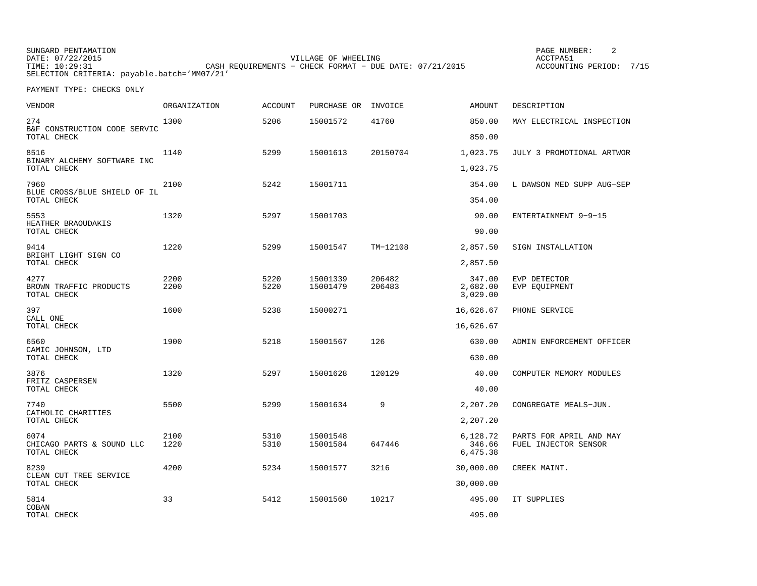SUNGARD PENTAMATION SUNGARD PENTAMATION SUNG PAGE NUMBER: 2 VILLAGE OF WHEELING **ACCTPA51** ACCOUNTING PERIOD: 7/15 TIME: 10:29:31 CASH REQUIREMENTS - CHECK FORMAT - DUE DATE: 07/21/2015 SELECTION CRITERIA: payable.batch='MM07/21'

| <b>VENDOR</b>                                    | ORGANIZATION | <b>ACCOUNT</b> | PURCHASE OR          | INVOICE          | <b>AMOUNT</b>                  | DESCRIPTION                                     |
|--------------------------------------------------|--------------|----------------|----------------------|------------------|--------------------------------|-------------------------------------------------|
| 274<br>B&F CONSTRUCTION CODE SERVIC              | 1300         | 5206           | 15001572             | 41760            | 850.00                         | MAY ELECTRICAL INSPECTION                       |
| TOTAL CHECK                                      |              |                |                      |                  | 850.00                         |                                                 |
| 8516<br>BINARY ALCHEMY SOFTWARE INC              | 1140         | 5299           | 15001613             | 20150704         | 1,023.75                       | JULY 3 PROMOTIONAL ARTWOR                       |
| TOTAL CHECK                                      |              |                |                      |                  | 1,023.75                       |                                                 |
| 7960<br>BLUE CROSS/BLUE SHIELD OF IL             | 2100         | 5242           | 15001711             |                  | 354.00                         | L DAWSON MED SUPP AUG-SEP                       |
| TOTAL CHECK                                      |              |                |                      |                  | 354.00                         |                                                 |
| 5553                                             | 1320         | 5297           | 15001703             |                  | 90.00                          | ENTERTAINMENT 9-9-15                            |
| HEATHER BRAOUDAKIS<br>TOTAL CHECK                |              |                |                      |                  | 90.00                          |                                                 |
| 9414<br>BRIGHT LIGHT SIGN CO                     | 1220         | 5299           | 15001547             | TM-12108         | 2,857.50                       | SIGN INSTALLATION                               |
| TOTAL CHECK                                      |              |                |                      |                  | 2,857.50                       |                                                 |
| 4277<br>BROWN TRAFFIC PRODUCTS<br>TOTAL CHECK    | 2200<br>2200 | 5220<br>5220   | 15001339<br>15001479 | 206482<br>206483 | 347.00<br>2,682.00<br>3,029.00 | EVP DETECTOR<br>EVP EQUIPMENT                   |
| 397                                              | 1600         | 5238           | 15000271             |                  | 16,626.67                      | PHONE SERVICE                                   |
| CALL ONE<br>TOTAL CHECK                          |              |                |                      |                  | 16,626.67                      |                                                 |
| 6560                                             | 1900         | 5218           | 15001567             | 126              | 630.00                         | ADMIN ENFORCEMENT OFFICER                       |
| CAMIC JOHNSON, LTD<br>TOTAL CHECK                |              |                |                      |                  | 630.00                         |                                                 |
| 3876                                             | 1320         | 5297           | 15001628             | 120129           | 40.00                          | COMPUTER MEMORY MODULES                         |
| FRITZ CASPERSEN<br>TOTAL CHECK                   |              |                |                      |                  | 40.00                          |                                                 |
| 7740<br>CATHOLIC CHARITIES                       | 5500         | 5299           | 15001634             | 9                | 2,207.20                       | CONGREGATE MEALS-JUN.                           |
| TOTAL CHECK                                      |              |                |                      |                  | 2,207.20                       |                                                 |
| 6074<br>CHICAGO PARTS & SOUND LLC<br>TOTAL CHECK | 2100<br>1220 | 5310<br>5310   | 15001548<br>15001584 | 647446           | 6,128.72<br>346.66<br>6,475.38 | PARTS FOR APRIL AND MAY<br>FUEL INJECTOR SENSOR |
| 8239                                             | 4200         | 5234           | 15001577             | 3216             | 30,000.00                      | CREEK MAINT.                                    |
| CLEAN CUT TREE SERVICE<br>TOTAL CHECK            |              |                |                      |                  | 30,000.00                      |                                                 |
| 5814                                             | 33           | 5412           | 15001560             | 10217            | 495.00                         | IT SUPPLIES                                     |
| COBAN<br>TOTAL CHECK                             |              |                |                      |                  | 495.00                         |                                                 |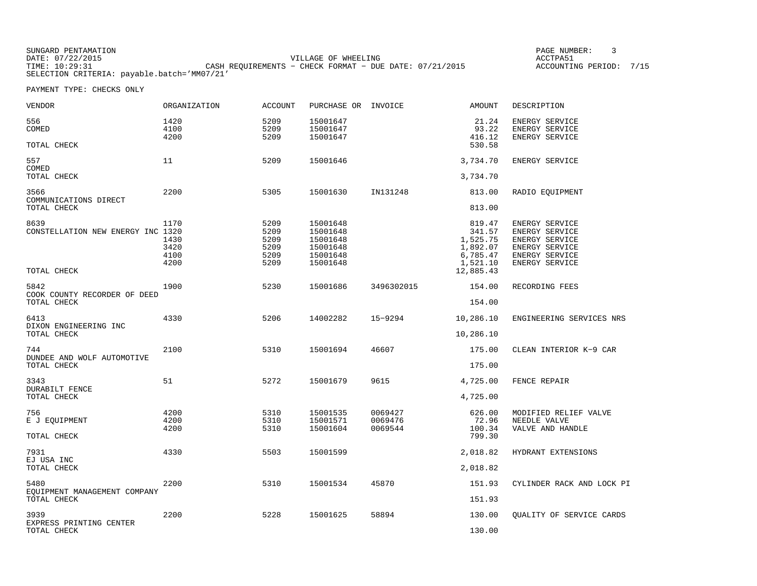SUNGARD PENTAMATION SUNGARD PENTAMATION SUNG PAGE NUMBER: 3 SUNGARD PENTAMATION SUNG PAGE NUMBER: 3 DATE: 07/22/2015 VILLAGE OF WHEELING ACCTPA51ACCOUNTING PERIOD: 7/15 CASH REQUIREMENTS - CHECK FORMAT - DUE DATE: 07/21/2015 SELECTION CRITERIA: payable.batch='MM07/21'

| VENDOR                                           | ORGANIZATION                 | ACCOUNT                              | PURCHASE OR INVOICE                                      |                               | AMOUNT                                               | DESCRIPTION                                                                                          |
|--------------------------------------------------|------------------------------|--------------------------------------|----------------------------------------------------------|-------------------------------|------------------------------------------------------|------------------------------------------------------------------------------------------------------|
| 556<br>COMED                                     | 1420<br>4100                 | 5209<br>5209                         | 15001647<br>15001647                                     |                               | 21.24<br>93.22                                       | ENERGY SERVICE<br>ENERGY SERVICE                                                                     |
| TOTAL CHECK                                      | 4200                         | 5209                                 | 15001647                                                 |                               | 416.12<br>530.58                                     | ENERGY SERVICE                                                                                       |
| 557<br>COMED                                     | 11                           | 5209                                 | 15001646                                                 |                               | 3,734.70                                             | ENERGY SERVICE                                                                                       |
| TOTAL CHECK                                      |                              |                                      |                                                          |                               | 3,734.70                                             |                                                                                                      |
| 3566<br>COMMUNICATIONS DIRECT                    | 2200                         | 5305                                 | 15001630                                                 | IN131248                      | 813.00                                               | RADIO EQUIPMENT                                                                                      |
| TOTAL CHECK                                      |                              |                                      |                                                          |                               | 813.00                                               |                                                                                                      |
| 8639<br>CONSTELLATION NEW ENERGY INC 1320        | 1170<br>1430<br>3420<br>4100 | 5209<br>5209<br>5209<br>5209<br>5209 | 15001648<br>15001648<br>15001648<br>15001648<br>15001648 |                               | 819.47<br>341.57<br>1,525.75<br>1,892.07<br>6,785.47 | ENERGY SERVICE<br><b>ENERGY SERVICE</b><br>ENERGY SERVICE<br><b>ENERGY SERVICE</b><br>ENERGY SERVICE |
| TOTAL CHECK                                      | 4200                         | 5209                                 | 15001648                                                 |                               | 1,521.10<br>12,885.43                                | ENERGY SERVICE                                                                                       |
| 5842<br>COOK COUNTY RECORDER OF DEED             | 1900                         | 5230                                 | 15001686                                                 | 3496302015                    | 154.00                                               | RECORDING FEES                                                                                       |
| TOTAL CHECK                                      |                              |                                      |                                                          |                               | 154.00                                               |                                                                                                      |
| 6413<br>DIXON ENGINEERING INC                    | 4330                         | 5206                                 | 14002282                                                 | 15-9294                       | 10,286.10                                            | ENGINEERING SERVICES NRS                                                                             |
| TOTAL CHECK                                      |                              |                                      |                                                          |                               | 10,286.10                                            |                                                                                                      |
| 744<br>DUNDEE AND WOLF AUTOMOTIVE<br>TOTAL CHECK | 2100                         | 5310                                 | 15001694                                                 | 46607                         | 175.00<br>175.00                                     | CLEAN INTERIOR K-9 CAR                                                                               |
|                                                  |                              |                                      |                                                          |                               |                                                      |                                                                                                      |
| 3343<br>DURABILT FENCE<br>TOTAL CHECK            | 51                           | 5272                                 | 15001679                                                 | 9615                          | 4,725.00<br>4,725.00                                 | FENCE REPAIR                                                                                         |
| 756<br>E J EQUIPMENT<br>TOTAL CHECK              | 4200<br>4200<br>4200         | 5310<br>5310<br>5310                 | 15001535<br>15001571<br>15001604                         | 0069427<br>0069476<br>0069544 | 626.00<br>72.96<br>100.34<br>799.30                  | MODIFIED RELIEF VALVE<br>NEEDLE VALVE<br>VALVE AND HANDLE                                            |
| 7931<br>EJ USA INC                               | 4330                         | 5503                                 | 15001599                                                 |                               | 2,018.82                                             | HYDRANT EXTENSIONS                                                                                   |
| TOTAL CHECK                                      |                              |                                      |                                                          |                               | 2,018.82                                             |                                                                                                      |
| 5480<br>EOUIPMENT MANAGEMENT COMPANY             | 2200                         | 5310                                 | 15001534                                                 | 45870                         | 151.93                                               | CYLINDER RACK AND LOCK PI                                                                            |
| TOTAL CHECK                                      |                              |                                      |                                                          |                               | 151.93                                               |                                                                                                      |
| 3939<br>EXPRESS PRINTING CENTER                  | 2200                         | 5228                                 | 15001625                                                 | 58894                         | 130.00                                               | OUALITY OF SERVICE CARDS                                                                             |
| TOTAL CHECK                                      |                              |                                      |                                                          |                               | 130.00                                               |                                                                                                      |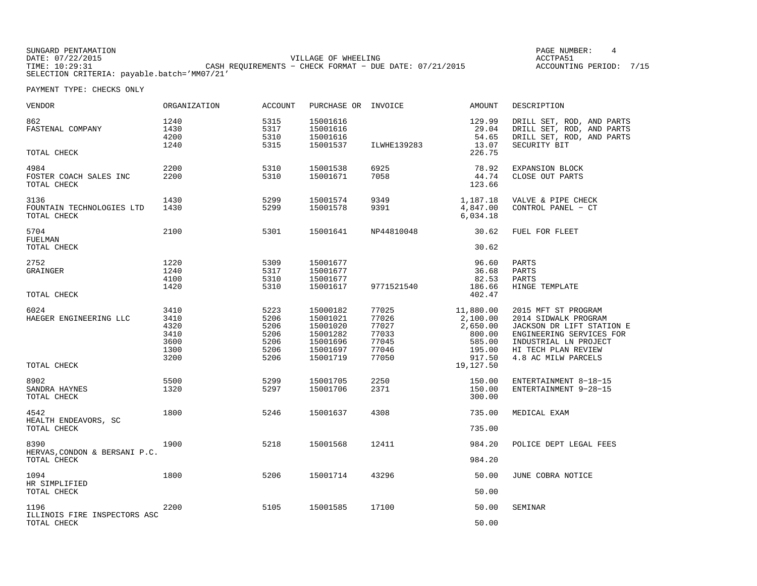| SUNGARD PENTAMATION                         |                                                         | PAGE NUMBER:            |  |
|---------------------------------------------|---------------------------------------------------------|-------------------------|--|
| DATE: 07/22/2015                            | VILLAGE OF WHEELING                                     | ACCTPA5:                |  |
| TIME: 10:29:31                              | CASH REQUIREMENTS - CHECK FORMAT - DUE DATE: 07/21/2015 | ACCOUNTING PERIOD: 7/15 |  |
| SELECTION CRITERIA: payable.batch='MM07/21' |                                                         |                         |  |

| <b>VENDOR</b>                                        | ORGANIZATION                                         | <b>ACCOUNT</b>                                       | PURCHASE OR                                                                      | INVOICE                                                     | <b>AMOUNT</b>                                                             | DESCRIPTION                                                                                                                                                                 |
|------------------------------------------------------|------------------------------------------------------|------------------------------------------------------|----------------------------------------------------------------------------------|-------------------------------------------------------------|---------------------------------------------------------------------------|-----------------------------------------------------------------------------------------------------------------------------------------------------------------------------|
| 862<br>FASTENAL COMPANY<br>TOTAL CHECK               | 1240<br>1430<br>4200<br>1240                         | 5315<br>5317<br>5310<br>5315                         | 15001616<br>15001616<br>15001616<br>15001537                                     | ILWHE139283                                                 | 129.99<br>29.04<br>54.65<br>13.07<br>226.75                               | DRILL SET, ROD, AND PARTS<br>DRILL SET, ROD, AND PARTS<br>DRILL SET, ROD, AND PARTS<br>SECURITY BIT                                                                         |
|                                                      |                                                      |                                                      |                                                                                  |                                                             |                                                                           |                                                                                                                                                                             |
| 4984<br>FOSTER COACH SALES INC<br>TOTAL CHECK        | 2200<br>2200                                         | 5310<br>5310                                         | 15001538<br>15001671                                                             | 6925<br>7058                                                | 78.92<br>44.74<br>123.66                                                  | EXPANSION BLOCK<br>CLOSE OUT PARTS                                                                                                                                          |
| 3136<br>FOUNTAIN TECHNOLOGIES LTD<br>TOTAL CHECK     | 1430<br>1430                                         | 5299<br>5299                                         | 15001574<br>15001578                                                             | 9349<br>9391                                                | 1,187.18<br>4,847.00<br>6,034.18                                          | VALVE & PIPE CHECK<br>CONTROL PANEL - CT                                                                                                                                    |
| 5704<br>FUELMAN                                      | 2100                                                 | 5301                                                 | 15001641                                                                         | NP44810048                                                  | 30.62                                                                     | FUEL FOR FLEET                                                                                                                                                              |
| TOTAL CHECK                                          |                                                      |                                                      |                                                                                  |                                                             | 30.62                                                                     |                                                                                                                                                                             |
| 2752<br>GRAINGER                                     | 1220<br>1240<br>4100<br>1420                         | 5309<br>5317<br>5310<br>5310                         | 15001677<br>15001677<br>15001677<br>15001617                                     | 9771521540                                                  | 96.60<br>36.68<br>82.53<br>186.66                                         | PARTS<br>PARTS<br>PARTS<br>HINGE TEMPLATE                                                                                                                                   |
| TOTAL CHECK                                          |                                                      |                                                      |                                                                                  |                                                             | 402.47                                                                    |                                                                                                                                                                             |
| 6024<br>HAEGER ENGINEERING LLC                       | 3410<br>3410<br>4320<br>3410<br>3600<br>1300<br>3200 | 5223<br>5206<br>5206<br>5206<br>5206<br>5206<br>5206 | 15000182<br>15001021<br>15001020<br>15001282<br>15001696<br>15001697<br>15001719 | 77025<br>77026<br>77027<br>77033<br>77045<br>77046<br>77050 | 11,880.00<br>2,100.00<br>2,650.00<br>800.00<br>585.00<br>195.00<br>917.50 | 2015 MFT ST PROGRAM<br>2014 SIDWALK PROGRAM<br>JACKSON DR LIFT STATION E<br>ENGINEERING SERVICES FOR<br>INDUSTRIAL LN PROJECT<br>HI TECH PLAN REVIEW<br>4.8 AC MILW PARCELS |
| TOTAL CHECK                                          |                                                      |                                                      |                                                                                  |                                                             | 19,127.50                                                                 |                                                                                                                                                                             |
| 8902<br>SANDRA HAYNES<br>TOTAL CHECK                 | 5500<br>1320                                         | 5299<br>5297                                         | 15001705<br>15001706                                                             | 2250<br>2371                                                | 150.00<br>150.00<br>300.00                                                | ENTERTAINMENT 8-18-15<br>ENTERTAINMENT 9-28-15                                                                                                                              |
| 4542                                                 | 1800                                                 | 5246                                                 | 15001637                                                                         | 4308                                                        | 735.00                                                                    | MEDICAL EXAM                                                                                                                                                                |
| HEALTH ENDEAVORS, SC<br>TOTAL CHECK                  |                                                      |                                                      |                                                                                  |                                                             | 735.00                                                                    |                                                                                                                                                                             |
| 8390<br>HERVAS, CONDON & BERSANI P.C.<br>TOTAL CHECK | 1900                                                 | 5218                                                 | 15001568                                                                         | 12411                                                       | 984.20<br>984.20                                                          | POLICE DEPT LEGAL FEES                                                                                                                                                      |
|                                                      |                                                      |                                                      |                                                                                  |                                                             |                                                                           |                                                                                                                                                                             |
| 1094<br>HR SIMPLIFIED                                | 1800                                                 | 5206                                                 | 15001714                                                                         | 43296                                                       | 50.00                                                                     | JUNE COBRA NOTICE                                                                                                                                                           |
| TOTAL CHECK                                          |                                                      |                                                      |                                                                                  |                                                             | 50.00                                                                     |                                                                                                                                                                             |
| 1196<br>ILLINOIS FIRE INSPECTORS ASC                 | 2200                                                 | 5105                                                 | 15001585                                                                         | 17100                                                       | 50.00                                                                     | SEMINAR                                                                                                                                                                     |
| TOTAL CHECK                                          |                                                      |                                                      |                                                                                  |                                                             | 50.00                                                                     |                                                                                                                                                                             |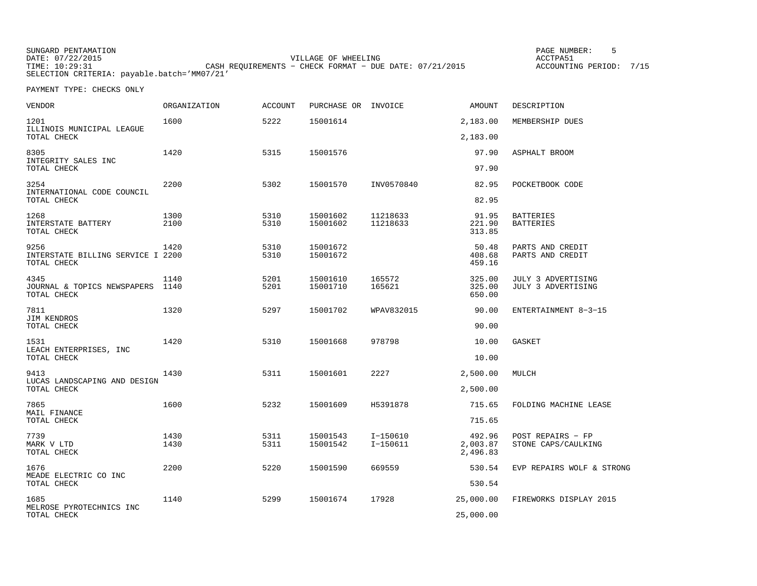SUNGARD PENTAMATION SUNGARD PENTAMATION SUNG PAGE NUMBER: 5 SENSING PAGE NUMBER: 5 SENSING PAGE NUMBER: 5 SENSI VILLAGE OF WHEELING **ACCTPA51** TIME: 10:29:31 CASH REQUIREMENTS − CHECK FORMAT − DUE DATE: 07/21/2015 SELECTION CRITERIA: payable.batch='MM07/21'

ACCOUNTING PERIOD: 7/15

| VENDOR                                                   | <b>ORGANIZATION</b> | <b>ACCOUNT</b> | PURCHASE OR INVOICE  |                        | <b>AMOUNT</b>                  | DESCRIPTION                              |
|----------------------------------------------------------|---------------------|----------------|----------------------|------------------------|--------------------------------|------------------------------------------|
| 1201<br>ILLINOIS MUNICIPAL LEAGUE                        | 1600                | 5222           | 15001614             |                        | 2,183.00                       | MEMBERSHIP DUES                          |
| TOTAL CHECK                                              |                     |                |                      |                        | 2,183.00                       |                                          |
| 8305<br>INTEGRITY SALES INC<br>TOTAL CHECK               | 1420                | 5315           | 15001576             |                        | 97.90<br>97.90                 | ASPHALT BROOM                            |
| 3254                                                     | 2200                | 5302           | 15001570             | INV0570840             | 82.95                          | POCKETBOOK CODE                          |
| INTERNATIONAL CODE COUNCIL<br>TOTAL CHECK                |                     |                |                      |                        | 82.95                          |                                          |
| 1268<br>INTERSTATE BATTERY<br>TOTAL CHECK                | 1300<br>2100        | 5310<br>5310   | 15001602<br>15001602 | 11218633<br>11218633   | 91.95<br>221.90<br>313.85      | <b>BATTERIES</b><br><b>BATTERIES</b>     |
| 9256<br>INTERSTATE BILLING SERVICE I 2200<br>TOTAL CHECK | 1420                | 5310<br>5310   | 15001672<br>15001672 |                        | 50.48<br>408.68<br>459.16      | PARTS AND CREDIT<br>PARTS AND CREDIT     |
| 4345<br>JOURNAL & TOPICS NEWSPAPERS<br>TOTAL CHECK       | 1140<br>1140        | 5201<br>5201   | 15001610<br>15001710 | 165572<br>165621       | 325.00<br>325.00<br>650.00     | JULY 3 ADVERTISING<br>JULY 3 ADVERTISING |
| 7811<br><b>JIM KENDROS</b><br>TOTAL CHECK                | 1320                | 5297           | 15001702             | WPAV832015             | 90.00<br>90.00                 | ENTERTAINMENT 8-3-15                     |
|                                                          |                     |                |                      |                        |                                |                                          |
| 1531<br>LEACH ENTERPRISES, INC<br>TOTAL CHECK            | 1420                | 5310           | 15001668             | 978798                 | 10.00<br>10.00                 | GASKET                                   |
| 9413                                                     | 1430                | 5311           | 15001601             | 2227                   | 2,500.00                       | MULCH                                    |
| LUCAS LANDSCAPING AND DESIGN<br>TOTAL CHECK              |                     |                |                      |                        | 2,500.00                       |                                          |
| 7865                                                     | 1600                | 5232           | 15001609             | H5391878               | 715.65                         | FOLDING MACHINE LEASE                    |
| MAIL FINANCE<br>TOTAL CHECK                              |                     |                |                      |                        | 715.65                         |                                          |
| 7739<br>MARK V LTD<br>TOTAL CHECK                        | 1430<br>1430        | 5311<br>5311   | 15001543<br>15001542 | I-150610<br>$I-150611$ | 492.96<br>2,003.87<br>2,496.83 | POST REPAIRS - FP<br>STONE CAPS/CAULKING |
| 1676                                                     | 2200                | 5220           | 15001590             | 669559                 | 530.54                         | EVP REPAIRS WOLF & STRONG                |
| MEADE ELECTRIC CO INC<br>TOTAL CHECK                     |                     |                |                      |                        | 530.54                         |                                          |
| 1685                                                     | 1140                | 5299           | 15001674             | 17928                  | 25,000.00                      | FIREWORKS DISPLAY 2015                   |
| MELROSE PYROTECHNICS INC<br>TOTAL CHECK                  |                     |                |                      |                        | 25,000.00                      |                                          |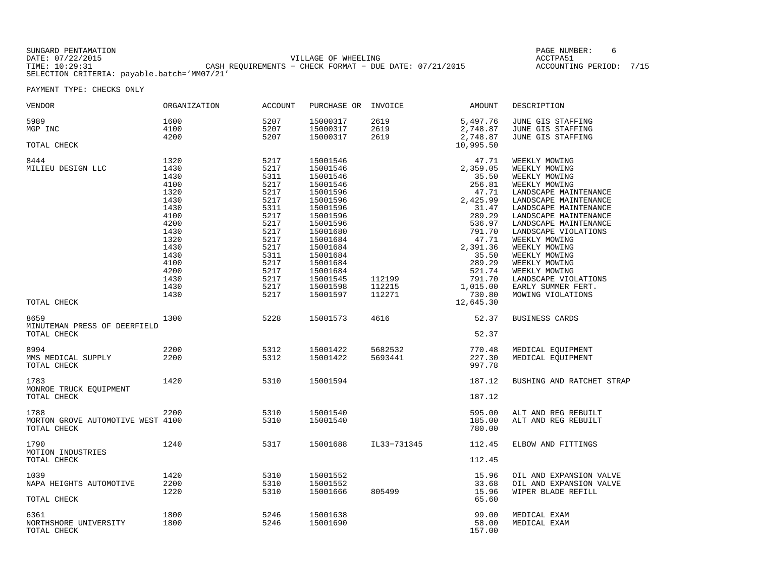SUNGARD PENTAMATION SUNGARD PENTAMATION SUNG PAGE NUMBER: 6 SUNGARD PENTAMATION SUNG PAGE NUMBER: 6 SUNG PAGE NUMBER: 6 SUNG PAGE NUMBER: 6 SUNG PAGE NUMBER: 6 SUNG PAGE NUMBER: 6 SUNG PAGE NUMBER: 6 SUNG PAGE NUMBER: 6 SU DATE: 07/22/2015 VILLAGE OF WHEELING ACCTPA51TIME: 10:29:31 CASH REQUIREMENTS − CHECK FORMAT − DUE DATE: 07/21/2015 ACCOUNTING PERIOD: 7/15SELECTION CRITERIA: payable.batch='MM07/21'

ACCOUNTING PERIOD: 7/15

| VENDOR                                                   | ORGANIZATION                                                                                         | <b>ACCOUNT</b>                                                                                       | PURCHASE OR                                                                                                                                              | INVOICE                    | <b>AMOUNT</b>                                                                                                                  | DESCRIPTION                                                                                                                                                                                                                                                              |
|----------------------------------------------------------|------------------------------------------------------------------------------------------------------|------------------------------------------------------------------------------------------------------|----------------------------------------------------------------------------------------------------------------------------------------------------------|----------------------------|--------------------------------------------------------------------------------------------------------------------------------|--------------------------------------------------------------------------------------------------------------------------------------------------------------------------------------------------------------------------------------------------------------------------|
| 5989<br>MGP INC                                          | 1600<br>4100<br>4200                                                                                 | 5207<br>5207<br>5207                                                                                 | 15000317<br>15000317<br>15000317                                                                                                                         | 2619<br>2619<br>2619       | 5,497.76<br>2,748.87<br>2,748.87                                                                                               | JUNE GIS STAFFING<br>JUNE GIS STAFFING<br>JUNE GIS STAFFING                                                                                                                                                                                                              |
| TOTAL CHECK                                              |                                                                                                      |                                                                                                      |                                                                                                                                                          |                            | 10,995.50                                                                                                                      |                                                                                                                                                                                                                                                                          |
| 8444<br>MILIEU DESIGN LLC                                | 1320<br>1430<br>1430<br>4100<br>1320<br>1430<br>1430<br>4100<br>4200<br>1430<br>1320<br>1430<br>1430 | 5217<br>5217<br>5311<br>5217<br>5217<br>5217<br>5311<br>5217<br>5217<br>5217<br>5217<br>5217<br>5311 | 15001546<br>15001546<br>15001546<br>15001546<br>15001596<br>15001596<br>15001596<br>15001596<br>15001596<br>15001680<br>15001684<br>15001684<br>15001684 |                            | 47.71<br>2,359.05<br>35.50<br>256.81<br>47.71<br>2,425.99<br>31.47<br>289.29<br>536.97<br>791.70<br>47.71<br>2,391.36<br>35.50 | WEEKLY MOWING<br>WEEKLY MOWING<br>WEEKLY MOWING<br>WEEKLY MOWING<br>LANDSCAPE MAINTENANCE<br>LANDSCAPE MAINTENANCE<br>LANDSCAPE MAINTENANCE<br>LANDSCAPE MAINTENANCE<br>LANDSCAPE MAINTENANCE<br>LANDSCAPE VIOLATIONS<br>WEEKLY MOWING<br>WEEKLY MOWING<br>WEEKLY MOWING |
|                                                          | 4100<br>4200<br>1430<br>1430<br>1430                                                                 | 5217<br>5217<br>5217<br>5217<br>5217                                                                 | 15001684<br>15001684<br>15001545<br>15001598<br>15001597                                                                                                 | 112199<br>112215<br>112271 | 289.29<br>521.74<br>791.70<br>1,015.00<br>730.80                                                                               | WEEKLY MOWING<br>WEEKLY MOWING<br>LANDSCAPE VIOLATIONS<br>EARLY SUMMER FERT.<br>MOWING VIOLATIONS                                                                                                                                                                        |
| TOTAL CHECK                                              |                                                                                                      |                                                                                                      |                                                                                                                                                          |                            | 12,645.30                                                                                                                      |                                                                                                                                                                                                                                                                          |
| 8659<br>MINUTEMAN PRESS OF DEERFIELD<br>TOTAL CHECK      | 1300                                                                                                 | 5228                                                                                                 | 15001573                                                                                                                                                 | 4616                       | 52.37<br>52.37                                                                                                                 | BUSINESS CARDS                                                                                                                                                                                                                                                           |
| 8994<br>MMS MEDICAL SUPPLY<br>TOTAL CHECK                | 2200<br>2200                                                                                         | 5312<br>5312                                                                                         | 15001422<br>15001422                                                                                                                                     | 5682532<br>5693441         | 770.48<br>227.30<br>997.78                                                                                                     | MEDICAL EQUIPMENT<br>MEDICAL EQUIPMENT                                                                                                                                                                                                                                   |
| 1783<br>MONROE TRUCK EQUIPMENT<br>TOTAL CHECK            | 1420                                                                                                 | 5310                                                                                                 | 15001594                                                                                                                                                 |                            | 187.12<br>187.12                                                                                                               | BUSHING AND RATCHET STRAP                                                                                                                                                                                                                                                |
| 1788<br>MORTON GROVE AUTOMOTIVE WEST 4100<br>TOTAL CHECK | 2200                                                                                                 | 5310<br>5310                                                                                         | 15001540<br>15001540                                                                                                                                     |                            | 595.00<br>185.00<br>780.00                                                                                                     | ALT AND REG REBUILT<br>ALT AND REG REBUILT                                                                                                                                                                                                                               |
| 1790<br>MOTION INDUSTRIES<br>TOTAL CHECK                 | 1240                                                                                                 | 5317                                                                                                 | 15001688                                                                                                                                                 | IL33-731345                | 112.45<br>112.45                                                                                                               | ELBOW AND FITTINGS                                                                                                                                                                                                                                                       |
| 1039<br>NAPA HEIGHTS AUTOMOTIVE<br>TOTAL CHECK           | 1420<br>2200<br>1220                                                                                 | 5310<br>5310<br>5310                                                                                 | 15001552<br>15001552<br>15001666                                                                                                                         | 805499                     | 15.96<br>33.68<br>15.96<br>65.60                                                                                               | OIL AND EXPANSION VALVE<br>OIL AND EXPANSION VALVE<br>WIPER BLADE REFILL                                                                                                                                                                                                 |
| 6361<br>NORTHSHORE UNIVERSITY<br>TOTAL CHECK             | 1800<br>1800                                                                                         | 5246<br>5246                                                                                         | 15001638<br>15001690                                                                                                                                     |                            | 99.00<br>58.00<br>157.00                                                                                                       | MEDICAL EXAM<br>MEDICAL EXAM                                                                                                                                                                                                                                             |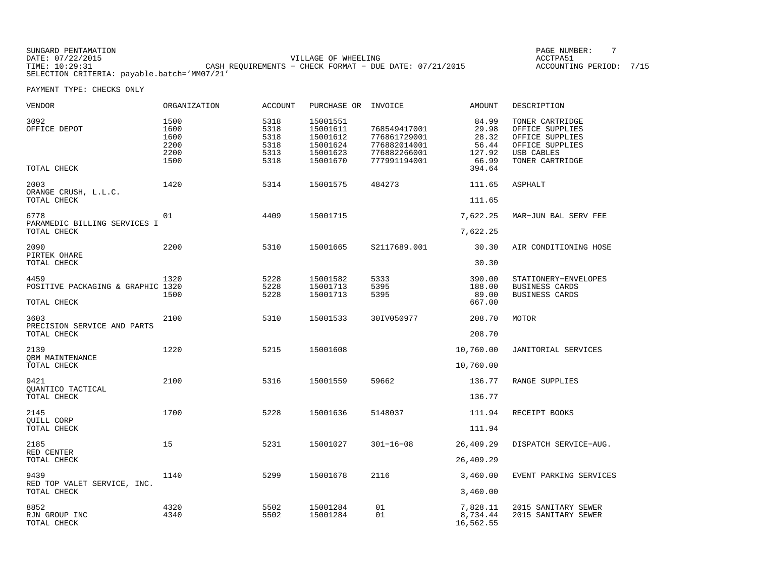SUNGARD PENTAMATION PAGE NUMBER: 7DATE: 07/22/2015 VILLAGE OF WHEELING ACCTPA51TIME: 10:29:31 CASH REQUIREMENTS − CHECK FORMAT − DUE DATE: 07/21/2015 ACCOUNTING PERIOD: 7/15SELECTION CRITERIA: payable.batch='MM07/21'

ACCOUNTING PERIOD: 7/15

| <b>VENDOR</b>                                            | <b>ORGANIZATION</b>                          | <b>ACCOUNT</b>                               | PURCHASE OR INVOICE                                                  |                                                                              | <b>AMOUNT</b>                                                 | DESCRIPTION                                                                                               |
|----------------------------------------------------------|----------------------------------------------|----------------------------------------------|----------------------------------------------------------------------|------------------------------------------------------------------------------|---------------------------------------------------------------|-----------------------------------------------------------------------------------------------------------|
| 3092<br>OFFICE DEPOT<br>TOTAL CHECK                      | 1500<br>1600<br>1600<br>2200<br>2200<br>1500 | 5318<br>5318<br>5318<br>5318<br>5313<br>5318 | 15001551<br>15001611<br>15001612<br>15001624<br>15001623<br>15001670 | 768549417001<br>776861729001<br>776882014001<br>776882266001<br>777991194001 | 84.99<br>29.98<br>28.32<br>56.44<br>127.92<br>66.99<br>394.64 | TONER CARTRIDGE<br>OFFICE SUPPLIES<br>OFFICE SUPPLIES<br>OFFICE SUPPLIES<br>USB CABLES<br>TONER CARTRIDGE |
| 2003<br>ORANGE CRUSH, L.L.C.<br>TOTAL CHECK              | 1420                                         | 5314                                         | 15001575                                                             | 484273                                                                       | 111.65<br>111.65                                              | <b>ASPHALT</b>                                                                                            |
| 6778<br>PARAMEDIC BILLING SERVICES I<br>TOTAL CHECK      | 01                                           | 4409                                         | 15001715                                                             |                                                                              | 7,622.25<br>7,622.25                                          | MAR-JUN BAL SERV FEE                                                                                      |
| 2090<br>PIRTEK OHARE<br>TOTAL CHECK                      | 2200                                         | 5310                                         | 15001665                                                             | S2117689.001                                                                 | 30.30<br>30.30                                                | AIR CONDITIONING HOSE                                                                                     |
| 4459<br>POSITIVE PACKAGING & GRAPHIC 1320<br>TOTAL CHECK | 1320<br>1500                                 | 5228<br>5228<br>5228                         | 15001582<br>15001713<br>15001713                                     | 5333<br>5395<br>5395                                                         | 390.00<br>188.00<br>89.00<br>667.00                           | STATIONERY-ENVELOPES<br>BUSINESS CARDS<br>BUSINESS CARDS                                                  |
| 3603<br>PRECISION SERVICE AND PARTS<br>TOTAL CHECK       | 2100                                         | 5310                                         | 15001533                                                             | 30IV050977                                                                   | 208.70<br>208.70                                              | MOTOR                                                                                                     |
| 2139<br><b>QBM MAINTENANCE</b><br>TOTAL CHECK            | 1220                                         | 5215                                         | 15001608                                                             |                                                                              | 10,760.00<br>10,760.00                                        | JANITORIAL SERVICES                                                                                       |
| 9421<br>OUANTICO TACTICAL<br>TOTAL CHECK                 | 2100                                         | 5316                                         | 15001559                                                             | 59662                                                                        | 136.77<br>136.77                                              | RANGE SUPPLIES                                                                                            |
| 2145<br>QUILL CORP<br>TOTAL CHECK                        | 1700                                         | 5228                                         | 15001636                                                             | 5148037                                                                      | 111.94<br>111.94                                              | RECEIPT BOOKS                                                                                             |
| 2185<br>RED CENTER<br>TOTAL CHECK                        | 15                                           | 5231                                         | 15001027                                                             | $301 - 16 - 08$                                                              | 26,409.29<br>26,409.29                                        | DISPATCH SERVICE-AUG.                                                                                     |
| 9439<br>RED TOP VALET SERVICE, INC.<br>TOTAL CHECK       | 1140                                         | 5299                                         | 15001678                                                             | 2116                                                                         | 3,460.00<br>3,460.00                                          | EVENT PARKING SERVICES                                                                                    |
| 8852<br>RJN GROUP INC<br>TOTAL CHECK                     | 4320<br>4340                                 | 5502<br>5502                                 | 15001284<br>15001284                                                 | 01<br>01                                                                     | 7,828.11<br>8,734.44<br>16,562.55                             | 2015 SANITARY SEWER<br>2015 SANITARY SEWER                                                                |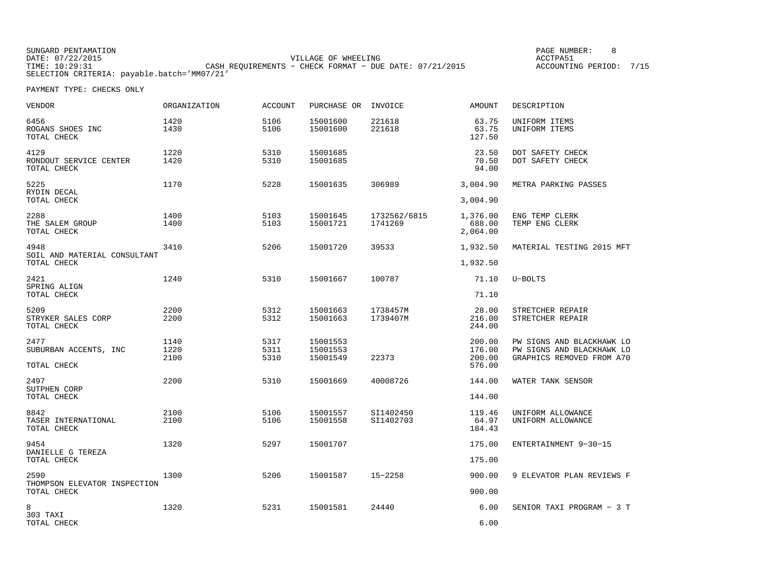SUNGARD PENTAMATION SUNGARD PENTAMATION SUNG PAGE NUMBER: 8 SUNGARD PAGE NUMBER: 8 SUNGARD PAGE NUMBER: 8 SUNG VILLAGE OF WHEELING **ACCTPA51** TIME: 10:29:31 CASH REQUIREMENTS - CHECK FORMAT - DUE DATE: 07/21/2015 SELECTION CRITERIA: payable.batch='MM07/21'

ACCOUNTING PERIOD: 7/15

| VENDOR                                              | <b>ORGANIZATION</b>  | <b>ACCOUNT</b>       | PURCHASE OR INVOICE              |                         | <b>AMOUNT</b>                        | DESCRIPTION                                                                         |
|-----------------------------------------------------|----------------------|----------------------|----------------------------------|-------------------------|--------------------------------------|-------------------------------------------------------------------------------------|
| 6456<br>ROGANS SHOES INC<br>TOTAL CHECK             | 1420<br>1430         | 5106<br>5106         | 15001600<br>15001600             | 221618<br>221618        | 63.75<br>63.75<br>127.50             | UNIFORM ITEMS<br>UNIFORM ITEMS                                                      |
| 4129<br>RONDOUT SERVICE CENTER<br>TOTAL CHECK       | 1220<br>1420         | 5310<br>5310         | 15001685<br>15001685             |                         | 23.50<br>70.50<br>94.00              | DOT SAFETY CHECK<br>DOT SAFETY CHECK                                                |
| 5225<br>RYDIN DECAL<br>TOTAL CHECK                  | 1170                 | 5228                 | 15001635                         | 306989                  | 3,004.90<br>3,004.90                 | METRA PARKING PASSES                                                                |
| 2288<br>THE SALEM GROUP<br>TOTAL CHECK              | 1400<br>1400         | 5103<br>5103         | 15001645<br>15001721             | 1732562/6815<br>1741269 | 1,376.00<br>688.00<br>2,064.00       | ENG TEMP CLERK<br>TEMP ENG CLERK                                                    |
| 4948<br>SOIL AND MATERIAL CONSULTANT<br>TOTAL CHECK | 3410                 | 5206                 | 15001720                         | 39533                   | 1,932.50<br>1,932.50                 | MATERIAL TESTING 2015 MFT                                                           |
| 2421<br>SPRING ALIGN<br>TOTAL CHECK                 | 1240                 | 5310                 | 15001667                         | 100787                  | 71.10<br>71.10                       | $U - BOLTS$                                                                         |
| 5209<br>STRYKER SALES CORP<br>TOTAL CHECK           | 2200<br>2200         | 5312<br>5312         | 15001663<br>15001663             | 1738457M<br>1739407M    | 28.00<br>216.00<br>244.00            | STRETCHER REPAIR<br>STRETCHER REPAIR                                                |
| 2477<br>SUBURBAN ACCENTS, INC<br>TOTAL CHECK        | 1140<br>1220<br>2100 | 5317<br>5311<br>5310 | 15001553<br>15001553<br>15001549 | 22373                   | 200.00<br>176.00<br>200.00<br>576.00 | PW SIGNS AND BLACKHAWK LO<br>PW SIGNS AND BLACKHAWK LO<br>GRAPHICS REMOVED FROM A70 |
| 2497<br>SUTPHEN CORP<br>TOTAL CHECK                 | 2200                 | 5310                 | 15001669                         | 40008726                | 144.00<br>144.00                     | WATER TANK SENSOR                                                                   |
| 8842<br>TASER INTERNATIONAL<br>TOTAL CHECK          | 2100<br>2100         | 5106<br>5106         | 15001557<br>15001558             | SI1402450<br>SI1402703  | 119.46<br>64.97<br>184.43            | UNIFORM ALLOWANCE<br>UNIFORM ALLOWANCE                                              |
| 9454<br>DANIELLE G TEREZA<br>TOTAL CHECK            | 1320                 | 5297                 | 15001707                         |                         | 175.00<br>175.00                     | ENTERTAINMENT 9-30-15                                                               |
| 2590<br>THOMPSON ELEVATOR INSPECTION<br>TOTAL CHECK | 1300                 | 5206                 | 15001587                         | $15 - 2258$             | 900.00<br>900.00                     | 9 ELEVATOR PLAN REVIEWS F                                                           |
| 8<br>303 TAXI<br>TOTAL CHECK                        | 1320                 | 5231                 | 15001581                         | 24440                   | 6.00<br>6.00                         | SENIOR TAXI PROGRAM - 3 T                                                           |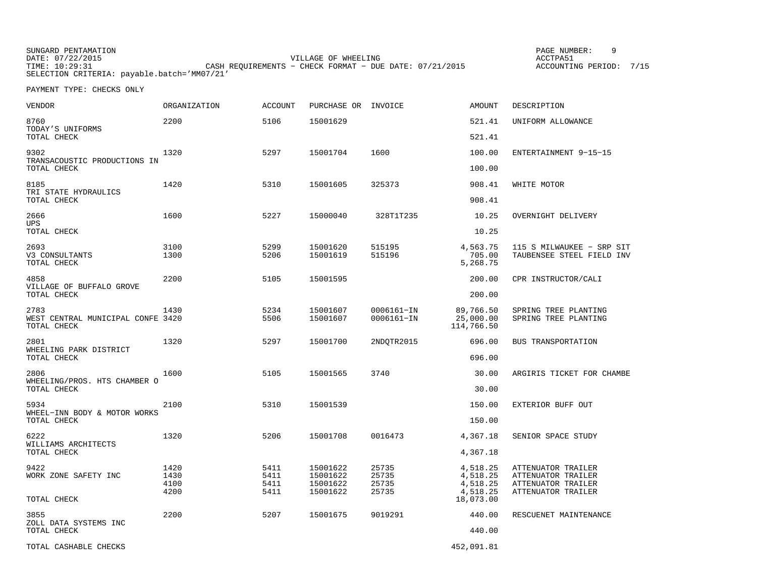SUNGARD PENTAMATION SUNGARD PENTAMATION SUNG PAGE NUMBER: 9 VILLAGE OF WHEELING **ACCTPA51** TIME: 10:29:31 CASH REQUIREMENTS – CHECK FORMAT – DUE DATE: 07/21/2015 SELECTION CRITERIA: payable.batch='MM07/21'

ACCOUNTING PERIOD: 7/15

| <b>VENDOR</b>                                            | <b>ORGANIZATION</b>          | <b>ACCOUNT</b>               | PURCHASE OR INVOICE                          |                                  | AMOUNT                                       | DESCRIPTION                                                                          |
|----------------------------------------------------------|------------------------------|------------------------------|----------------------------------------------|----------------------------------|----------------------------------------------|--------------------------------------------------------------------------------------|
| 8760<br>TODAY'S UNIFORMS                                 | 2200                         | 5106                         | 15001629                                     |                                  | 521.41                                       | UNIFORM ALLOWANCE                                                                    |
| TOTAL CHECK                                              |                              |                              |                                              |                                  | 521.41                                       |                                                                                      |
| 9302<br>TRANSACOUSTIC PRODUCTIONS IN                     | 1320                         | 5297                         | 15001704                                     | 1600                             | 100.00                                       | ENTERTAINMENT 9-15-15                                                                |
| TOTAL CHECK                                              |                              |                              |                                              |                                  | 100.00                                       |                                                                                      |
| 8185<br>TRI STATE HYDRAULICS<br>TOTAL CHECK              | 1420                         | 5310                         | 15001605                                     | 325373                           | 908.41                                       | WHITE MOTOR                                                                          |
|                                                          |                              |                              |                                              |                                  | 908.41                                       |                                                                                      |
| 2666<br>UPS                                              | 1600                         | 5227                         | 15000040                                     | 328T1T235                        | 10.25                                        | OVERNIGHT DELIVERY                                                                   |
| TOTAL CHECK                                              |                              |                              |                                              |                                  | 10.25                                        |                                                                                      |
| 2693<br>V3 CONSULTANTS<br>TOTAL CHECK                    | 3100<br>1300                 | 5299<br>5206                 | 15001620<br>15001619                         | 515195<br>515196                 | 4,563.75<br>705.00<br>5,268.75               | 115 S MILWAUKEE - SRP SIT<br>TAUBENSEE STEEL FIELD INV                               |
| 4858<br>VILLAGE OF BUFFALO GROVE<br>TOTAL CHECK          | 2200                         | 5105                         | 15001595                                     |                                  | 200.00                                       | CPR INSTRUCTOR/CALI                                                                  |
|                                                          |                              |                              |                                              |                                  | 200.00                                       |                                                                                      |
| 2783<br>WEST CENTRAL MUNICIPAL CONFE 3420<br>TOTAL CHECK | 1430                         | 5234<br>5506                 | 15001607<br>15001607                         | 0006161-IN<br>0006161-IN         | 89,766.50<br>25,000.00<br>114,766.50         | SPRING TREE PLANTING<br>SPRING TREE PLANTING                                         |
| 2801<br>WHEELING PARK DISTRICT<br>TOTAL CHECK            | 1320                         | 5297                         | 15001700                                     | 2NDQTR2015                       | 696.00                                       | BUS TRANSPORTATION                                                                   |
|                                                          |                              |                              |                                              |                                  | 696.00                                       |                                                                                      |
| 2806<br>WHEELING/PROS. HTS CHAMBER O<br>TOTAL CHECK      | 1600                         | 5105                         | 15001565                                     | 3740                             | 30.00                                        | ARGIRIS TICKET FOR CHAMBE                                                            |
|                                                          |                              |                              |                                              |                                  | 30.00                                        |                                                                                      |
| 5934<br>WHEEL-INN BODY & MOTOR WORKS<br>TOTAL CHECK      | 2100                         | 5310                         | 15001539                                     |                                  | 150.00                                       | EXTERIOR BUFF OUT                                                                    |
|                                                          |                              |                              |                                              |                                  | 150.00                                       |                                                                                      |
| 6222<br>WILLIAMS ARCHITECTS<br>TOTAL CHECK               | 1320                         | 5206                         | 15001708                                     | 0016473                          | 4,367.18                                     | SENIOR SPACE STUDY                                                                   |
|                                                          |                              |                              |                                              |                                  | 4,367.18                                     |                                                                                      |
| 9422<br>WORK ZONE SAFETY INC                             | 1420<br>1430<br>4100<br>4200 | 5411<br>5411<br>5411<br>5411 | 15001622<br>15001622<br>15001622<br>15001622 | 25735<br>25735<br>25735<br>25735 | 4,518.25<br>4,518.25<br>4,518.25<br>4,518.25 | ATTENUATOR TRAILER<br>ATTENUATOR TRAILER<br>ATTENUATOR TRAILER<br>ATTENUATOR TRAILER |
| TOTAL CHECK                                              |                              |                              |                                              |                                  | 18,073.00                                    |                                                                                      |
| 3855<br>ZOLL DATA SYSTEMS INC                            | 2200                         | 5207                         | 15001675                                     | 9019291                          | 440.00                                       | RESCUENET MAINTENANCE                                                                |
| TOTAL CHECK                                              |                              |                              |                                              |                                  | 440.00                                       |                                                                                      |
| TOTAL CASHABLE CHECKS                                    |                              |                              |                                              |                                  | 452,091.81                                   |                                                                                      |